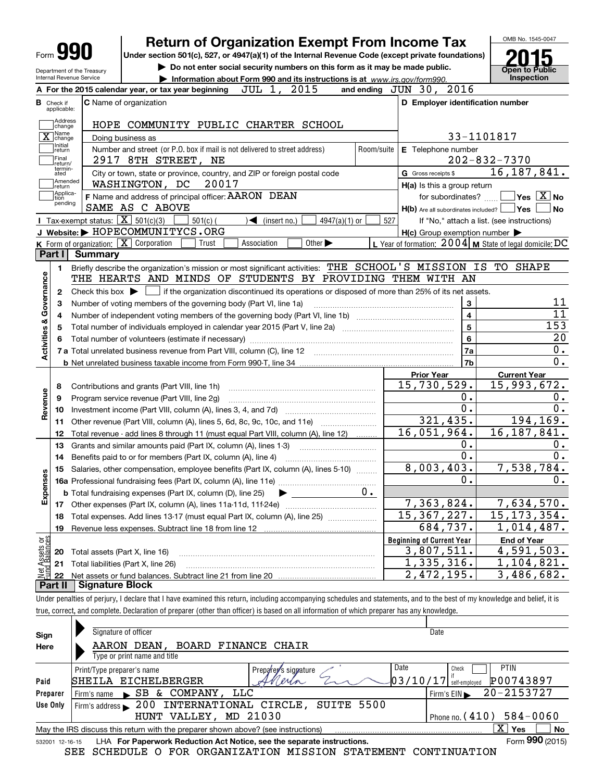|                                                       |                                                   | <b>Return of Organization Exempt From Income Tax</b>                                                         |            |                                                     | OMB No. 1545-0047                                                          |
|-------------------------------------------------------|---------------------------------------------------|--------------------------------------------------------------------------------------------------------------|------------|-----------------------------------------------------|----------------------------------------------------------------------------|
| Form <b>Y!</b>                                        |                                                   | Under section 501(c), 527, or 4947(a)(1) of the Internal Revenue Code (except private foundations)           |            |                                                     |                                                                            |
| Department of the Treasury                            |                                                   | Do not enter social security numbers on this form as it may be made public.                                  |            |                                                     | <b>Open to Public</b>                                                      |
| Internal Revenue Service                              |                                                   | Information about Form 990 and its instructions is at www.irs.gov/form990.                                   |            |                                                     | Inspection                                                                 |
|                                                       |                                                   | 2015<br>JUL 1,<br>A For the 2015 calendar year, or tax year beginning                                        |            | and ending JUN 30, 2016                             |                                                                            |
| <b>B</b> Check if<br>applicable:                      | C Name of organization                            |                                                                                                              |            | D Employer identification number                    |                                                                            |
| Address<br>change                                     |                                                   | HOPE COMMUNITY PUBLIC CHARTER SCHOOL                                                                         |            |                                                     |                                                                            |
| 1Name<br>$\overline{X}$ change                        | Doing business as                                 |                                                                                                              |            |                                                     | 33-1101817                                                                 |
| Initial<br>return<br>Final<br>return/                 |                                                   | Number and street (or P.O. box if mail is not delivered to street address)<br>2917 8TH STREET, NE            | Room/suite | E Telephone number                                  | $202 - 832 - 7370$                                                         |
| termin-<br>ated                                       |                                                   | City or town, state or province, country, and ZIP or foreign postal code                                     |            | G Gross receipts \$                                 | 16, 187, 841.                                                              |
| Amended<br>return                                     |                                                   | WASHINGTON, DC<br>20017                                                                                      |            | H(a) Is this a group return                         |                                                                            |
| Applica-<br>tion<br>pending                           |                                                   | F Name and address of principal officer: AARON DEAN                                                          |            | for subordinates?                                   | $ {\mathsf Y}$ es $\lfloor \underline{{\mathsf X}} \rfloor$ No             |
|                                                       |                                                   | SAME AS C ABOVE                                                                                              |            | $H(b)$ Are all subordinates included?               | ∣Yes<br><b>No</b>                                                          |
|                                                       | Tax-exempt status: $\boxed{\mathbf{X}}$ 501(c)(3) | $\sqrt{\frac{1}{1}}$ (insert no.)<br>4947(a)(1) or<br>$501(c)$ (<br>J Website: > HOPECOMMUNITYCS.ORG         | 527        |                                                     | If "No," attach a list. (see instructions)                                 |
|                                                       | K Form of organization: X Corporation             | Association<br>Other $\blacktriangleright$<br>Trust                                                          |            | $H(c)$ Group exemption number $\blacktriangleright$ | L Year of formation: $2004$ M State of legal domicile: DC                  |
| Part I                                                | <b>Summary</b>                                    |                                                                                                              |            |                                                     |                                                                            |
|                                                       |                                                   | Briefly describe the organization's mission or most significant activities: THE SCHOOL'S MISSION IS TO SHAPE |            |                                                     |                                                                            |
| 1.                                                    |                                                   | THE HEARTS AND MINDS OF STUDENTS BY PROVIDING THEM WITH AN                                                   |            |                                                     |                                                                            |
| Governance                                            | Check this box $\blacktriangleright$              |                                                                                                              |            |                                                     |                                                                            |
| 2                                                     |                                                   | if the organization discontinued its operations or disposed of more than 25% of its net assets.              |            | 3                                                   | 11                                                                         |
| з                                                     |                                                   | Number of voting members of the governing body (Part VI, line 1a)                                            |            | $\overline{4}$                                      | $\overline{11}$                                                            |
| 4                                                     |                                                   |                                                                                                              |            | 5                                                   | 153                                                                        |
| <b>Activities &amp;</b><br>5                          |                                                   |                                                                                                              |            | 6                                                   | 20                                                                         |
| 6                                                     |                                                   |                                                                                                              |            |                                                     | 0.                                                                         |
|                                                       |                                                   |                                                                                                              |            | 7a<br>7b                                            | 0.                                                                         |
|                                                       |                                                   |                                                                                                              |            | <b>Prior Year</b>                                   | <b>Current Year</b>                                                        |
| 8                                                     |                                                   | Contributions and grants (Part VIII, line 1h)                                                                |            | 15,730,529.                                         | 15,993,672.                                                                |
| 9                                                     |                                                   | Program service revenue (Part VIII, line 2g)                                                                 |            | 0.                                                  | 0.                                                                         |
| Revenue<br>10                                         |                                                   |                                                                                                              |            | 0.                                                  | 0.                                                                         |
| 11                                                    |                                                   |                                                                                                              |            | 321,435.                                            | 194, 169.                                                                  |
| 12                                                    |                                                   | Total revenue - add lines 8 through 11 (must equal Part VIII, column (A), line 12)                           |            | 16,051,964.                                         | 16, 187, 841.                                                              |
| 13                                                    |                                                   | Grants and similar amounts paid (Part IX, column (A), lines 1-3)                                             |            | 0.                                                  | 0.                                                                         |
| 14                                                    |                                                   | Benefits paid to or for members (Part IX, column (A), line 4)                                                |            | $\overline{0}$ .                                    | 0.                                                                         |
|                                                       |                                                   | Salaries, other compensation, employee benefits (Part IX, column (A), lines 5-10)                            |            | 8,003,403.                                          | 7,538,784.                                                                 |
|                                                       |                                                   |                                                                                                              |            |                                                     |                                                                            |
| 15                                                    |                                                   |                                                                                                              |            |                                                     |                                                                            |
|                                                       |                                                   |                                                                                                              |            | 0.                                                  |                                                                            |
|                                                       |                                                   | <b>b</b> Total fundraising expenses (Part IX, column (D), line 25)                                           | $0 \cdot$  |                                                     |                                                                            |
| 17                                                    |                                                   | Other expenses (Part IX, column (A), lines 11a-11d, 11f-24e)                                                 |            | 7,363,824.                                          |                                                                            |
| 18<br>19                                              |                                                   | Total expenses. Add lines 13-17 (must equal Part IX, column (A), line 25) [                                  |            | 15, 367, 227.<br>684,737.                           |                                                                            |
|                                                       |                                                   | Revenue less expenses. Subtract line 18 from line 12                                                         |            |                                                     |                                                                            |
|                                                       |                                                   |                                                                                                              |            | <b>Beginning of Current Year</b>                    | <b>End of Year</b>                                                         |
| 20                                                    | Total assets (Part X, line 16)                    |                                                                                                              |            | 3,807,511.                                          | 0.<br>7,634,570.<br>15, 173, 354.<br>1,014,487.<br>$\overline{4,}591,503.$ |
| w<br>Expense<br>r Assets or<br>d Balances<br>21<br>22 | Total liabilities (Part X, line 26)               |                                                                                                              |            | 1,335,316.<br>2,472,195.                            | 1,104,821.<br>3,486,682.                                                   |

true, correct, and complete. Declaration of preparer (other than officer) is based on all information of which preparer has any knowledge.

| Sign            | Signature of officer                                                                                     | Date                              |  |  |  |  |  |  |  |  |
|-----------------|----------------------------------------------------------------------------------------------------------|-----------------------------------|--|--|--|--|--|--|--|--|
| Here            | AARON DEAN,<br>BOARD FINANCE CHAIR                                                                       |                                   |  |  |  |  |  |  |  |  |
|                 | Type or print name and title                                                                             |                                   |  |  |  |  |  |  |  |  |
|                 | Date<br>Prepare is signature<br>Print/Type preparer's name                                               | <b>PTIN</b><br>Check              |  |  |  |  |  |  |  |  |
| Paid            | 103/10/17<br>SHEILA EICHELBERGER<br>Vierin                                                               | P00743897<br>self-emploved        |  |  |  |  |  |  |  |  |
| Preparer        | & COMPANY, LLC<br>SB<br>Firm's name                                                                      | 20-2153727<br>Firm's $EIN$        |  |  |  |  |  |  |  |  |
| Use Only        | SUITE 5500<br>INTERNATIONAL CIRCLE,<br>200<br>Firm's address                                             |                                   |  |  |  |  |  |  |  |  |
|                 | MD 21030<br>HUNT VALLEY,                                                                                 | $584 - 0060$<br>Phone no. $(410)$ |  |  |  |  |  |  |  |  |
|                 | $X \mid Y$ es<br>No<br>May the IRS discuss this return with the preparer shown above? (see instructions) |                                   |  |  |  |  |  |  |  |  |
| 532001 12-16-15 | LHA For Paperwork Reduction Act Notice, see the separate instructions.                                   | Form 990 (2015)                   |  |  |  |  |  |  |  |  |
|                 | SCHEDULE O FOR ORGANIZATION MISSION STATEMENT<br>SEE                                                     | CONTINUATION                      |  |  |  |  |  |  |  |  |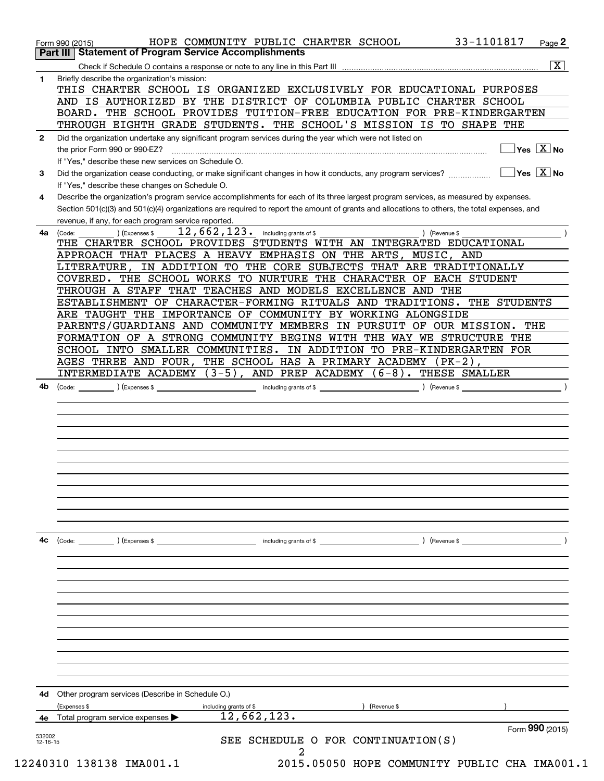|              | $\overline{\mathbf{x}}$                                                                                                                                                                  |
|--------------|------------------------------------------------------------------------------------------------------------------------------------------------------------------------------------------|
| 1.           | Briefly describe the organization's mission:<br>THIS CHARTER SCHOOL IS ORGANIZED EXCLUSIVELY FOR EDUCATIONAL PURPOSES                                                                    |
|              | AND IS AUTHORIZED BY THE DISTRICT OF COLUMBIA PUBLIC CHARTER SCHOOL                                                                                                                      |
|              | BOARD. THE SCHOOL PROVIDES TUITION-FREE EDUCATION FOR PRE-KINDERGARTEN                                                                                                                   |
|              | THROUGH EIGHTH GRADE STUDENTS. THE SCHOOL'S MISSION IS TO SHAPE THE                                                                                                                      |
| $\mathbf{2}$ | Did the organization undertake any significant program services during the year which were not listed on<br>$\sqrt{}$ Yes $\sqrt{X}$ No                                                  |
|              | the prior Form 990 or 990-EZ?<br>If "Yes," describe these new services on Schedule O.                                                                                                    |
| 3            | $\overline{\mathsf{Yes} \mathrel{\overline{X}}$ No<br>Did the organization cease conducting, or make significant changes in how it conducts, any program services?                       |
|              | If "Yes," describe these changes on Schedule O.                                                                                                                                          |
| 4            | Describe the organization's program service accomplishments for each of its three largest program services, as measured by expenses.                                                     |
|              | Section 501(c)(3) and 501(c)(4) organizations are required to report the amount of grants and allocations to others, the total expenses, and                                             |
| 4a           | revenue, if any, for each program service reported.<br>12,662,123. including grants of \$<br>(Expenses \$<br>) (Revenue \$<br>(Code:                                                     |
|              | THE CHARTER SCHOOL PROVIDES STUDENTS WITH AN INTEGRATED EDUCATIONAL                                                                                                                      |
|              | APPROACH THAT PLACES A HEAVY EMPHASIS ON THE ARTS, MUSIC, AND                                                                                                                            |
|              | IN ADDITION TO THE CORE SUBJECTS THAT ARE TRADITIONALLY<br>LITERATURE,<br>COVERED. THE SCHOOL WORKS TO NURTURE THE CHARACTER OF EACH STUDENT                                             |
|              | THROUGH A STAFF THAT TEACHES AND MODELS EXCELLENCE AND THE                                                                                                                               |
|              | ESTABLISHMENT OF CHARACTER-FORMING RITUALS AND TRADITIONS. THE STUDENTS                                                                                                                  |
|              | ARE TAUGHT THE IMPORTANCE OF COMMUNITY BY WORKING ALONGSIDE                                                                                                                              |
|              | PARENTS/GUARDIANS AND COMMUNITY MEMBERS IN PURSUIT OF OUR MISSION. THE                                                                                                                   |
|              | FORMATION OF A STRONG COMMUNITY BEGINS WITH THE WAY WE STRUCTURE THE<br>SCHOOL INTO SMALLER COMMUNITIES. IN ADDITION TO PRE-KINDERGARTEN FOR                                             |
|              | AGES THREE AND FOUR, THE SCHOOL HAS A PRIMARY ACADEMY (PK-2),                                                                                                                            |
|              | INTERMEDIATE ACADEMY (3-5), AND PREP ACADEMY (6-8). THESE SMALLER                                                                                                                        |
| 4b           | $\left(\text{Code:}\begin{array}{c}\text{Code:}\end{array}\right)$ $\left(\text{Expenses $}\begin{array}{c}\text{Expenses}\end{array}\right)$<br>including grants of \$<br>) (Revenue \$ |
|              |                                                                                                                                                                                          |
|              |                                                                                                                                                                                          |
|              |                                                                                                                                                                                          |
|              |                                                                                                                                                                                          |
|              |                                                                                                                                                                                          |
|              |                                                                                                                                                                                          |
|              |                                                                                                                                                                                          |
|              |                                                                                                                                                                                          |
|              |                                                                                                                                                                                          |
|              |                                                                                                                                                                                          |
| 4c           | (Code:<br>) (Expenses \$<br>) (Revenue \$<br>including grants of \$                                                                                                                      |
|              |                                                                                                                                                                                          |
|              |                                                                                                                                                                                          |
|              |                                                                                                                                                                                          |
|              |                                                                                                                                                                                          |
|              |                                                                                                                                                                                          |
|              |                                                                                                                                                                                          |
|              |                                                                                                                                                                                          |
|              |                                                                                                                                                                                          |
|              |                                                                                                                                                                                          |
|              |                                                                                                                                                                                          |
|              |                                                                                                                                                                                          |
| 4d           |                                                                                                                                                                                          |
|              | Other program services (Describe in Schedule O.)<br>(Revenue \$<br>(Expenses \$<br>including grants of \$                                                                                |
|              | 12,662,123.<br>4e Total program service expenses<br>Form 990 (2015)                                                                                                                      |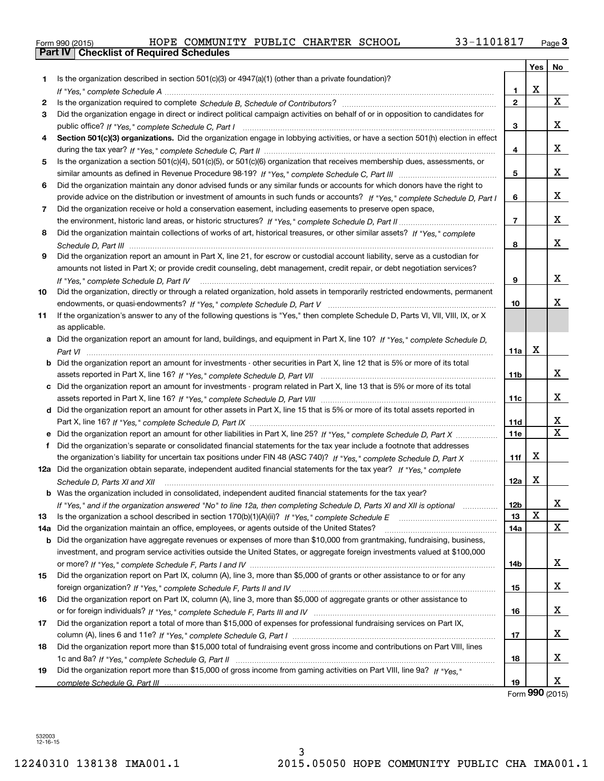| Form 990 (2015) |  |
|-----------------|--|

|     |                                                                                                                                  |                 | Yes |                              |
|-----|----------------------------------------------------------------------------------------------------------------------------------|-----------------|-----|------------------------------|
| 1.  | Is the organization described in section $501(c)(3)$ or $4947(a)(1)$ (other than a private foundation)?                          |                 |     | No                           |
|     |                                                                                                                                  | 1               | X   |                              |
| 2   |                                                                                                                                  | $\mathbf{2}$    |     | X                            |
| 3   | Did the organization engage in direct or indirect political campaign activities on behalf of or in opposition to candidates for  |                 |     |                              |
|     |                                                                                                                                  | 3               |     | X.                           |
| 4   | Section 501(c)(3) organizations. Did the organization engage in lobbying activities, or have a section 501(h) election in effect |                 |     |                              |
|     |                                                                                                                                  | 4               |     | X.                           |
| 5   | Is the organization a section 501(c)(4), 501(c)(5), or 501(c)(6) organization that receives membership dues, assessments, or     |                 |     |                              |
|     |                                                                                                                                  | 5               |     | X.                           |
| 6   | Did the organization maintain any donor advised funds or any similar funds or accounts for which donors have the right to        |                 |     |                              |
|     | provide advice on the distribution or investment of amounts in such funds or accounts? If "Yes," complete Schedule D, Part I     | 6               |     | X.                           |
|     |                                                                                                                                  |                 |     |                              |
| 7.  | Did the organization receive or hold a conservation easement, including easements to preserve open space,                        | $\overline{7}$  |     | X.                           |
|     |                                                                                                                                  |                 |     |                              |
| 8   | Did the organization maintain collections of works of art, historical treasures, or other similar assets? If "Yes," complete     | 8               |     | x                            |
|     |                                                                                                                                  |                 |     |                              |
| 9   | Did the organization report an amount in Part X, line 21, for escrow or custodial account liability, serve as a custodian for    |                 |     |                              |
|     | amounts not listed in Part X; or provide credit counseling, debt management, credit repair, or debt negotiation services?        |                 |     | X.                           |
|     | If "Yes," complete Schedule D, Part IV                                                                                           | 9               |     |                              |
| 10  | Did the organization, directly or through a related organization, hold assets in temporarily restricted endowments, permanent    |                 |     | x.                           |
|     |                                                                                                                                  | 10              |     |                              |
| 11  | If the organization's answer to any of the following questions is "Yes," then complete Schedule D, Parts VI, VII, VIII, IX, or X |                 |     |                              |
|     | as applicable.                                                                                                                   |                 |     |                              |
|     | a Did the organization report an amount for land, buildings, and equipment in Part X, line 10? If "Yes," complete Schedule D,    |                 | X   |                              |
|     |                                                                                                                                  | 11a             |     |                              |
|     | b Did the organization report an amount for investments - other securities in Part X, line 12 that is 5% or more of its total    |                 |     |                              |
|     |                                                                                                                                  | 11b             |     | x                            |
|     | c Did the organization report an amount for investments - program related in Part X, line 13 that is 5% or more of its total     |                 |     |                              |
|     |                                                                                                                                  | 11c             |     | X.                           |
|     | d Did the organization report an amount for other assets in Part X, line 15 that is 5% or more of its total assets reported in   |                 |     |                              |
|     | Part X, line 16? If "Yes," complete Schedule D, Part IX                                                                          | 11d             |     | x<br>$\overline{\mathbf{x}}$ |
|     |                                                                                                                                  | <b>11e</b>      |     |                              |
| f   | Did the organization's separate or consolidated financial statements for the tax year include a footnote that addresses          |                 |     |                              |
|     | the organization's liability for uncertain tax positions under FIN 48 (ASC 740)? If "Yes," complete Schedule D, Part X           | 11f             | X   |                              |
|     | 12a Did the organization obtain separate, independent audited financial statements for the tax year? If "Yes," complete          |                 |     |                              |
|     | Schedule D, Parts XI and XII                                                                                                     | 12a             | X   |                              |
|     | <b>b</b> Was the organization included in consolidated, independent audited financial statements for the tax year?               |                 |     |                              |
|     | If "Yes," and if the organization answered "No" to line 12a, then completing Schedule D, Parts XI and XII is optional            | 12 <sub>b</sub> | X   | х                            |
| 13  |                                                                                                                                  | 13              |     | X                            |
| 14a | Did the organization maintain an office, employees, or agents outside of the United States?                                      | 14a             |     |                              |
| b   | Did the organization have aggregate revenues or expenses of more than \$10,000 from grantmaking, fundraising, business,          |                 |     |                              |
|     | investment, and program service activities outside the United States, or aggregate foreign investments valued at \$100,000       |                 |     | x                            |
|     |                                                                                                                                  | 14b             |     |                              |
| 15  | Did the organization report on Part IX, column (A), line 3, more than \$5,000 of grants or other assistance to or for any        |                 |     | x                            |
|     |                                                                                                                                  | 15              |     |                              |
| 16  | Did the organization report on Part IX, column (A), line 3, more than \$5,000 of aggregate grants or other assistance to         |                 |     | x                            |
|     |                                                                                                                                  | 16              |     |                              |
| 17  | Did the organization report a total of more than \$15,000 of expenses for professional fundraising services on Part IX,          |                 |     |                              |
|     |                                                                                                                                  | 17              |     | X.                           |
| 18  | Did the organization report more than \$15,000 total of fundraising event gross income and contributions on Part VIII, lines     |                 |     |                              |
|     |                                                                                                                                  | 18              |     | X.                           |
| 19  | Did the organization report more than \$15,000 of gross income from gaming activities on Part VIII, line 9a? If "Yes."           |                 |     | x                            |
|     |                                                                                                                                  | 19              |     |                              |

Form (2015) **990**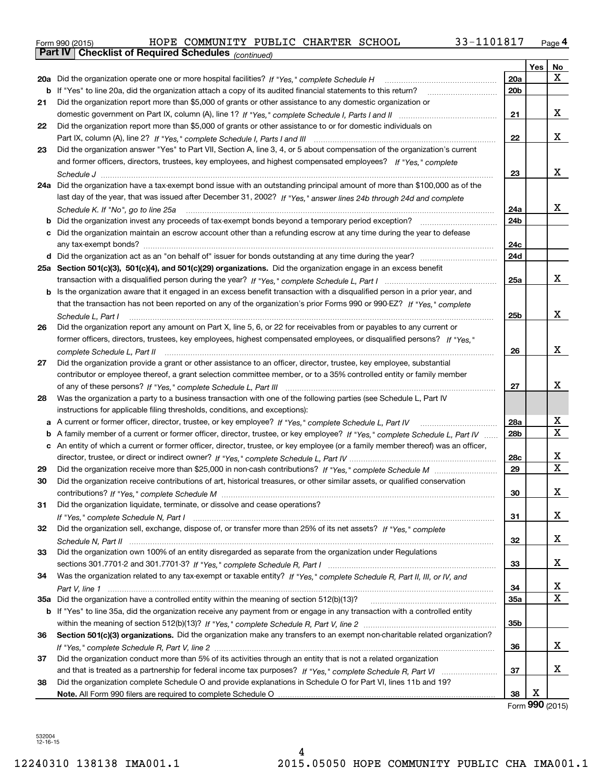| Form 990 (2015) |                                                       | HOPE COMMUNITY PUBLIC CHARTER SCHOOL |  | 33-1101817 | Page 4 |
|-----------------|-------------------------------------------------------|--------------------------------------|--|------------|--------|
|                 | Part IV   Checklist of Required Schedules (continued) |                                      |  |            |        |

|    | Parl IV  <br>Criecklist of Required Scriedules (continued)                                                                        |                 |            |             |
|----|-----------------------------------------------------------------------------------------------------------------------------------|-----------------|------------|-------------|
|    |                                                                                                                                   |                 | <b>Yes</b> | No          |
|    | 20a Did the organization operate one or more hospital facilities? If "Yes," complete Schedule H                                   | 20a             |            | x           |
|    | <b>b</b> If "Yes" to line 20a, did the organization attach a copy of its audited financial statements to this return?             | 20 <sub>b</sub> |            |             |
| 21 | Did the organization report more than \$5,000 of grants or other assistance to any domestic organization or                       |                 |            |             |
|    |                                                                                                                                   | 21              |            | х           |
| 22 | Did the organization report more than \$5,000 of grants or other assistance to or for domestic individuals on                     |                 |            |             |
|    |                                                                                                                                   | 22              |            | х           |
| 23 | Did the organization answer "Yes" to Part VII, Section A, line 3, 4, or 5 about compensation of the organization's current        |                 |            |             |
|    | and former officers, directors, trustees, key employees, and highest compensated employees? If "Yes," complete                    |                 |            |             |
|    |                                                                                                                                   | 23              |            | х           |
|    | 24a Did the organization have a tax-exempt bond issue with an outstanding principal amount of more than \$100,000 as of the       |                 |            |             |
|    | last day of the year, that was issued after December 31, 2002? If "Yes," answer lines 24b through 24d and complete                |                 |            |             |
|    | Schedule K. If "No", go to line 25a                                                                                               | 24a             |            | х           |
|    | <b>b</b> Did the organization invest any proceeds of tax-exempt bonds beyond a temporary period exception?                        | 24 <sub>b</sub> |            |             |
|    | c Did the organization maintain an escrow account other than a refunding escrow at any time during the year to defease            |                 |            |             |
|    | any tax-exempt bonds?                                                                                                             | 24c             |            |             |
|    | d Did the organization act as an "on behalf of" issuer for bonds outstanding at any time during the year?                         | 24d             |            |             |
|    | 25a Section 501(c)(3), 501(c)(4), and 501(c)(29) organizations. Did the organization engage in an excess benefit                  |                 |            |             |
|    |                                                                                                                                   | 25a             |            | x           |
|    |                                                                                                                                   |                 |            |             |
|    | b Is the organization aware that it engaged in an excess benefit transaction with a disqualified person in a prior year, and      |                 |            |             |
|    | that the transaction has not been reported on any of the organization's prior Forms 990 or 990-EZ? If "Yes," complete             |                 |            | х           |
|    | Schedule L, Part I                                                                                                                | 25b             |            |             |
| 26 | Did the organization report any amount on Part X, line 5, 6, or 22 for receivables from or payables to any current or             |                 |            |             |
|    | former officers, directors, trustees, key employees, highest compensated employees, or disqualified persons? If "Yes."            |                 |            |             |
|    |                                                                                                                                   | 26              |            | х           |
| 27 | Did the organization provide a grant or other assistance to an officer, director, trustee, key employee, substantial              |                 |            |             |
|    | contributor or employee thereof, a grant selection committee member, or to a 35% controlled entity or family member               |                 |            |             |
|    |                                                                                                                                   | 27              |            | x           |
| 28 | Was the organization a party to a business transaction with one of the following parties (see Schedule L, Part IV                 |                 |            |             |
|    | instructions for applicable filing thresholds, conditions, and exceptions):                                                       |                 |            |             |
|    | a A current or former officer, director, trustee, or key employee? If "Yes," complete Schedule L, Part IV                         | 28a             |            | х           |
|    | b A family member of a current or former officer, director, trustee, or key employee? If "Yes," complete Schedule L, Part IV      | 28 <sub>b</sub> |            | $\mathbf X$ |
|    | c An entity of which a current or former officer, director, trustee, or key employee (or a family member thereof) was an officer, |                 |            |             |
|    |                                                                                                                                   | 28c             |            | х           |
| 29 |                                                                                                                                   | 29              |            | X           |
| 30 | Did the organization receive contributions of art, historical treasures, or other similar assets, or qualified conservation       |                 |            |             |
|    |                                                                                                                                   | 30              |            | х           |
| 31 | Did the organization liquidate, terminate, or dissolve and cease operations?                                                      |                 |            |             |
|    |                                                                                                                                   | 31              |            | x           |
| 32 | Did the organization sell, exchange, dispose of, or transfer more than 25% of its net assets? If "Yes," complete                  |                 |            |             |
|    |                                                                                                                                   | 32              |            | x           |
| 33 | Did the organization own 100% of an entity disregarded as separate from the organization under Regulations                        |                 |            |             |
|    |                                                                                                                                   | 33              |            | x           |
| 34 | Was the organization related to any tax-exempt or taxable entity? If "Yes," complete Schedule R, Part II, III, or IV, and         |                 |            |             |
|    |                                                                                                                                   | 34              |            | х           |
|    |                                                                                                                                   | 35a             |            | х           |
|    | b If "Yes" to line 35a, did the organization receive any payment from or engage in any transaction with a controlled entity       |                 |            |             |
|    |                                                                                                                                   | 35b             |            |             |
| 36 | Section 501(c)(3) organizations. Did the organization make any transfers to an exempt non-charitable related organization?        |                 |            |             |
|    |                                                                                                                                   | 36              |            | х           |
| 37 | Did the organization conduct more than 5% of its activities through an entity that is not a related organization                  |                 |            |             |
|    |                                                                                                                                   | 37              |            | х           |
| 38 |                                                                                                                                   |                 |            |             |
|    | Did the organization complete Schedule O and provide explanations in Schedule O for Part VI, lines 11b and 19?                    | 38              | X          |             |
|    |                                                                                                                                   |                 |            |             |

Form (2015) **990**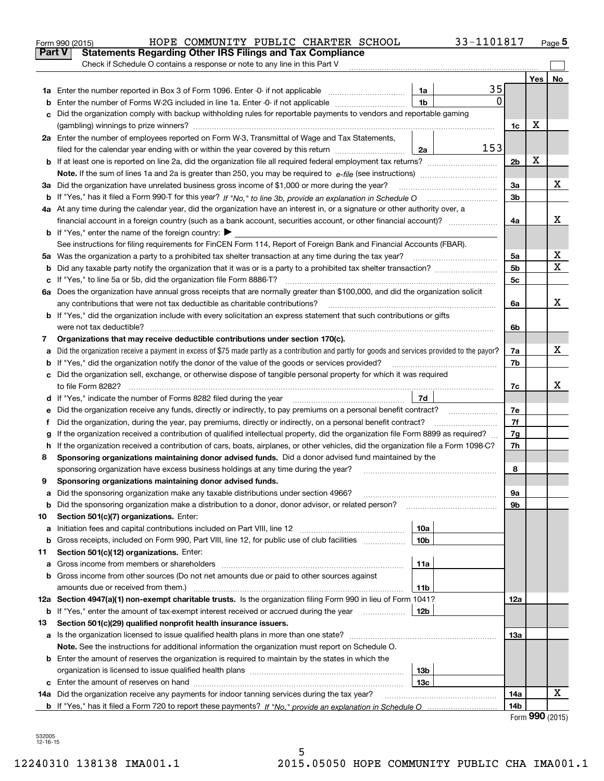|    | HOPE COMMUNITY PUBLIC CHARTER SCHOOL<br>33-1101817<br>Form 990 (2015)                                                                                                                                                                |                |     | Page 5 |  |  |  |  |
|----|--------------------------------------------------------------------------------------------------------------------------------------------------------------------------------------------------------------------------------------|----------------|-----|--------|--|--|--|--|
|    | Part V<br><b>Statements Regarding Other IRS Filings and Tax Compliance</b>                                                                                                                                                           |                |     |        |  |  |  |  |
|    | Check if Schedule O contains a response or note to any line in this Part V                                                                                                                                                           |                |     |        |  |  |  |  |
|    |                                                                                                                                                                                                                                      |                | Yes | No     |  |  |  |  |
|    | 35<br>1a                                                                                                                                                                                                                             |                |     |        |  |  |  |  |
| b  | $\Omega$<br>1 <sub>b</sub><br>Enter the number of Forms W-2G included in line 1a. Enter -0- if not applicable                                                                                                                        |                |     |        |  |  |  |  |
| c  | Did the organization comply with backup withholding rules for reportable payments to vendors and reportable gaming                                                                                                                   |                |     |        |  |  |  |  |
|    |                                                                                                                                                                                                                                      | 1c             | х   |        |  |  |  |  |
|    | 2a Enter the number of employees reported on Form W-3, Transmittal of Wage and Tax Statements,                                                                                                                                       |                |     |        |  |  |  |  |
|    | 153<br>filed for the calendar year ending with or within the year covered by this return<br>2a                                                                                                                                       |                |     |        |  |  |  |  |
|    |                                                                                                                                                                                                                                      | 2 <sub>b</sub> | х   |        |  |  |  |  |
|    |                                                                                                                                                                                                                                      |                |     |        |  |  |  |  |
|    | 3a Did the organization have unrelated business gross income of \$1,000 or more during the year?                                                                                                                                     | За             |     | х      |  |  |  |  |
|    |                                                                                                                                                                                                                                      | 3b             |     |        |  |  |  |  |
|    | 4a At any time during the calendar year, did the organization have an interest in, or a signature or other authority over, a                                                                                                         |                |     |        |  |  |  |  |
|    |                                                                                                                                                                                                                                      | 4a             |     | x      |  |  |  |  |
|    | <b>b</b> If "Yes," enter the name of the foreign country: $\blacktriangleright$                                                                                                                                                      |                |     |        |  |  |  |  |
|    | See instructions for filing requirements for FinCEN Form 114, Report of Foreign Bank and Financial Accounts (FBAR).                                                                                                                  |                |     |        |  |  |  |  |
|    | 5a Was the organization a party to a prohibited tax shelter transaction at any time during the tax year?                                                                                                                             | 5a             |     | х      |  |  |  |  |
| b  |                                                                                                                                                                                                                                      | 5 <sub>b</sub> |     | X      |  |  |  |  |
|    | c If "Yes," to line 5a or 5b, did the organization file Form 8886-T?                                                                                                                                                                 | 5c             |     |        |  |  |  |  |
|    | 6a Does the organization have annual gross receipts that are normally greater than \$100,000, and did the organization solicit                                                                                                       |                |     |        |  |  |  |  |
|    | any contributions that were not tax deductible as charitable contributions?                                                                                                                                                          | 6a             |     | X      |  |  |  |  |
|    | <b>b</b> If "Yes," did the organization include with every solicitation an express statement that such contributions or gifts                                                                                                        |                |     |        |  |  |  |  |
|    | were not tax deductible?                                                                                                                                                                                                             | 6b             |     |        |  |  |  |  |
| 7  | Organizations that may receive deductible contributions under section 170(c).                                                                                                                                                        |                |     |        |  |  |  |  |
| а  | Did the organization receive a payment in excess of \$75 made partly as a contribution and partly for goods and services provided to the payor?                                                                                      |                |     |        |  |  |  |  |
|    | If "Yes," did the organization notify the donor of the value of the goods or services provided?<br>b                                                                                                                                 |                |     |        |  |  |  |  |
|    | c Did the organization sell, exchange, or otherwise dispose of tangible personal property for which it was required                                                                                                                  |                |     |        |  |  |  |  |
|    |                                                                                                                                                                                                                                      | 7c             |     | x      |  |  |  |  |
|    | 7d<br>d If "Yes," indicate the number of Forms 8282 filed during the year [11] [11] The System manuscription of Forms 8282 filed during the year [11] [12] The System manuscription of the Wales of the Wales of the Wales of the Wa |                |     |        |  |  |  |  |
| е  |                                                                                                                                                                                                                                      | 7e             |     |        |  |  |  |  |
| f  | Did the organization, during the year, pay premiums, directly or indirectly, on a personal benefit contract?                                                                                                                         | 7f             |     |        |  |  |  |  |
| g  | If the organization received a contribution of qualified intellectual property, did the organization file Form 8899 as required?                                                                                                     | 7g             |     |        |  |  |  |  |
| h. | If the organization received a contribution of cars, boats, airplanes, or other vehicles, did the organization file a Form 1098-C?                                                                                                   | 7h             |     |        |  |  |  |  |
| 8  | Sponsoring organizations maintaining donor advised funds. Did a donor advised fund maintained by the                                                                                                                                 |                |     |        |  |  |  |  |
|    | sponsoring organization have excess business holdings at any time during the year?                                                                                                                                                   | 8              |     |        |  |  |  |  |
|    | Sponsoring organizations maintaining donor advised funds.                                                                                                                                                                            |                |     |        |  |  |  |  |
| а  | Did the sponsoring organization make any taxable distributions under section 4966?                                                                                                                                                   | 9а             |     |        |  |  |  |  |
| b  | Did the sponsoring organization make a distribution to a donor, donor advisor, or related person?                                                                                                                                    | 9b             |     |        |  |  |  |  |
| 10 | Section 501(c)(7) organizations. Enter:                                                                                                                                                                                              |                |     |        |  |  |  |  |
| а  | 10a<br>Initiation fees and capital contributions included on Part VIII, line 12 <i>manuarrouus</i> manuations of the lates                                                                                                           |                |     |        |  |  |  |  |
| b  | Gross receipts, included on Form 990, Part VIII, line 12, for public use of club facilities<br>10 <sub>b</sub>                                                                                                                       |                |     |        |  |  |  |  |
| 11 | Section 501(c)(12) organizations. Enter:                                                                                                                                                                                             |                |     |        |  |  |  |  |
| a  | 11a<br>Gross income from members or shareholders                                                                                                                                                                                     |                |     |        |  |  |  |  |
| b  | Gross income from other sources (Do not net amounts due or paid to other sources against                                                                                                                                             |                |     |        |  |  |  |  |
|    | amounts due or received from them.)<br>11b                                                                                                                                                                                           |                |     |        |  |  |  |  |
|    | 12a Section 4947(a)(1) non-exempt charitable trusts. Is the organization filing Form 990 in lieu of Form 1041?                                                                                                                       | 12a            |     |        |  |  |  |  |
|    | <b>b</b> If "Yes," enter the amount of tax-exempt interest received or accrued during the year <i>manument</i><br>12b                                                                                                                |                |     |        |  |  |  |  |
| 13 | Section 501(c)(29) qualified nonprofit health insurance issuers.                                                                                                                                                                     |                |     |        |  |  |  |  |
| а  | Is the organization licensed to issue qualified health plans in more than one state?                                                                                                                                                 | 13а            |     |        |  |  |  |  |
|    | Note. See the instructions for additional information the organization must report on Schedule O.                                                                                                                                    |                |     |        |  |  |  |  |
|    | <b>b</b> Enter the amount of reserves the organization is required to maintain by the states in which the                                                                                                                            |                |     |        |  |  |  |  |
|    | 13 <sub>b</sub>                                                                                                                                                                                                                      |                |     |        |  |  |  |  |
|    | 13c                                                                                                                                                                                                                                  |                |     |        |  |  |  |  |
|    | 14a Did the organization receive any payments for indoor tanning services during the tax year?                                                                                                                                       | 14a            |     | х      |  |  |  |  |
|    |                                                                                                                                                                                                                                      | 14b            | nnn |        |  |  |  |  |

| Form 990 (2015) |  |
|-----------------|--|
|-----------------|--|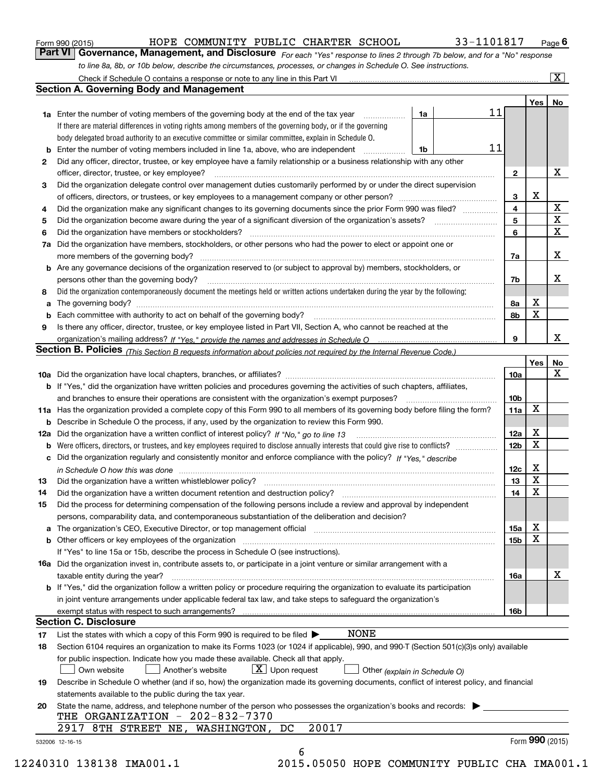| Form 990 (2015) |  |  |
|-----------------|--|--|
|                 |  |  |

## HOPE COMMUNITY PUBLIC CHARTER SCHOOL 33-1101817

*For each "Yes" response to lines 2 through 7b below, and for a "No" response to line 8a, 8b, or 10b below, describe the circumstances, processes, or changes in Schedule O. See instructions.* Form 990 (2015) **COMMONITY PUBLIC CHARTER SCHOOL** 33-1101817 Page 6<br>**Part VI Governance, Management, and Disclosure** *For each "Yes" response to lines 2 through 7b below, and for a "No" response* 

|     |                                                                                                                                                                                                                                                                                                                                                                                                                                                                                             |                               |    |                 | Yes         | No          |
|-----|---------------------------------------------------------------------------------------------------------------------------------------------------------------------------------------------------------------------------------------------------------------------------------------------------------------------------------------------------------------------------------------------------------------------------------------------------------------------------------------------|-------------------------------|----|-----------------|-------------|-------------|
|     | <b>1a</b> Enter the number of voting members of the governing body at the end of the tax year <i>manumum</i>                                                                                                                                                                                                                                                                                                                                                                                | 1a                            | 11 |                 |             |             |
|     | If there are material differences in voting rights among members of the governing body, or if the governing                                                                                                                                                                                                                                                                                                                                                                                 |                               |    |                 |             |             |
|     | body delegated broad authority to an executive committee or similar committee, explain in Schedule O.                                                                                                                                                                                                                                                                                                                                                                                       |                               |    |                 |             |             |
|     | Enter the number of voting members included in line 1a, above, who are independent                                                                                                                                                                                                                                                                                                                                                                                                          | 1b                            | 11 |                 |             |             |
| 2   | Did any officer, director, trustee, or key employee have a family relationship or a business relationship with any other                                                                                                                                                                                                                                                                                                                                                                    |                               |    |                 |             |             |
|     | officer, director, trustee, or key employee?<br>$\begin{minipage}{0.5\textwidth} \begin{tabular}{ l l l } \hline \multicolumn{1}{ l l l } \hline \multicolumn{1}{ l l } \multicolumn{1}{ l } \multicolumn{1}{ l } \multicolumn{1}{ l } \multicolumn{1}{ l } \multicolumn{1}{ l } \multicolumn{1}{ l } \multicolumn{1}{ l } \multicolumn{1}{ l } \multicolumn{1}{ l } \multicolumn{1}{ l } \multicolumn{1}{ l } \multicolumn{1}{ l } \multicolumn{1}{ l } \multicolumn{1}{ l } \multicolumn$ |                               |    | $\mathbf{2}$    |             | х           |
| 3   | Did the organization delegate control over management duties customarily performed by or under the direct supervision                                                                                                                                                                                                                                                                                                                                                                       |                               |    |                 |             |             |
|     |                                                                                                                                                                                                                                                                                                                                                                                                                                                                                             |                               |    | 3               | X           |             |
| 4   | Did the organization make any significant changes to its governing documents since the prior Form 990 was filed?                                                                                                                                                                                                                                                                                                                                                                            |                               |    | 4               |             | X           |
| 5   |                                                                                                                                                                                                                                                                                                                                                                                                                                                                                             |                               |    | 5               |             | $\mathbf X$ |
| 6   |                                                                                                                                                                                                                                                                                                                                                                                                                                                                                             |                               |    | 6               |             | $\mathbf x$ |
| 7a  | Did the organization have members, stockholders, or other persons who had the power to elect or appoint one or                                                                                                                                                                                                                                                                                                                                                                              |                               |    |                 |             |             |
|     |                                                                                                                                                                                                                                                                                                                                                                                                                                                                                             |                               |    | 7a              |             | х           |
|     | <b>b</b> Are any governance decisions of the organization reserved to (or subject to approval by) members, stockholders, or                                                                                                                                                                                                                                                                                                                                                                 |                               |    |                 |             |             |
|     | persons other than the governing body?                                                                                                                                                                                                                                                                                                                                                                                                                                                      |                               |    | 7b              |             | x           |
| 8   | Did the organization contemporaneously document the meetings held or written actions undertaken during the year by the following:                                                                                                                                                                                                                                                                                                                                                           |                               |    |                 |             |             |
| a   |                                                                                                                                                                                                                                                                                                                                                                                                                                                                                             |                               |    | 8a              | х           |             |
|     |                                                                                                                                                                                                                                                                                                                                                                                                                                                                                             |                               |    | 8b              | X           |             |
| 9   | Is there any officer, director, trustee, or key employee listed in Part VII, Section A, who cannot be reached at the                                                                                                                                                                                                                                                                                                                                                                        |                               |    |                 |             |             |
|     |                                                                                                                                                                                                                                                                                                                                                                                                                                                                                             |                               |    | 9               |             | х           |
|     | Section B. Policies (This Section B requests information about policies not required by the Internal Revenue Code.)                                                                                                                                                                                                                                                                                                                                                                         |                               |    |                 |             |             |
|     |                                                                                                                                                                                                                                                                                                                                                                                                                                                                                             |                               |    |                 | Yes         | No          |
|     |                                                                                                                                                                                                                                                                                                                                                                                                                                                                                             |                               |    | 10a             |             | X           |
|     | <b>b</b> If "Yes," did the organization have written policies and procedures governing the activities of such chapters, affiliates,                                                                                                                                                                                                                                                                                                                                                         |                               |    |                 |             |             |
|     |                                                                                                                                                                                                                                                                                                                                                                                                                                                                                             |                               |    | 10 <sub>b</sub> |             |             |
|     | 11a Has the organization provided a complete copy of this Form 990 to all members of its governing body before filing the form?                                                                                                                                                                                                                                                                                                                                                             |                               |    | 11a             | X           |             |
|     | <b>b</b> Describe in Schedule O the process, if any, used by the organization to review this Form 990.                                                                                                                                                                                                                                                                                                                                                                                      |                               |    |                 |             |             |
| 12a |                                                                                                                                                                                                                                                                                                                                                                                                                                                                                             |                               |    | <b>12a</b>      | х           |             |
| b   |                                                                                                                                                                                                                                                                                                                                                                                                                                                                                             |                               |    | 12b             | X           |             |
|     | c Did the organization regularly and consistently monitor and enforce compliance with the policy? If "Yes," describe                                                                                                                                                                                                                                                                                                                                                                        |                               |    |                 |             |             |
|     | in Schedule O how this was done encourance and the control of the control of the control of the control of the                                                                                                                                                                                                                                                                                                                                                                              |                               |    | 12c             | х           |             |
| 13  | Did the organization have a written whistleblower policy?                                                                                                                                                                                                                                                                                                                                                                                                                                   |                               |    | 13              | X           |             |
| 14  | Did the organization have a written document retention and destruction policy? manufactured and the organization have a written document retention and destruction policy?                                                                                                                                                                                                                                                                                                                  |                               |    | 14              | X           |             |
| 15  | Did the process for determining compensation of the following persons include a review and approval by independent                                                                                                                                                                                                                                                                                                                                                                          |                               |    |                 |             |             |
|     | persons, comparability data, and contemporaneous substantiation of the deliberation and decision?                                                                                                                                                                                                                                                                                                                                                                                           |                               |    |                 |             |             |
|     |                                                                                                                                                                                                                                                                                                                                                                                                                                                                                             |                               |    | 15a             | х           |             |
|     |                                                                                                                                                                                                                                                                                                                                                                                                                                                                                             |                               |    | 15 <sub>b</sub> | $\mathbf X$ |             |
|     | If "Yes" to line 15a or 15b, describe the process in Schedule O (see instructions).                                                                                                                                                                                                                                                                                                                                                                                                         |                               |    |                 |             |             |
|     |                                                                                                                                                                                                                                                                                                                                                                                                                                                                                             |                               |    |                 |             |             |
|     | 16a Did the organization invest in, contribute assets to, or participate in a joint venture or similar arrangement with a<br>taxable entity during the year?                                                                                                                                                                                                                                                                                                                                |                               |    | 16a             |             | х           |
|     | <b>b</b> If "Yes," did the organization follow a written policy or procedure requiring the organization to evaluate its participation                                                                                                                                                                                                                                                                                                                                                       |                               |    |                 |             |             |
|     | in joint venture arrangements under applicable federal tax law, and take steps to safeguard the organization's                                                                                                                                                                                                                                                                                                                                                                              |                               |    |                 |             |             |
|     |                                                                                                                                                                                                                                                                                                                                                                                                                                                                                             |                               |    | 16b             |             |             |
|     | <b>Section C. Disclosure</b>                                                                                                                                                                                                                                                                                                                                                                                                                                                                |                               |    |                 |             |             |
|     | <b>NONE</b><br>List the states with which a copy of this Form 990 is required to be filed $\blacktriangleright$                                                                                                                                                                                                                                                                                                                                                                             |                               |    |                 |             |             |
| 17  |                                                                                                                                                                                                                                                                                                                                                                                                                                                                                             |                               |    |                 |             |             |
| 18  | Section 6104 requires an organization to make its Forms 1023 (or 1024 if applicable), 990, and 990-T (Section 501(c)(3)s only) available                                                                                                                                                                                                                                                                                                                                                    |                               |    |                 |             |             |
|     | for public inspection. Indicate how you made these available. Check all that apply.<br>$\boxed{\textbf{X}}$ Upon request                                                                                                                                                                                                                                                                                                                                                                    |                               |    |                 |             |             |
|     | Own website<br>Another's website                                                                                                                                                                                                                                                                                                                                                                                                                                                            | Other (explain in Schedule O) |    |                 |             |             |
| 19  | Describe in Schedule O whether (and if so, how) the organization made its governing documents, conflict of interest policy, and financial                                                                                                                                                                                                                                                                                                                                                   |                               |    |                 |             |             |
|     | statements available to the public during the tax year.                                                                                                                                                                                                                                                                                                                                                                                                                                     |                               |    |                 |             |             |
| 20  | State the name, address, and telephone number of the person who possesses the organization's books and records:                                                                                                                                                                                                                                                                                                                                                                             |                               |    |                 |             |             |
|     | THE ORGANIZATION - 202-832-7370<br>20017<br>WASHINGTON, DC<br>2917 8TH STREET NE,                                                                                                                                                                                                                                                                                                                                                                                                           |                               |    |                 |             |             |
|     |                                                                                                                                                                                                                                                                                                                                                                                                                                                                                             |                               |    |                 |             |             |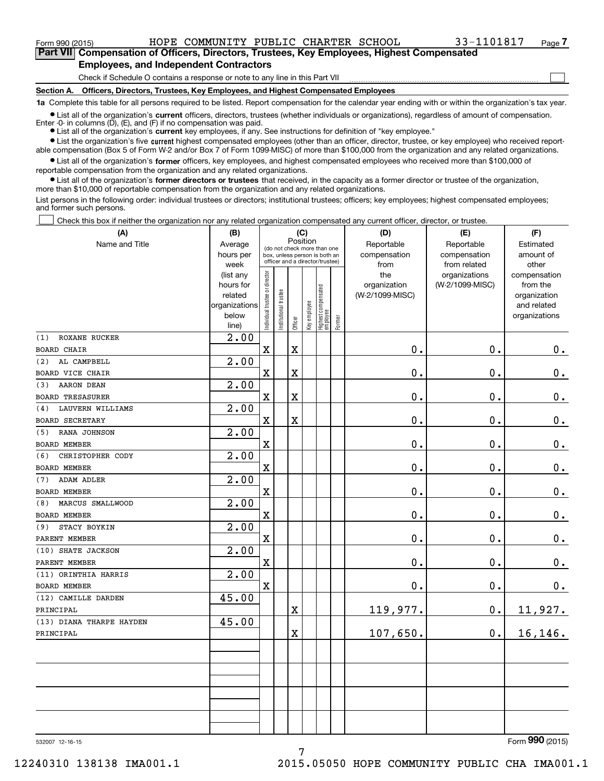**(A)**

 $_{\rm Form}$   $_{990}$  (2015) <code>BOPE COMMUNITY PUBLIC CHARTER SCHOOL</code>  $_{\rm 33-1101817}$   $_{\rm Page}$ 

 $\mathcal{L}^{\text{max}}$ 

**7Part VII Compensation of Officers, Directors, Trustees, Key Employees, Highest Compensated Employees, and Independent Contractors**

Check if Schedule O contains a response or note to any line in this Part VII

**Section A. Officers, Directors, Trustees, Key Employees, and Highest Compensated Employees**

**1a**  Complete this table for all persons required to be listed. Report compensation for the calendar year ending with or within the organization's tax year.

**•** List all of the organization's current officers, directors, trustees (whether individuals or organizations), regardless of amount of compensation. Enter -0- in columns  $(D)$ ,  $(E)$ , and  $(F)$  if no compensation was paid.

● List all of the organization's **current** key employees, if any. See instructions for definition of "key employee."

**•** List the organization's five current highest compensated employees (other than an officer, director, trustee, or key employee) who received reportable compensation (Box 5 of Form W-2 and/or Box 7 of Form 1099-MISC) of more than \$100,000 from the organization and any related organizations.

 $\bullet$  List all of the organization's **former** officers, key employees, and highest compensated employees who received more than \$100,000 of reportable compensation from the organization and any related organizations.

**•** List all of the organization's former directors or trustees that received, in the capacity as a former director or trustee of the organization, more than \$10,000 of reportable compensation from the organization and any related organizations.

List persons in the following order: individual trustees or directors; institutional trustees; officers; key employees; highest compensated employees; and former such persons.

Check this box if neither the organization nor any related organization compensated any current officer, director, or trustee.  $\mathcal{L}^{\text{max}}$ 

| (A)                                        | (B)               |                                |                                                                  | (C)                   |              |                                  |        | (D)             | (E)                           | (F)                   |
|--------------------------------------------|-------------------|--------------------------------|------------------------------------------------------------------|-----------------------|--------------|----------------------------------|--------|-----------------|-------------------------------|-----------------------|
| Name and Title                             | Average           |                                | Position<br>(do not check more than one                          |                       |              |                                  |        | Reportable      | Reportable                    | Estimated             |
|                                            | hours per         |                                | box, unless person is both an<br>officer and a director/trustee) |                       |              |                                  |        | compensation    | compensation                  | amount of             |
|                                            | week<br>(list any |                                |                                                                  |                       |              |                                  |        | from<br>the     | from related<br>organizations | other<br>compensation |
|                                            | hours for         |                                |                                                                  |                       |              |                                  |        | organization    | (W-2/1099-MISC)               | from the              |
|                                            | related           |                                |                                                                  |                       |              |                                  |        | (W-2/1099-MISC) |                               | organization          |
|                                            | organizations     |                                |                                                                  |                       |              |                                  |        |                 |                               | and related           |
|                                            | below             | Individual trustee or director | Institutional trustee                                            | Officer               | Key employee | Highest compensated<br> employee | Former |                 |                               | organizations         |
|                                            | line)             |                                |                                                                  |                       |              |                                  |        |                 |                               |                       |
| ROXANE RUCKER<br>(1)                       | 2.00              |                                |                                                                  |                       |              |                                  |        | 0.              | 0.                            |                       |
| <b>BOARD CHAIR</b>                         |                   | $\mathbf X$                    |                                                                  | X                     |              |                                  |        |                 |                               | 0.                    |
| AL CAMPBELL<br>(2)                         | 2.00              |                                |                                                                  |                       |              |                                  |        | 0.              |                               |                       |
| <b>BOARD VICE CHAIR</b>                    |                   | $\mathbf X$                    |                                                                  | X                     |              |                                  |        |                 | 0.                            | $\mathbf 0$ .         |
| <b>AARON DEAN</b><br>(3)                   | 2.00              |                                |                                                                  |                       |              |                                  |        |                 |                               |                       |
| <b>BOARD TRESASURER</b>                    |                   | $\mathbf x$                    |                                                                  | $\overline{\text{X}}$ |              |                                  |        | 0.              | 0.                            | $\mathbf 0$ .         |
| LAUVERN WILLIAMS<br>(4)                    | 2.00              |                                |                                                                  |                       |              |                                  |        |                 |                               |                       |
| <b>BOARD SECRETARY</b>                     |                   | $\mathbf x$                    |                                                                  | X                     |              |                                  |        | 0.              | 0.                            | $\mathbf 0$ .         |
| RANA JOHNSON<br>(5)<br><b>BOARD MEMBER</b> | 2.00              | $\mathbf X$                    |                                                                  |                       |              |                                  |        | 0.              | 0.                            | $\mathbf 0$ .         |
| CHRISTOPHER CODY<br>(6)                    | 2.00              |                                |                                                                  |                       |              |                                  |        |                 |                               |                       |
| <b>BOARD MEMBER</b>                        |                   | $\mathbf X$                    |                                                                  |                       |              |                                  |        | $\mathbf 0$ .   | 0.                            | $0_{.}$               |
| <b>ADAM ADLER</b><br>(7)                   | 2.00              |                                |                                                                  |                       |              |                                  |        |                 |                               |                       |
| <b>BOARD MEMBER</b>                        |                   | $\mathbf X$                    |                                                                  |                       |              |                                  |        | $\mathbf 0$ .   | 0.                            | $0_{.}$               |
| MARCUS SMALLWOOD<br>(8)                    | 2.00              |                                |                                                                  |                       |              |                                  |        |                 |                               |                       |
| <b>BOARD MEMBER</b>                        |                   | $\mathbf X$                    |                                                                  |                       |              |                                  |        | 0.              | 0.                            | $\mathbf 0$ .         |
| STACY BOYKIN<br>(9)                        | 2.00              |                                |                                                                  |                       |              |                                  |        |                 |                               |                       |
| PARENT MEMBER                              |                   | $\mathbf X$                    |                                                                  |                       |              |                                  |        | 0.              | 0.                            | $\mathbf 0$ .         |
| (10) SHATE JACKSON                         | 2.00              |                                |                                                                  |                       |              |                                  |        |                 |                               |                       |
| PARENT MEMBER                              |                   | $\mathbf x$                    |                                                                  |                       |              |                                  |        | 0.              | 0.                            | $\mathbf 0$ .         |
| (11) ORINTHIA HARRIS                       | 2.00              |                                |                                                                  |                       |              |                                  |        |                 |                               |                       |
| <b>BOARD MEMBER</b>                        |                   | $\mathbf X$                    |                                                                  |                       |              |                                  |        | 0.              | 0.                            | 0.                    |
| (12) CAMILLE DARDEN                        | 45.00             |                                |                                                                  |                       |              |                                  |        |                 |                               |                       |
| PRINCIPAL                                  |                   |                                |                                                                  | X                     |              |                                  |        | 119,977.        | 0.                            | 11,927.               |
| (13) DIANA THARPE HAYDEN                   | 45.00             |                                |                                                                  |                       |              |                                  |        |                 |                               |                       |
| PRINCIPAL                                  |                   |                                |                                                                  | Χ                     |              |                                  |        | 107,650.        | $\mathbf 0$ .                 | 16,146.               |
|                                            |                   |                                |                                                                  |                       |              |                                  |        |                 |                               |                       |
|                                            |                   |                                |                                                                  |                       |              |                                  |        |                 |                               |                       |
|                                            |                   |                                |                                                                  |                       |              |                                  |        |                 |                               |                       |
|                                            |                   |                                |                                                                  |                       |              |                                  |        |                 |                               |                       |
|                                            |                   |                                |                                                                  |                       |              |                                  |        |                 |                               |                       |
|                                            |                   |                                |                                                                  |                       |              |                                  |        |                 |                               |                       |
|                                            |                   |                                |                                                                  |                       |              |                                  |        |                 |                               |                       |
|                                            |                   |                                |                                                                  |                       |              |                                  |        |                 |                               | $\Omega$              |

532007 12-16-15

Form (2015) **990**

12240310 138138 IMA001.1 2015.05050 HOPE COMMUNITY PUBLIC CHA IMA001.1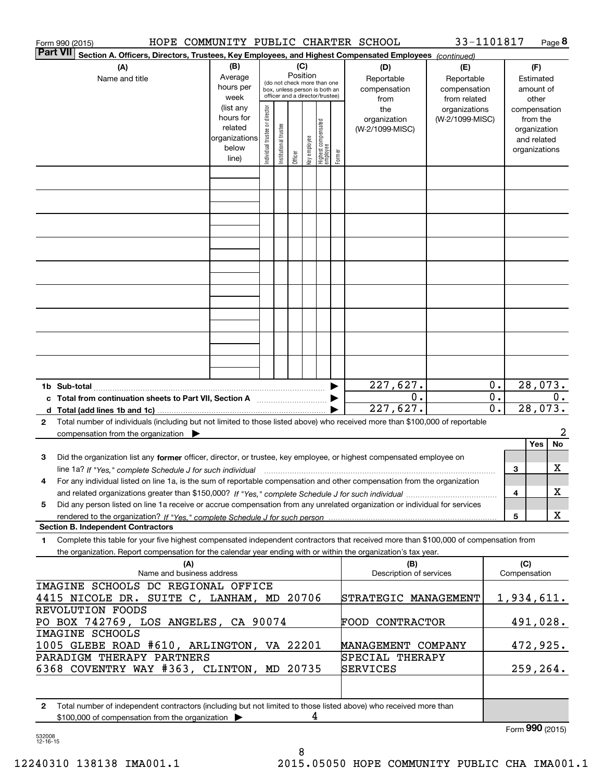|              | HOPE COMMUNITY PUBLIC CHARTER SCHOOL<br>Form 990 (2015)                                                                                                                                  |                        |                                |                       |          |              |                                                                  |        |                                 | 33-1101817      |                  |                 |                          | Page 8 |
|--------------|------------------------------------------------------------------------------------------------------------------------------------------------------------------------------------------|------------------------|--------------------------------|-----------------------|----------|--------------|------------------------------------------------------------------|--------|---------------------------------|-----------------|------------------|-----------------|--------------------------|--------|
|              | <b>Part VII</b><br>Section A. Officers, Directors, Trustees, Key Employees, and Highest Compensated Employees (continued)                                                                |                        |                                |                       |          |              |                                                                  |        |                                 |                 |                  |                 |                          |        |
|              | (A)                                                                                                                                                                                      | (B)                    |                                |                       | (C)      |              |                                                                  |        | (D)                             | (E)             |                  |                 | (F)                      |        |
|              | Name and title                                                                                                                                                                           | Average                |                                |                       | Position |              | (do not check more than one                                      |        | Reportable                      | Reportable      |                  |                 | Estimated                |        |
|              |                                                                                                                                                                                          | hours per              |                                |                       |          |              | box, unless person is both an<br>officer and a director/trustee) |        | compensation                    | compensation    |                  |                 | amount of                |        |
|              |                                                                                                                                                                                          | week                   |                                |                       |          |              |                                                                  |        | from                            | from related    |                  |                 | other                    |        |
|              |                                                                                                                                                                                          | (list any<br>hours for |                                |                       |          |              |                                                                  |        | the                             | organizations   |                  |                 | compensation             |        |
|              |                                                                                                                                                                                          | related                |                                |                       |          |              |                                                                  |        | organization<br>(W-2/1099-MISC) | (W-2/1099-MISC) |                  |                 | from the<br>organization |        |
|              |                                                                                                                                                                                          | organizations          |                                |                       |          |              |                                                                  |        |                                 |                 |                  |                 | and related              |        |
|              |                                                                                                                                                                                          | below                  | Individual trustee or director | Institutional trustee |          |              |                                                                  |        |                                 |                 |                  |                 | organizations            |        |
|              |                                                                                                                                                                                          | line)                  |                                |                       | Officer  | key employee | Highest compensated<br>employee                                  | Former |                                 |                 |                  |                 |                          |        |
|              |                                                                                                                                                                                          |                        |                                |                       |          |              |                                                                  |        |                                 |                 |                  |                 |                          |        |
|              |                                                                                                                                                                                          |                        |                                |                       |          |              |                                                                  |        |                                 |                 |                  |                 |                          |        |
|              |                                                                                                                                                                                          |                        |                                |                       |          |              |                                                                  |        |                                 |                 |                  |                 |                          |        |
|              |                                                                                                                                                                                          |                        |                                |                       |          |              |                                                                  |        |                                 |                 |                  |                 |                          |        |
|              |                                                                                                                                                                                          |                        |                                |                       |          |              |                                                                  |        |                                 |                 |                  |                 |                          |        |
|              |                                                                                                                                                                                          |                        |                                |                       |          |              |                                                                  |        |                                 |                 |                  |                 |                          |        |
|              |                                                                                                                                                                                          |                        |                                |                       |          |              |                                                                  |        |                                 |                 |                  |                 |                          |        |
|              |                                                                                                                                                                                          |                        |                                |                       |          |              |                                                                  |        |                                 |                 |                  |                 |                          |        |
|              |                                                                                                                                                                                          |                        |                                |                       |          |              |                                                                  |        |                                 |                 |                  |                 |                          |        |
|              |                                                                                                                                                                                          |                        |                                |                       |          |              |                                                                  |        |                                 |                 |                  |                 |                          |        |
|              |                                                                                                                                                                                          |                        |                                |                       |          |              |                                                                  |        |                                 |                 |                  |                 |                          |        |
|              |                                                                                                                                                                                          |                        |                                |                       |          |              |                                                                  |        |                                 |                 |                  |                 |                          |        |
|              |                                                                                                                                                                                          |                        |                                |                       |          |              |                                                                  |        |                                 |                 |                  |                 |                          |        |
|              |                                                                                                                                                                                          |                        |                                |                       |          |              |                                                                  |        |                                 |                 |                  |                 |                          |        |
|              |                                                                                                                                                                                          |                        |                                |                       |          |              |                                                                  |        | 227,627.                        |                 | 0.               |                 | 28,073.                  |        |
|              |                                                                                                                                                                                          |                        |                                |                       |          |              |                                                                  |        | $\overline{0}$ .                |                 | $\overline{0}$ . |                 |                          | 0.     |
|              |                                                                                                                                                                                          |                        |                                |                       |          |              |                                                                  |        | 227,627.                        |                 | $\overline{0}$ . |                 | 28,073.                  |        |
| $\mathbf{2}$ | Total number of individuals (including but not limited to those listed above) who received more than \$100,000 of reportable<br>compensation from the organization $\blacktriangleright$ |                        |                                |                       |          |              |                                                                  |        |                                 |                 |                  |                 |                          | 2      |
|              |                                                                                                                                                                                          |                        |                                |                       |          |              |                                                                  |        |                                 |                 |                  |                 | Yes                      | No     |
| з            | Did the organization list any former officer, director, or trustee, key employee, or highest compensated employee on                                                                     |                        |                                |                       |          |              |                                                                  |        |                                 |                 |                  |                 |                          |        |
|              | line 1a? If "Yes," complete Schedule J for such individual manufactured contained and the 1a? If "Yes," complete Schedule J for such individual                                          |                        |                                |                       |          |              |                                                                  |        |                                 |                 |                  | 3               |                          | х      |
| 4            | For any individual listed on line 1a, is the sum of reportable compensation and other compensation from the organization                                                                 |                        |                                |                       |          |              |                                                                  |        |                                 |                 |                  |                 |                          |        |
|              |                                                                                                                                                                                          |                        |                                |                       |          |              |                                                                  |        |                                 |                 |                  | 4               |                          | х      |
| 5            | Did any person listed on line 1a receive or accrue compensation from any unrelated organization or individual for services                                                               |                        |                                |                       |          |              |                                                                  |        |                                 |                 |                  |                 |                          |        |
|              |                                                                                                                                                                                          |                        |                                |                       |          |              |                                                                  |        |                                 |                 |                  | 5               |                          | X      |
|              | <b>Section B. Independent Contractors</b>                                                                                                                                                |                        |                                |                       |          |              |                                                                  |        |                                 |                 |                  |                 |                          |        |
| 1            | Complete this table for your five highest compensated independent contractors that received more than \$100,000 of compensation from                                                     |                        |                                |                       |          |              |                                                                  |        |                                 |                 |                  |                 |                          |        |
|              | the organization. Report compensation for the calendar year ending with or within the organization's tax year.                                                                           |                        |                                |                       |          |              |                                                                  |        |                                 |                 |                  |                 |                          |        |
|              | (A)                                                                                                                                                                                      |                        |                                |                       |          |              |                                                                  |        | (B)<br>Description of services  |                 |                  | (C)             |                          |        |
|              | Name and business address<br>IMAGINE SCHOOLS DC REGIONAL OFFICE                                                                                                                          |                        |                                |                       |          |              |                                                                  |        |                                 |                 |                  | Compensation    |                          |        |
|              | 4415 NICOLE DR. SUITE C, LANHAM, MD 20706                                                                                                                                                |                        |                                |                       |          |              |                                                                  |        | STRATEGIC MANAGEMENT            |                 |                  | 1,934,611.      |                          |        |
|              | REVOLUTION FOODS                                                                                                                                                                         |                        |                                |                       |          |              |                                                                  |        |                                 |                 |                  |                 |                          |        |
|              | PO BOX 742769, LOS ANGELES, CA 90074                                                                                                                                                     |                        |                                |                       |          |              |                                                                  |        | <b>FOOD CONTRACTOR</b>          |                 |                  |                 |                          |        |
|              | IMAGINE SCHOOLS                                                                                                                                                                          |                        |                                |                       |          |              |                                                                  |        |                                 |                 |                  |                 | 491,028.                 |        |
|              |                                                                                                                                                                                          |                        |                                |                       |          |              |                                                                  |        | MANAGEMENT COMPANY              |                 |                  |                 |                          |        |
|              | 1005 GLEBE ROAD #610, ARLINGTON, VA 22201<br>PARADIGM THERAPY PARTNERS                                                                                                                   |                        |                                |                       |          |              |                                                                  |        | SPECIAL THERAPY                 |                 |                  |                 | 472,925.                 |        |
|              | 6368 COVENTRY WAY #363, CLINTON, MD 20735                                                                                                                                                |                        |                                |                       |          |              |                                                                  |        | SERVICES                        |                 |                  |                 | 259, 264.                |        |
|              |                                                                                                                                                                                          |                        |                                |                       |          |              |                                                                  |        |                                 |                 |                  |                 |                          |        |
|              |                                                                                                                                                                                          |                        |                                |                       |          |              |                                                                  |        |                                 |                 |                  |                 |                          |        |
| 2            | Total number of independent contractors (including but not limited to those listed above) who received more than                                                                         |                        |                                |                       |          | 4            |                                                                  |        |                                 |                 |                  |                 |                          |        |
|              | \$100,000 of compensation from the organization                                                                                                                                          |                        |                                |                       |          |              |                                                                  |        |                                 |                 |                  | Form 990 (2015) |                          |        |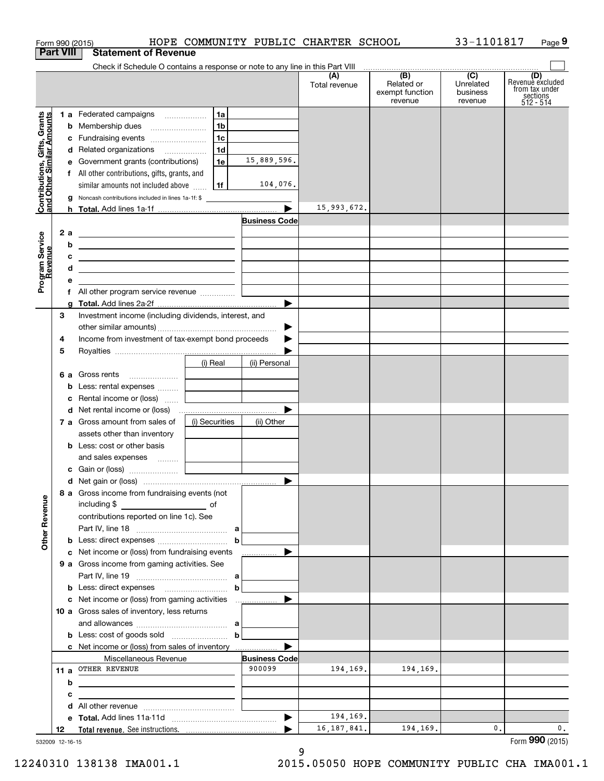| Form 990 (2015)                                           |                                                                                                                       |                                              |                      | HOPE COMMUNITY PUBLIC CHARTER SCHOOL |                                                                                                                                                                                                                                                                                                                                                                                                                                                                            | 33-1101817                       | Page 9                                                             |
|-----------------------------------------------------------|-----------------------------------------------------------------------------------------------------------------------|----------------------------------------------|----------------------|--------------------------------------|----------------------------------------------------------------------------------------------------------------------------------------------------------------------------------------------------------------------------------------------------------------------------------------------------------------------------------------------------------------------------------------------------------------------------------------------------------------------------|----------------------------------|--------------------------------------------------------------------|
| <b>Part VIII</b>                                          | <b>Statement of Revenue</b>                                                                                           |                                              |                      |                                      |                                                                                                                                                                                                                                                                                                                                                                                                                                                                            |                                  |                                                                    |
|                                                           | Check if Schedule O contains a response or note to any line in this Part VIII                                         |                                              |                      | (A)<br>Total revenue                 | $\begin{array}{c c c c c c} \hline \multicolumn{3}{c }{(B)} & (C) & \multicolumn{3}{c }{\phantom{a}5} & \multicolumn{3}{c }{\phantom{a}5} & \multicolumn{3}{c }{\phantom{a}5} & \multicolumn{3}{c }{\phantom{a}5} & \multicolumn{3}{c }{\phantom{a}5} & \multicolumn{3}{c }{\phantom{a}5} & \multicolumn{3}{c }{\phantom{a}5} & \multicolumn{3}{c }{\phantom{a}5} & \multicolumn{3}{c }{\phantom{a}5} & \multicolumn{3}{c }{\$<br>Related or<br>exempt function<br>revenue | Unrelated<br>business<br>revenue | (D)<br>Revenue excluded<br>from tax under<br>sections<br>512 - 514 |
|                                                           | 1 a Federated campaigns                                                                                               | 1a                                           |                      |                                      |                                                                                                                                                                                                                                                                                                                                                                                                                                                                            |                                  |                                                                    |
|                                                           | <b>b</b> Membership dues                                                                                              | 1 <sub>b</sub>                               |                      |                                      |                                                                                                                                                                                                                                                                                                                                                                                                                                                                            |                                  |                                                                    |
|                                                           | c Fundraising events                                                                                                  | 1 <sub>c</sub>                               |                      |                                      |                                                                                                                                                                                                                                                                                                                                                                                                                                                                            |                                  |                                                                    |
|                                                           | d Related organizations                                                                                               | 1 <sub>d</sub>                               |                      |                                      |                                                                                                                                                                                                                                                                                                                                                                                                                                                                            |                                  |                                                                    |
|                                                           | e Government grants (contributions)                                                                                   | 1e                                           | 15,889,596.          |                                      |                                                                                                                                                                                                                                                                                                                                                                                                                                                                            |                                  |                                                                    |
|                                                           | f All other contributions, gifts, grants, and                                                                         |                                              |                      |                                      |                                                                                                                                                                                                                                                                                                                                                                                                                                                                            |                                  |                                                                    |
|                                                           | similar amounts not included above                                                                                    | 1f                                           | 104,076.             |                                      |                                                                                                                                                                                                                                                                                                                                                                                                                                                                            |                                  |                                                                    |
| Contributions, Gifts, Grants<br>and Other Similar Amounts | g Noncash contributions included in lines 1a-1f: \$                                                                   |                                              |                      | 15,993,672.                          |                                                                                                                                                                                                                                                                                                                                                                                                                                                                            |                                  |                                                                    |
|                                                           |                                                                                                                       |                                              | <b>Business Code</b> |                                      |                                                                                                                                                                                                                                                                                                                                                                                                                                                                            |                                  |                                                                    |
| 2 a                                                       | <u> Alexandria de la contrada de la contrada de la contrada de la contrada de la contrada de la contrada de la c</u>  |                                              |                      |                                      |                                                                                                                                                                                                                                                                                                                                                                                                                                                                            |                                  |                                                                    |
| b                                                         | <u> 1989 - Johann Harry Harry Harry Harry Harry Harry Harry Harry Harry Harry Harry Harry Harry Harry Harry Harry</u> |                                              |                      |                                      |                                                                                                                                                                                                                                                                                                                                                                                                                                                                            |                                  |                                                                    |
| c                                                         | <u> 1989 - Johann Barn, fransk politik amerikansk politik (</u>                                                       |                                              |                      |                                      |                                                                                                                                                                                                                                                                                                                                                                                                                                                                            |                                  |                                                                    |
| Program Service<br>Revenue<br>d                           | <u> 1989 - Johann Stein, mars an de Frankryk († 1958)</u>                                                             |                                              |                      |                                      |                                                                                                                                                                                                                                                                                                                                                                                                                                                                            |                                  |                                                                    |
| е                                                         |                                                                                                                       | <u> 1980 - Andrea Andrew Maria (b. 1980)</u> |                      |                                      |                                                                                                                                                                                                                                                                                                                                                                                                                                                                            |                                  |                                                                    |
|                                                           | f All other program service revenue                                                                                   |                                              |                      |                                      |                                                                                                                                                                                                                                                                                                                                                                                                                                                                            |                                  |                                                                    |
| a                                                         |                                                                                                                       |                                              |                      |                                      |                                                                                                                                                                                                                                                                                                                                                                                                                                                                            |                                  |                                                                    |
| 3                                                         | Investment income (including dividends, interest, and                                                                 |                                              |                      |                                      |                                                                                                                                                                                                                                                                                                                                                                                                                                                                            |                                  |                                                                    |
|                                                           |                                                                                                                       |                                              |                      |                                      |                                                                                                                                                                                                                                                                                                                                                                                                                                                                            |                                  |                                                                    |
| 4                                                         | Income from investment of tax-exempt bond proceeds                                                                    |                                              |                      |                                      |                                                                                                                                                                                                                                                                                                                                                                                                                                                                            |                                  |                                                                    |
| 5                                                         |                                                                                                                       |                                              |                      |                                      |                                                                                                                                                                                                                                                                                                                                                                                                                                                                            |                                  |                                                                    |
|                                                           |                                                                                                                       | (i) Real                                     | (ii) Personal        |                                      |                                                                                                                                                                                                                                                                                                                                                                                                                                                                            |                                  |                                                                    |
|                                                           | 6 a Gross rents                                                                                                       | and the control of the control of            |                      |                                      |                                                                                                                                                                                                                                                                                                                                                                                                                                                                            |                                  |                                                                    |
|                                                           | <b>b</b> Less: rental expenses                                                                                        |                                              |                      |                                      |                                                                                                                                                                                                                                                                                                                                                                                                                                                                            |                                  |                                                                    |
|                                                           | c Rental income or (loss)                                                                                             | and the control of the control of            |                      |                                      |                                                                                                                                                                                                                                                                                                                                                                                                                                                                            |                                  |                                                                    |
|                                                           |                                                                                                                       |                                              |                      |                                      |                                                                                                                                                                                                                                                                                                                                                                                                                                                                            |                                  |                                                                    |
|                                                           | 7 a Gross amount from sales of<br>assets other than inventory                                                         | (i) Securities                               | (ii) Other           |                                      |                                                                                                                                                                                                                                                                                                                                                                                                                                                                            |                                  |                                                                    |
|                                                           | <b>b</b> Less: cost or other basis                                                                                    |                                              |                      |                                      |                                                                                                                                                                                                                                                                                                                                                                                                                                                                            |                                  |                                                                    |
|                                                           | and sales expenses                                                                                                    |                                              |                      |                                      |                                                                                                                                                                                                                                                                                                                                                                                                                                                                            |                                  |                                                                    |
|                                                           |                                                                                                                       |                                              |                      |                                      |                                                                                                                                                                                                                                                                                                                                                                                                                                                                            |                                  |                                                                    |
|                                                           |                                                                                                                       |                                              |                      |                                      |                                                                                                                                                                                                                                                                                                                                                                                                                                                                            |                                  |                                                                    |
|                                                           | 8 a Gross income from fundraising events (not<br>including \$                                                         |                                              |                      |                                      |                                                                                                                                                                                                                                                                                                                                                                                                                                                                            |                                  |                                                                    |
|                                                           | contributions reported on line 1c). See                                                                               |                                              |                      |                                      |                                                                                                                                                                                                                                                                                                                                                                                                                                                                            |                                  |                                                                    |
| <b>Other Revenue</b>                                      |                                                                                                                       |                                              |                      |                                      |                                                                                                                                                                                                                                                                                                                                                                                                                                                                            |                                  |                                                                    |
|                                                           |                                                                                                                       | $\mathbf b$                                  |                      |                                      |                                                                                                                                                                                                                                                                                                                                                                                                                                                                            |                                  |                                                                    |
|                                                           | c Net income or (loss) from fundraising events                                                                        |                                              | .                    |                                      |                                                                                                                                                                                                                                                                                                                                                                                                                                                                            |                                  |                                                                    |
|                                                           | 9 a Gross income from gaming activities. See                                                                          |                                              |                      |                                      |                                                                                                                                                                                                                                                                                                                                                                                                                                                                            |                                  |                                                                    |
|                                                           |                                                                                                                       |                                              |                      |                                      |                                                                                                                                                                                                                                                                                                                                                                                                                                                                            |                                  |                                                                    |
|                                                           |                                                                                                                       | $\mathbf b$                                  |                      |                                      |                                                                                                                                                                                                                                                                                                                                                                                                                                                                            |                                  |                                                                    |
|                                                           |                                                                                                                       |                                              |                      |                                      |                                                                                                                                                                                                                                                                                                                                                                                                                                                                            |                                  |                                                                    |
|                                                           | 10 a Gross sales of inventory, less returns                                                                           |                                              |                      |                                      |                                                                                                                                                                                                                                                                                                                                                                                                                                                                            |                                  |                                                                    |
|                                                           |                                                                                                                       |                                              |                      |                                      |                                                                                                                                                                                                                                                                                                                                                                                                                                                                            |                                  |                                                                    |
|                                                           | <b>b</b> Less: cost of goods sold $\begin{bmatrix} b & b \end{bmatrix}$                                               |                                              |                      |                                      |                                                                                                                                                                                                                                                                                                                                                                                                                                                                            |                                  |                                                                    |
|                                                           | c Net income or (loss) from sales of inventory                                                                        |                                              |                      |                                      |                                                                                                                                                                                                                                                                                                                                                                                                                                                                            |                                  |                                                                    |
|                                                           | Miscellaneous Revenue                                                                                                 |                                              | <b>Business Code</b> |                                      |                                                                                                                                                                                                                                                                                                                                                                                                                                                                            |                                  |                                                                    |
|                                                           | 11 a OTHER REVENUE                                                                                                    |                                              | 900099               | 194,169.                             | 194,169.                                                                                                                                                                                                                                                                                                                                                                                                                                                                   |                                  |                                                                    |
| b                                                         | the control of the control of the control of the control of the control of the control of                             |                                              |                      |                                      |                                                                                                                                                                                                                                                                                                                                                                                                                                                                            |                                  |                                                                    |
| c                                                         | the control of the control of the control of the control of the control of the control of                             |                                              |                      |                                      |                                                                                                                                                                                                                                                                                                                                                                                                                                                                            |                                  |                                                                    |
|                                                           |                                                                                                                       |                                              |                      |                                      |                                                                                                                                                                                                                                                                                                                                                                                                                                                                            |                                  |                                                                    |
|                                                           |                                                                                                                       |                                              |                      | 194,169.                             |                                                                                                                                                                                                                                                                                                                                                                                                                                                                            |                                  |                                                                    |
| 12                                                        |                                                                                                                       |                                              |                      | 16, 187, 841.                        | 194,169.                                                                                                                                                                                                                                                                                                                                                                                                                                                                   | 0.                               | 0.<br>Form 990 (2015)                                              |

532009 12-16-15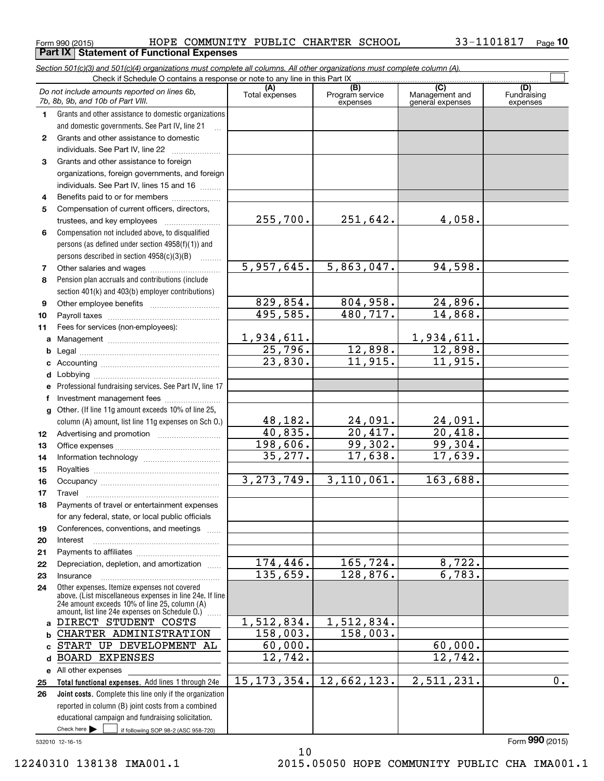$_{\rm Form}$   $_{990}$  (2015) <code>BOPE COMMUNITY PUBLIC CHARTER SCHOOL</code>  $_{\rm 33-1101817}$   $_{\rm Page}$ **Part IX | Statement of Functional Expenses** 

**10**

|              | Section 501(c)(3) and 501(c)(4) organizations must complete all columns. All other organizations must complete column (A).<br>Check if Schedule O contains a response or note to any line in this Part IX |                       |                        |                       |                    |
|--------------|-----------------------------------------------------------------------------------------------------------------------------------------------------------------------------------------------------------|-----------------------|------------------------|-----------------------|--------------------|
|              | Do not include amounts reported on lines 6b,                                                                                                                                                              | (A)<br>Total expenses | (B)<br>Program service | (C)<br>Management and | (D)<br>Fundraising |
|              | 7b, 8b, 9b, and 10b of Part VIII.                                                                                                                                                                         |                       | expenses               | general expenses      | expenses           |
| 1.           | Grants and other assistance to domestic organizations                                                                                                                                                     |                       |                        |                       |                    |
|              | and domestic governments. See Part IV, line 21                                                                                                                                                            |                       |                        |                       |                    |
| $\mathbf{2}$ | Grants and other assistance to domestic                                                                                                                                                                   |                       |                        |                       |                    |
|              | individuals. See Part IV, line 22                                                                                                                                                                         |                       |                        |                       |                    |
| 3            | Grants and other assistance to foreign                                                                                                                                                                    |                       |                        |                       |                    |
|              | organizations, foreign governments, and foreign                                                                                                                                                           |                       |                        |                       |                    |
|              | individuals. See Part IV, lines 15 and 16                                                                                                                                                                 |                       |                        |                       |                    |
| 4            | Benefits paid to or for members                                                                                                                                                                           |                       |                        |                       |                    |
| 5            | Compensation of current officers, directors,                                                                                                                                                              | 255,700.              | 251,642.               | 4,058.                |                    |
|              | trustees, and key employees<br>Compensation not included above, to disqualified                                                                                                                           |                       |                        |                       |                    |
| 6            | persons (as defined under section 4958(f)(1)) and                                                                                                                                                         |                       |                        |                       |                    |
|              | persons described in section 4958(c)(3)(B)                                                                                                                                                                |                       |                        |                       |                    |
| 7            | 1.1.1.1.1.1.1                                                                                                                                                                                             | 5,957,645.            | 5,863,047.             | 94,598.               |                    |
| 8            | Pension plan accruals and contributions (include                                                                                                                                                          |                       |                        |                       |                    |
|              | section 401(k) and 403(b) employer contributions)                                                                                                                                                         |                       |                        |                       |                    |
| 9            |                                                                                                                                                                                                           | 829,854.              | 804,958.               | 24,896.               |                    |
| 10           |                                                                                                                                                                                                           | 495,585.              | 480, 717.              | 14,868.               |                    |
| 11           | Fees for services (non-employees):                                                                                                                                                                        |                       |                        |                       |                    |
| а            |                                                                                                                                                                                                           | 1,934,611.            |                        | 1,934,611.            |                    |
| b            |                                                                                                                                                                                                           | 25,796.               | 12,898.                | 12,898.               |                    |
| c            |                                                                                                                                                                                                           | 23,830.               | 11,915.                | 11,915.               |                    |
| d            |                                                                                                                                                                                                           |                       |                        |                       |                    |
| e            | Professional fundraising services. See Part IV, line 17                                                                                                                                                   |                       |                        |                       |                    |
| f            | Investment management fees                                                                                                                                                                                |                       |                        |                       |                    |
| $\mathbf{q}$ | Other. (If line 11g amount exceeds 10% of line 25,                                                                                                                                                        |                       |                        |                       |                    |
|              | column (A) amount, list line 11g expenses on Sch 0.)                                                                                                                                                      | 48,182.               | 24,091.                | 24,091.               |                    |
| 12           |                                                                                                                                                                                                           | 40,835.               | 20,417.                | 20,418.               |                    |
| 13           |                                                                                                                                                                                                           | 198,606.              | 99,302.                | $\overline{99,304}$ . |                    |
| 14           |                                                                                                                                                                                                           | 35, 277.              | 17,638.                | 17,639.               |                    |
| 15           |                                                                                                                                                                                                           |                       |                        |                       |                    |
| 16           |                                                                                                                                                                                                           | 3, 273, 749.          | 3, 110, 061.           | 163,688.              |                    |
| 17           |                                                                                                                                                                                                           |                       |                        |                       |                    |
| 18           | Payments of travel or entertainment expenses<br>for any federal, state, or local public officials                                                                                                         |                       |                        |                       |                    |
|              | Conferences, conventions, and meetings                                                                                                                                                                    |                       |                        |                       |                    |
| 19<br>20     | Interest                                                                                                                                                                                                  |                       |                        |                       |                    |
| 21           |                                                                                                                                                                                                           |                       |                        |                       |                    |
| 22           | Depreciation, depletion, and amortization                                                                                                                                                                 | 174,446.              | 165,724.               | 8,722.                |                    |
| 23           | Insurance                                                                                                                                                                                                 | 135,659.              | 128,876.               | 6,783.                |                    |
| 24           | Other expenses. Itemize expenses not covered                                                                                                                                                              |                       |                        |                       |                    |
|              | above. (List miscellaneous expenses in line 24e. If line                                                                                                                                                  |                       |                        |                       |                    |
|              | 24e amount exceeds 10% of line 25, column (A)<br>amount, list line 24e expenses on Schedule 0.)                                                                                                           |                       |                        |                       |                    |
| a            | DIRECT STUDENT COSTS                                                                                                                                                                                      | 1,512,834.            | 1,512,834.             |                       |                    |
| b            | CHARTER ADMINISTRATION                                                                                                                                                                                    | 158,003.              | 158,003.               |                       |                    |
|              | START UP DEVELOPMENT AL                                                                                                                                                                                   | 60,000.               |                        | 60,000.               |                    |
| d            | <b>BOARD EXPENSES</b>                                                                                                                                                                                     | 12,742.               |                        | 12,742.               |                    |
|              | e All other expenses                                                                                                                                                                                      |                       |                        |                       |                    |
| 25           | Total functional expenses. Add lines 1 through 24e                                                                                                                                                        | 15, 173, 354.         | 12,662,123.            | 2,511,231.            | 0.                 |
| 26           | Joint costs. Complete this line only if the organization                                                                                                                                                  |                       |                        |                       |                    |
|              | reported in column (B) joint costs from a combined                                                                                                                                                        |                       |                        |                       |                    |
|              | educational campaign and fundraising solicitation.                                                                                                                                                        |                       |                        |                       |                    |
|              | Check here<br>if following SOP 98-2 (ASC 958-720)<br>532010 12-16-15                                                                                                                                      |                       |                        |                       | Form 990 (2015)    |
|              |                                                                                                                                                                                                           |                       |                        |                       |                    |

10

12240310 138138 IMA001.1 2015.05050 HOPE COMMUNITY PUBLIC CHA IMA001.1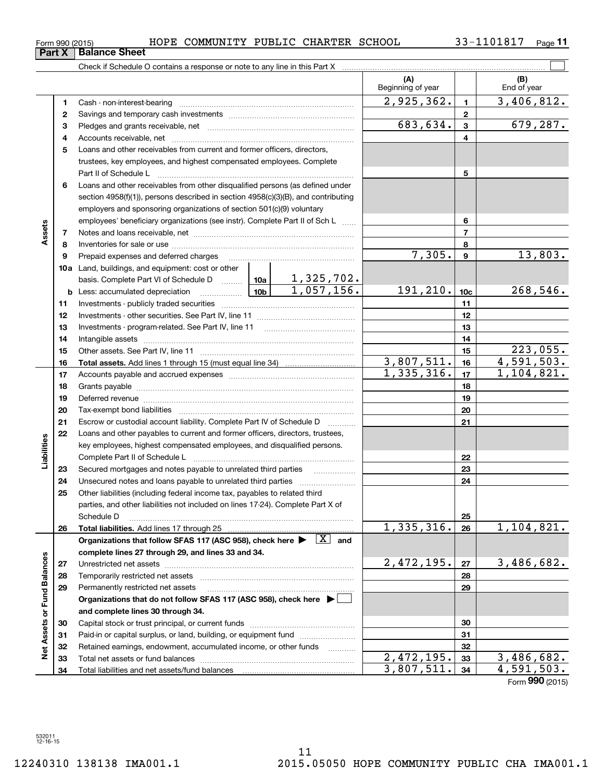| <b>Sheet</b>                                                           |  |
|------------------------------------------------------------------------|--|
| $h$ adula $\cap$ aantaina a raananaa ar nata ta amulina in thia Dart V |  |

|                             |    |                                                                                                                                     |                                                                                                                                                            |          | (A)<br>Beginning of year   |                 | (B)<br>End of year |
|-----------------------------|----|-------------------------------------------------------------------------------------------------------------------------------------|------------------------------------------------------------------------------------------------------------------------------------------------------------|----------|----------------------------|-----------------|--------------------|
|                             | 1  |                                                                                                                                     |                                                                                                                                                            |          | 2,925,362.                 | $\blacksquare$  | 3,406,812.         |
|                             | 2  |                                                                                                                                     |                                                                                                                                                            |          |                            | $\mathbf{2}$    |                    |
|                             | з  |                                                                                                                                     |                                                                                                                                                            |          | 683,634.                   | 3               | 679,287.           |
|                             | 4  |                                                                                                                                     |                                                                                                                                                            |          |                            | 4               |                    |
|                             | 5  | Loans and other receivables from current and former officers, directors,                                                            |                                                                                                                                                            |          |                            |                 |                    |
|                             |    | trustees, key employees, and highest compensated employees. Complete                                                                |                                                                                                                                                            |          |                            |                 |                    |
|                             |    |                                                                                                                                     |                                                                                                                                                            |          |                            | 5               |                    |
|                             | 6  | Loans and other receivables from other disqualified persons (as defined under                                                       |                                                                                                                                                            |          |                            |                 |                    |
|                             |    |                                                                                                                                     |                                                                                                                                                            |          |                            |                 |                    |
|                             |    |                                                                                                                                     | section 4958(f)(1)), persons described in section 4958(c)(3)(B), and contributing<br>employers and sponsoring organizations of section 501(c)(9) voluntary |          |                            |                 |                    |
|                             |    | employees' beneficiary organizations (see instr). Complete Part II of Sch L                                                         |                                                                                                                                                            |          |                            | 6               |                    |
| Assets                      | 7  |                                                                                                                                     |                                                                                                                                                            |          |                            | 7               |                    |
|                             | 8  |                                                                                                                                     |                                                                                                                                                            |          |                            | 8               |                    |
|                             | 9  |                                                                                                                                     |                                                                                                                                                            |          | 7,305.                     | 9               | 13,803.            |
|                             |    | 10a Land, buildings, and equipment: cost or other                                                                                   |                                                                                                                                                            |          |                            |                 |                    |
|                             |    |                                                                                                                                     |                                                                                                                                                            |          |                            |                 |                    |
|                             |    |                                                                                                                                     |                                                                                                                                                            |          | 191,210.                   | 10 <sub>c</sub> | 268,546.           |
|                             | 11 |                                                                                                                                     |                                                                                                                                                            |          |                            | 11              |                    |
|                             | 12 |                                                                                                                                     |                                                                                                                                                            |          |                            | 12              |                    |
|                             | 13 |                                                                                                                                     |                                                                                                                                                            |          |                            | 13              |                    |
|                             | 14 |                                                                                                                                     |                                                                                                                                                            | 14       |                            |                 |                    |
|                             | 15 |                                                                                                                                     |                                                                                                                                                            |          |                            | 15              | 223,055.           |
|                             | 16 |                                                                                                                                     |                                                                                                                                                            |          | 3,807,511.                 | 16              | 4,591,503.         |
|                             | 17 |                                                                                                                                     | 1,335,316.                                                                                                                                                 | 17       | 1,104,821.                 |                 |                    |
|                             | 18 |                                                                                                                                     |                                                                                                                                                            | 18       |                            |                 |                    |
|                             | 19 |                                                                                                                                     |                                                                                                                                                            |          | 19                         |                 |                    |
|                             | 20 |                                                                                                                                     |                                                                                                                                                            | 20       |                            |                 |                    |
|                             | 21 | Escrow or custodial account liability. Complete Part IV of Schedule D                                                               |                                                                                                                                                            |          |                            | 21              |                    |
|                             | 22 | Loans and other payables to current and former officers, directors, trustees,                                                       |                                                                                                                                                            |          |                            |                 |                    |
| Liabilities                 |    | key employees, highest compensated employees, and disqualified persons.                                                             |                                                                                                                                                            |          |                            |                 |                    |
|                             |    |                                                                                                                                     |                                                                                                                                                            |          |                            | 22              |                    |
|                             | 23 | Secured mortgages and notes payable to unrelated third parties                                                                      |                                                                                                                                                            |          |                            | 23              |                    |
|                             | 24 |                                                                                                                                     |                                                                                                                                                            |          |                            | 24              |                    |
|                             | 25 | Other liabilities (including federal income tax, payables to related third                                                          |                                                                                                                                                            |          |                            |                 |                    |
|                             |    | parties, and other liabilities not included on lines 17-24). Complete Part X of                                                     |                                                                                                                                                            |          |                            |                 |                    |
|                             |    | Schedule D                                                                                                                          |                                                                                                                                                            |          |                            | 25              |                    |
|                             | 26 |                                                                                                                                     |                                                                                                                                                            |          | 1,335,316.                 | 26              | 1,104,821.         |
|                             |    | Organizations that follow SFAS 117 (ASC 958), check here $\blacktriangleright \begin{array}{ c } \hline X & \text{and} \end{array}$ |                                                                                                                                                            |          |                            |                 |                    |
|                             |    | complete lines 27 through 29, and lines 33 and 34.                                                                                  |                                                                                                                                                            |          |                            |                 |                    |
|                             | 27 |                                                                                                                                     |                                                                                                                                                            |          | 2,472,195.                 | 27              | 3,486,682.         |
|                             | 28 | Temporarily restricted net assets                                                                                                   |                                                                                                                                                            |          |                            | 28              |                    |
| Net Assets or Fund Balances | 29 | Permanently restricted net assets                                                                                                   |                                                                                                                                                            |          |                            | 29              |                    |
|                             |    | Organizations that do not follow SFAS 117 (ASC 958), check here $\blacktriangleright$                                               |                                                                                                                                                            |          |                            |                 |                    |
|                             |    | and complete lines 30 through 34.                                                                                                   |                                                                                                                                                            |          |                            |                 |                    |
|                             | 30 |                                                                                                                                     |                                                                                                                                                            |          |                            | 30              |                    |
|                             | 31 | Paid-in or capital surplus, or land, building, or equipment fund                                                                    |                                                                                                                                                            |          |                            | 31              |                    |
|                             | 32 | Retained earnings, endowment, accumulated income, or other funds                                                                    |                                                                                                                                                            | $\cdots$ |                            | 32              |                    |
|                             | 33 | Total net assets or fund balances                                                                                                   |                                                                                                                                                            |          | $\overline{2, 472}$ , 195. | 33              | 3,486,682.         |
|                             | 34 |                                                                                                                                     | 3,807,511.                                                                                                                                                 | 34       | 4,591,503.                 |                 |                    |

Form (2015) **990**

**Part X Balance**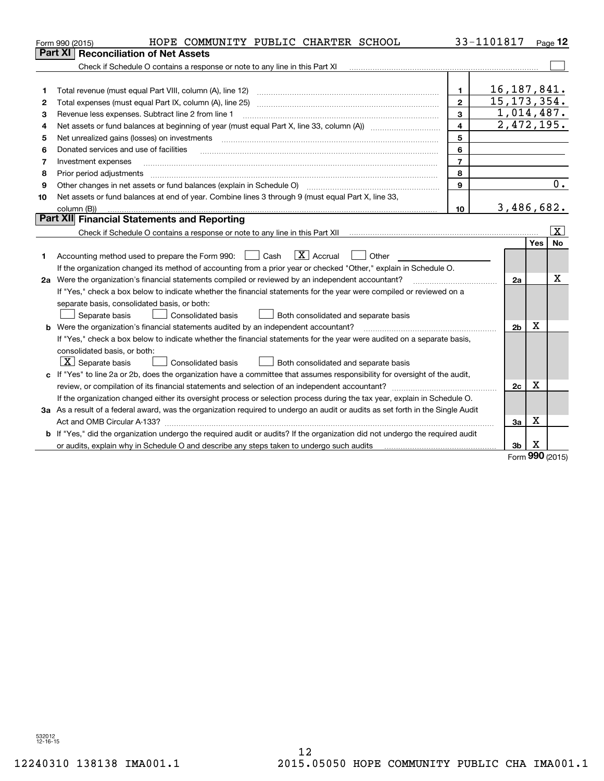|    | HOPE COMMUNITY PUBLIC CHARTER SCHOOL<br>Form 990 (2015)                                                                                                           |                         | 33-1101817               |                 | Page 12                 |
|----|-------------------------------------------------------------------------------------------------------------------------------------------------------------------|-------------------------|--------------------------|-----------------|-------------------------|
|    | Part XI<br><b>Reconciliation of Net Assets</b>                                                                                                                    |                         |                          |                 |                         |
|    | Check if Schedule O contains a response or note to any line in this Part XI [11] [12] Check if Schedule O contains a response or note to any line in this Part XI |                         |                          |                 |                         |
|    |                                                                                                                                                                   |                         |                          |                 |                         |
| 1  | Total revenue (must equal Part VIII, column (A), line 12)                                                                                                         | $\mathbf{1}$            | 16, 187, 841.            |                 |                         |
| 2  |                                                                                                                                                                   | $\mathbf{2}$            | 15, 173, 354.            |                 |                         |
| з  | Revenue less expenses. Subtract line 2 from line 1                                                                                                                | 3                       | 1,014,487.               |                 |                         |
| 4  |                                                                                                                                                                   | $\overline{\mathbf{4}}$ | $\overline{2,472,195}$ . |                 |                         |
| 5  | Net unrealized gains (losses) on investments                                                                                                                      | 5                       |                          |                 |                         |
| 6  | Donated services and use of facilities                                                                                                                            | 6                       |                          |                 |                         |
| 7  | Investment expenses                                                                                                                                               | $\overline{7}$          |                          |                 |                         |
| 8  | Prior period adjustments                                                                                                                                          | 8                       |                          |                 |                         |
| 9  |                                                                                                                                                                   | 9                       |                          |                 | 0.                      |
| 10 | Net assets or fund balances at end of year. Combine lines 3 through 9 (must equal Part X, line 33,                                                                |                         |                          |                 |                         |
|    | column (B))                                                                                                                                                       | 10                      | 3,486,682.               |                 |                         |
|    | <b>Part XII</b> Financial Statements and Reporting                                                                                                                |                         |                          |                 |                         |
|    |                                                                                                                                                                   |                         |                          |                 | $\overline{\mathbf{x}}$ |
|    |                                                                                                                                                                   |                         |                          | <b>Yes</b>      | <b>No</b>               |
| 1  | $\mathbf{X}$ Accrual<br>Accounting method used to prepare the Form 990: <u>June</u> Cash<br>Other                                                                 |                         |                          |                 |                         |
|    | If the organization changed its method of accounting from a prior year or checked "Other," explain in Schedule O.                                                 |                         |                          |                 |                         |
|    |                                                                                                                                                                   |                         | 2a                       |                 | Х                       |
|    | If "Yes," check a box below to indicate whether the financial statements for the year were compiled or reviewed on a                                              |                         |                          |                 |                         |
|    | separate basis, consolidated basis, or both:                                                                                                                      |                         |                          |                 |                         |
|    | Separate basis<br><b>Consolidated basis</b><br>Both consolidated and separate basis                                                                               |                         |                          |                 |                         |
|    | <b>b</b> Were the organization's financial statements audited by an independent accountant?                                                                       |                         | 2 <sub>b</sub>           | X               |                         |
|    | If "Yes," check a box below to indicate whether the financial statements for the year were audited on a separate basis,                                           |                         |                          |                 |                         |
|    | consolidated basis, or both:                                                                                                                                      |                         |                          |                 |                         |
|    | $X$ Separate basis<br><b>Consolidated basis</b><br>Both consolidated and separate basis                                                                           |                         |                          |                 |                         |
|    | c If "Yes" to line 2a or 2b, does the organization have a committee that assumes responsibility for oversight of the audit,                                       |                         |                          |                 |                         |
|    |                                                                                                                                                                   |                         | 2c                       | х               |                         |
|    | If the organization changed either its oversight process or selection process during the tax year, explain in Schedule O.                                         |                         |                          |                 |                         |
|    | 3a As a result of a federal award, was the organization required to undergo an audit or audits as set forth in the Single Audit                                   |                         |                          |                 |                         |
|    |                                                                                                                                                                   |                         | За                       | Х               |                         |
| b  | If "Yes," did the organization undergo the required audit or audits? If the organization did not undergo the required audit                                       |                         |                          |                 |                         |
|    | or audits, explain why in Schedule O and describe any steps taken to undergo such audits                                                                          |                         | 3b                       | х<br><u>nuu</u> |                         |

Form (2015) **990**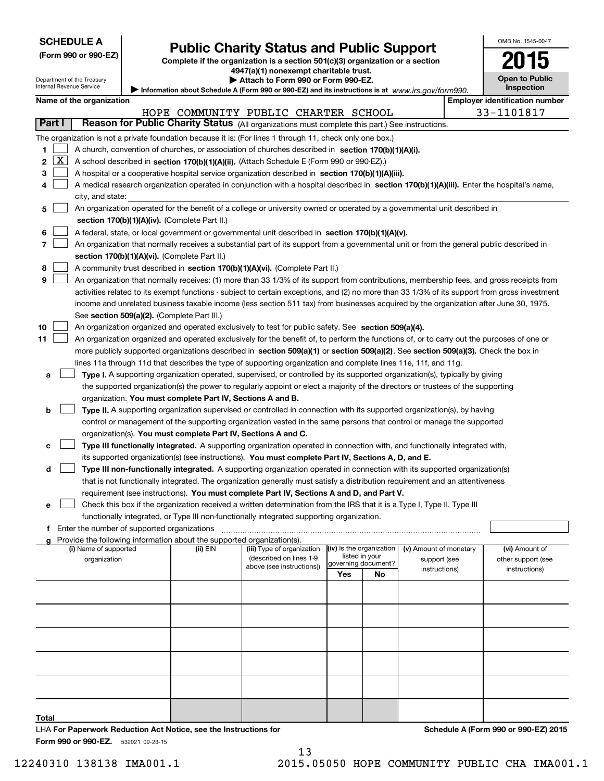| <b>SCHEDULE A</b> |
|-------------------|
|-------------------|

Department of the Treasury Internal Revenue Service

| (Form 990 or 990-EZ) |  |  |  |
|----------------------|--|--|--|
|----------------------|--|--|--|

# **Public Charity Status and Public Support**

**Complete if the organization is a section 501(c)(3) organization or a section 4947(a)(1) nonexempt charitable trust.**

| Attach to Form 990 or Form 990-EZ. |  |
|------------------------------------|--|
|------------------------------------|--|

|        | Internal Revenue Service<br>Inspection<br>Information about Schedule A (Form 990 or 990-EZ) and its instructions is at www.irs.gov/form990. |                                                                                                                                                                                                                                                 |                                               |                                                                        |                                                                                                                                               |                |                          |                               |                                       |
|--------|---------------------------------------------------------------------------------------------------------------------------------------------|-------------------------------------------------------------------------------------------------------------------------------------------------------------------------------------------------------------------------------------------------|-----------------------------------------------|------------------------------------------------------------------------|-----------------------------------------------------------------------------------------------------------------------------------------------|----------------|--------------------------|-------------------------------|---------------------------------------|
|        |                                                                                                                                             | Name of the organization                                                                                                                                                                                                                        |                                               |                                                                        |                                                                                                                                               |                |                          |                               | <b>Employer identification number</b> |
|        |                                                                                                                                             |                                                                                                                                                                                                                                                 |                                               |                                                                        | HOPE COMMUNITY PUBLIC CHARTER SCHOOL                                                                                                          |                |                          |                               | 33-1101817                            |
| Part I |                                                                                                                                             |                                                                                                                                                                                                                                                 |                                               |                                                                        | Reason for Public Charity Status (All organizations must complete this part.) See instructions.                                               |                |                          |                               |                                       |
|        |                                                                                                                                             |                                                                                                                                                                                                                                                 |                                               |                                                                        | The organization is not a private foundation because it is: (For lines 1 through 11, check only one box.)                                     |                |                          |                               |                                       |
| 1      |                                                                                                                                             |                                                                                                                                                                                                                                                 |                                               |                                                                        | A church, convention of churches, or association of churches described in section 170(b)(1)(A)(i).                                            |                |                          |                               |                                       |
| 2      | $\mathbf{X}$                                                                                                                                |                                                                                                                                                                                                                                                 |                                               |                                                                        | A school described in section 170(b)(1)(A)(ii). (Attach Schedule E (Form 990 or 990-EZ).)                                                     |                |                          |                               |                                       |
| з      |                                                                                                                                             |                                                                                                                                                                                                                                                 |                                               |                                                                        |                                                                                                                                               |                |                          |                               |                                       |
| 4      |                                                                                                                                             | A hospital or a cooperative hospital service organization described in section 170(b)(1)(A)(iii).<br>A medical research organization operated in conjunction with a hospital described in section 170(b)(1)(A)(iii). Enter the hospital's name, |                                               |                                                                        |                                                                                                                                               |                |                          |                               |                                       |
|        |                                                                                                                                             | city, and state:                                                                                                                                                                                                                                |                                               |                                                                        |                                                                                                                                               |                |                          |                               |                                       |
| 5      |                                                                                                                                             | An organization operated for the benefit of a college or university owned or operated by a governmental unit described in                                                                                                                       |                                               |                                                                        |                                                                                                                                               |                |                          |                               |                                       |
|        |                                                                                                                                             |                                                                                                                                                                                                                                                 |                                               | section 170(b)(1)(A)(iv). (Complete Part II.)                          |                                                                                                                                               |                |                          |                               |                                       |
| 6      |                                                                                                                                             |                                                                                                                                                                                                                                                 |                                               |                                                                        | A federal, state, or local government or governmental unit described in section 170(b)(1)(A)(v).                                              |                |                          |                               |                                       |
| 7      |                                                                                                                                             |                                                                                                                                                                                                                                                 |                                               |                                                                        | An organization that normally receives a substantial part of its support from a governmental unit or from the general public described in     |                |                          |                               |                                       |
|        |                                                                                                                                             |                                                                                                                                                                                                                                                 |                                               | section 170(b)(1)(A)(vi). (Complete Part II.)                          |                                                                                                                                               |                |                          |                               |                                       |
| 8      |                                                                                                                                             |                                                                                                                                                                                                                                                 |                                               |                                                                        | A community trust described in section 170(b)(1)(A)(vi). (Complete Part II.)                                                                  |                |                          |                               |                                       |
| 9      |                                                                                                                                             |                                                                                                                                                                                                                                                 |                                               |                                                                        | An organization that normally receives: (1) more than 33 1/3% of its support from contributions, membership fees, and gross receipts from     |                |                          |                               |                                       |
|        |                                                                                                                                             |                                                                                                                                                                                                                                                 |                                               |                                                                        | activities related to its exempt functions - subject to certain exceptions, and (2) no more than 33 1/3% of its support from gross investment |                |                          |                               |                                       |
|        |                                                                                                                                             |                                                                                                                                                                                                                                                 |                                               |                                                                        | income and unrelated business taxable income (less section 511 tax) from businesses acquired by the organization after June 30, 1975.         |                |                          |                               |                                       |
|        |                                                                                                                                             |                                                                                                                                                                                                                                                 |                                               | See section 509(a)(2). (Complete Part III.)                            |                                                                                                                                               |                |                          |                               |                                       |
| 10     |                                                                                                                                             |                                                                                                                                                                                                                                                 |                                               |                                                                        | An organization organized and operated exclusively to test for public safety. See section 509(a)(4).                                          |                |                          |                               |                                       |
| 11     |                                                                                                                                             |                                                                                                                                                                                                                                                 |                                               |                                                                        | An organization organized and operated exclusively for the benefit of, to perform the functions of, or to carry out the purposes of one or    |                |                          |                               |                                       |
|        |                                                                                                                                             |                                                                                                                                                                                                                                                 |                                               |                                                                        | more publicly supported organizations described in section 509(a)(1) or section 509(a)(2). See section 509(a)(3). Check the box in            |                |                          |                               |                                       |
|        |                                                                                                                                             |                                                                                                                                                                                                                                                 |                                               |                                                                        | lines 11a through 11d that describes the type of supporting organization and complete lines 11e, 11f, and 11g.                                |                |                          |                               |                                       |
| а      |                                                                                                                                             |                                                                                                                                                                                                                                                 |                                               |                                                                        | Type I. A supporting organization operated, supervised, or controlled by its supported organization(s), typically by giving                   |                |                          |                               |                                       |
|        |                                                                                                                                             |                                                                                                                                                                                                                                                 |                                               |                                                                        | the supported organization(s) the power to regularly appoint or elect a majority of the directors or trustees of the supporting               |                |                          |                               |                                       |
|        |                                                                                                                                             |                                                                                                                                                                                                                                                 |                                               | organization. You must complete Part IV, Sections A and B.             |                                                                                                                                               |                |                          |                               |                                       |
| b      |                                                                                                                                             |                                                                                                                                                                                                                                                 |                                               |                                                                        | Type II. A supporting organization supervised or controlled in connection with its supported organization(s), by having                       |                |                          |                               |                                       |
|        |                                                                                                                                             |                                                                                                                                                                                                                                                 |                                               |                                                                        | control or management of the supporting organization vested in the same persons that control or manage the supported                          |                |                          |                               |                                       |
|        |                                                                                                                                             |                                                                                                                                                                                                                                                 |                                               | organization(s). You must complete Part IV, Sections A and C.          |                                                                                                                                               |                |                          |                               |                                       |
| с      |                                                                                                                                             |                                                                                                                                                                                                                                                 |                                               |                                                                        | Type III functionally integrated. A supporting organization operated in connection with, and functionally integrated with,                    |                |                          |                               |                                       |
|        |                                                                                                                                             |                                                                                                                                                                                                                                                 |                                               |                                                                        | its supported organization(s) (see instructions). You must complete Part IV, Sections A, D, and E.                                            |                |                          |                               |                                       |
| d      |                                                                                                                                             |                                                                                                                                                                                                                                                 |                                               |                                                                        | Type III non-functionally integrated. A supporting organization operated in connection with its supported organization(s)                     |                |                          |                               |                                       |
|        |                                                                                                                                             |                                                                                                                                                                                                                                                 |                                               |                                                                        | that is not functionally integrated. The organization generally must satisfy a distribution requirement and an attentiveness                  |                |                          |                               |                                       |
|        |                                                                                                                                             |                                                                                                                                                                                                                                                 |                                               |                                                                        | requirement (see instructions). You must complete Part IV, Sections A and D, and Part V.                                                      |                |                          |                               |                                       |
| е      |                                                                                                                                             |                                                                                                                                                                                                                                                 |                                               |                                                                        | Check this box if the organization received a written determination from the IRS that it is a Type I, Type II, Type III                       |                |                          |                               |                                       |
|        |                                                                                                                                             |                                                                                                                                                                                                                                                 |                                               |                                                                        | functionally integrated, or Type III non-functionally integrated supporting organization.                                                     |                |                          |                               |                                       |
|        |                                                                                                                                             |                                                                                                                                                                                                                                                 | f Enter the number of supported organizations |                                                                        |                                                                                                                                               |                |                          |                               |                                       |
|        |                                                                                                                                             |                                                                                                                                                                                                                                                 |                                               | Provide the following information about the supported organization(s). |                                                                                                                                               |                |                          |                               |                                       |
|        |                                                                                                                                             | (i) Name of supported                                                                                                                                                                                                                           |                                               | (ii) EIN                                                               | (iii) Type of organization                                                                                                                    | listed in your | (iv) Is the organization | (v) Amount of monetary        | (vi) Amount of                        |
|        |                                                                                                                                             | organization                                                                                                                                                                                                                                    |                                               |                                                                        | (described on lines 1-9<br>above (see instructions))                                                                                          |                | governing document?      | support (see<br>instructions) | other support (see<br>instructions)   |
|        |                                                                                                                                             |                                                                                                                                                                                                                                                 |                                               |                                                                        |                                                                                                                                               | Yes            | No                       |                               |                                       |
|        |                                                                                                                                             |                                                                                                                                                                                                                                                 |                                               |                                                                        |                                                                                                                                               |                |                          |                               |                                       |
|        |                                                                                                                                             |                                                                                                                                                                                                                                                 |                                               |                                                                        |                                                                                                                                               |                |                          |                               |                                       |
|        |                                                                                                                                             |                                                                                                                                                                                                                                                 |                                               |                                                                        |                                                                                                                                               |                |                          |                               |                                       |
|        |                                                                                                                                             |                                                                                                                                                                                                                                                 |                                               |                                                                        |                                                                                                                                               |                |                          |                               |                                       |
|        |                                                                                                                                             |                                                                                                                                                                                                                                                 |                                               |                                                                        |                                                                                                                                               |                |                          |                               |                                       |
|        |                                                                                                                                             |                                                                                                                                                                                                                                                 |                                               |                                                                        |                                                                                                                                               |                |                          |                               |                                       |
|        |                                                                                                                                             |                                                                                                                                                                                                                                                 |                                               |                                                                        |                                                                                                                                               |                |                          |                               |                                       |
|        |                                                                                                                                             |                                                                                                                                                                                                                                                 |                                               |                                                                        |                                                                                                                                               |                |                          |                               |                                       |
|        |                                                                                                                                             |                                                                                                                                                                                                                                                 |                                               |                                                                        |                                                                                                                                               |                |                          |                               |                                       |

**Total** LHA For Paperwork Reduction Act Notice, see the Instructions for

**Schedule A (Form 990 or 990-EZ) 2015**

OMB No. 1545-0047

**Open to Public**

**2015**

**Form 990 or 990-EZ.** 532021 09-23-15

13 12240310 138138 IMA001.1 2015.05050 HOPE COMMUNITY PUBLIC CHA IMA001.1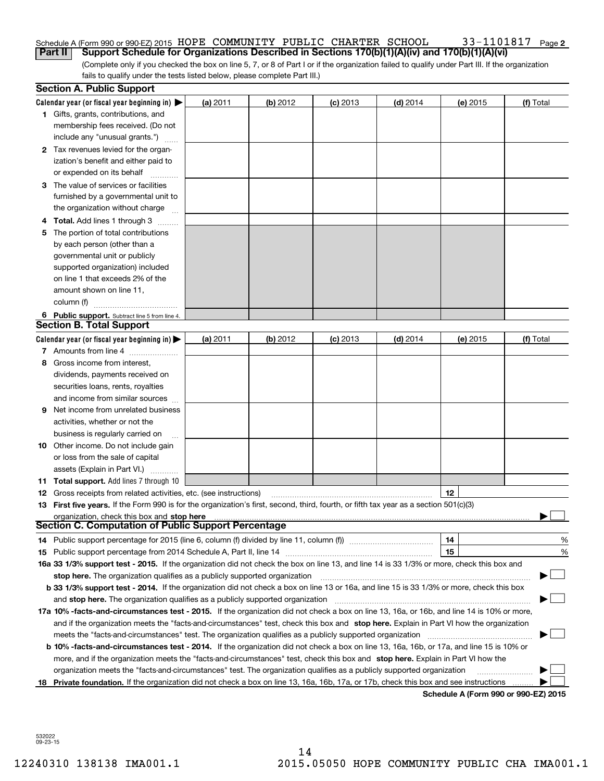#### 33-1101817 Page 2 Schedule A (Form 990 or 990-EZ) 2015 Page HOPE COMMUNITY PUBLIC CHARTER SCHOOL 33-1101817 **Part II Support Schedule for Organizations Described in Sections 170(b)(1)(A)(iv) and 170(b)(1)(A)(vi)**

(Complete only if you checked the box on line 5, 7, or 8 of Part I or if the organization failed to qualify under Part III. If the organization fails to qualify under the tests listed below, please complete Part III.)

|    | <b>Section A. Public Support</b>                                                                                                               |          |            |            |            |                                       |           |
|----|------------------------------------------------------------------------------------------------------------------------------------------------|----------|------------|------------|------------|---------------------------------------|-----------|
|    | Calendar year (or fiscal year beginning in) $\blacktriangleright$                                                                              | (a) 2011 | $(b)$ 2012 | $(c)$ 2013 | $(d)$ 2014 | (e) 2015                              | (f) Total |
|    | 1 Gifts, grants, contributions, and                                                                                                            |          |            |            |            |                                       |           |
|    | membership fees received. (Do not                                                                                                              |          |            |            |            |                                       |           |
|    | include any "unusual grants.")                                                                                                                 |          |            |            |            |                                       |           |
|    | 2 Tax revenues levied for the organ-                                                                                                           |          |            |            |            |                                       |           |
|    | ization's benefit and either paid to                                                                                                           |          |            |            |            |                                       |           |
|    | or expended on its behalf                                                                                                                      |          |            |            |            |                                       |           |
|    | 3 The value of services or facilities                                                                                                          |          |            |            |            |                                       |           |
|    | furnished by a governmental unit to                                                                                                            |          |            |            |            |                                       |           |
|    | the organization without charge                                                                                                                |          |            |            |            |                                       |           |
|    | 4 Total. Add lines 1 through 3                                                                                                                 |          |            |            |            |                                       |           |
| 5. | The portion of total contributions                                                                                                             |          |            |            |            |                                       |           |
|    | by each person (other than a                                                                                                                   |          |            |            |            |                                       |           |
|    | governmental unit or publicly                                                                                                                  |          |            |            |            |                                       |           |
|    | supported organization) included                                                                                                               |          |            |            |            |                                       |           |
|    | on line 1 that exceeds 2% of the                                                                                                               |          |            |            |            |                                       |           |
|    | amount shown on line 11,                                                                                                                       |          |            |            |            |                                       |           |
|    | column (f)                                                                                                                                     |          |            |            |            |                                       |           |
|    | 6 Public support. Subtract line 5 from line 4.                                                                                                 |          |            |            |            |                                       |           |
|    | <b>Section B. Total Support</b>                                                                                                                |          |            |            |            |                                       |           |
|    | Calendar year (or fiscal year beginning in) $\blacktriangleright$                                                                              | (a) 2011 | (b) 2012   | $(c)$ 2013 | $(d)$ 2014 | (e) 2015                              | (f) Total |
|    | 7 Amounts from line 4                                                                                                                          |          |            |            |            |                                       |           |
| 8  | Gross income from interest,                                                                                                                    |          |            |            |            |                                       |           |
|    | dividends, payments received on                                                                                                                |          |            |            |            |                                       |           |
|    | securities loans, rents, royalties                                                                                                             |          |            |            |            |                                       |           |
|    | and income from similar sources                                                                                                                |          |            |            |            |                                       |           |
|    | <b>9</b> Net income from unrelated business                                                                                                    |          |            |            |            |                                       |           |
|    | activities, whether or not the                                                                                                                 |          |            |            |            |                                       |           |
|    | business is regularly carried on                                                                                                               |          |            |            |            |                                       |           |
|    | <b>10</b> Other income. Do not include gain                                                                                                    |          |            |            |            |                                       |           |
|    | or loss from the sale of capital                                                                                                               |          |            |            |            |                                       |           |
|    | assets (Explain in Part VI.)                                                                                                                   |          |            |            |            |                                       |           |
|    | <b>11 Total support.</b> Add lines 7 through 10                                                                                                |          |            |            |            |                                       |           |
|    | <b>12</b> Gross receipts from related activities, etc. (see instructions)                                                                      |          |            |            |            | 12                                    |           |
|    | 13 First five years. If the Form 990 is for the organization's first, second, third, fourth, or fifth tax year as a section 501(c)(3)          |          |            |            |            |                                       |           |
|    | organization, check this box and stop here                                                                                                     |          |            |            |            |                                       |           |
|    | Section C. Computation of Public Support Percentage                                                                                            |          |            |            |            |                                       |           |
|    | 14 Public support percentage for 2015 (line 6, column (f) divided by line 11, column (f) <i>mummention</i>                                     |          |            |            |            | 14                                    | %         |
|    |                                                                                                                                                |          |            |            |            | 15                                    | %         |
|    | 16a 33 1/3% support test - 2015. If the organization did not check the box on line 13, and line 14 is 33 1/3% or more, check this box and      |          |            |            |            |                                       |           |
|    | stop here. The organization qualifies as a publicly supported organization                                                                     |          |            |            |            |                                       | ▔▁▏       |
|    | b 33 1/3% support test - 2014. If the organization did not check a box on line 13 or 16a, and line 15 is 33 1/3% or more, check this box       |          |            |            |            |                                       |           |
|    | and stop here. The organization qualifies as a publicly supported organization                                                                 |          |            |            |            |                                       |           |
|    | 17a 10% -facts-and-circumstances test - 2015. If the organization did not check a box on line 13, 16a, or 16b, and line 14 is 10% or more,     |          |            |            |            |                                       |           |
|    | and if the organization meets the "facts-and-circumstances" test, check this box and stop here. Explain in Part VI how the organization        |          |            |            |            |                                       |           |
|    | meets the "facts-and-circumstances" test. The organization qualifies as a publicly supported organization                                      |          |            |            |            |                                       |           |
|    | <b>b 10% -facts-and-circumstances test - 2014.</b> If the organization did not check a box on line 13, 16a, 16b, or 17a, and line 15 is 10% or |          |            |            |            |                                       |           |
|    | more, and if the organization meets the "facts-and-circumstances" test, check this box and stop here. Explain in Part VI how the               |          |            |            |            |                                       |           |
|    | organization meets the "facts-and-circumstances" test. The organization qualifies as a publicly supported organization                         |          |            |            |            |                                       |           |
| 18 | Private foundation. If the organization did not check a box on line 13, 16a, 16b, 17a, or 17b, check this box and see instructions             |          |            |            |            | Cabadula A (Faunt 000 av 000 EZ) 0045 |           |

**Schedule A (Form 990 or 990-EZ) 2015**

532022 09-23-15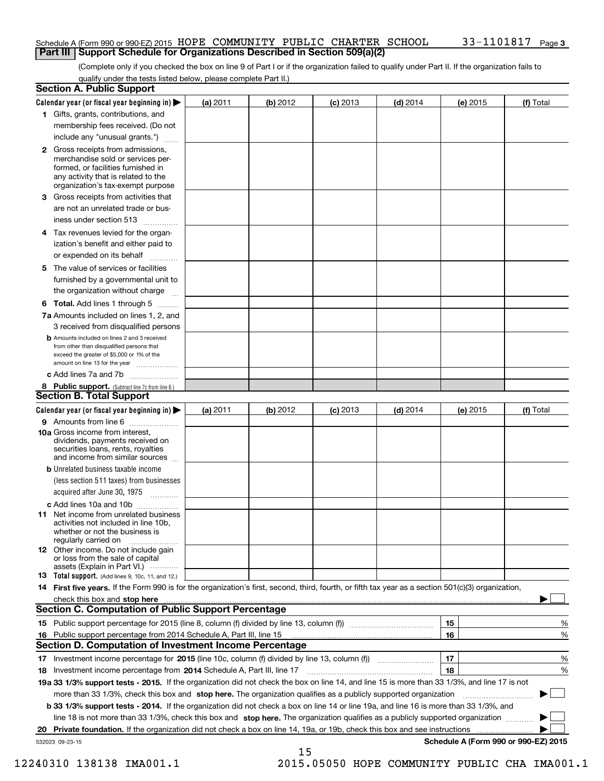## Schedule A (Form 990 or 990-EZ) 2015 Page HOPE COMMUNITY PUBLIC CHARTER SCHOOL 33-1101817 **Part III Support Schedule for Organizations Described in Section 509(a)(2)**

(Complete only if you checked the box on line 9 of Part I or if the organization failed to qualify under Part II. If the organization fails to qualify under the tests listed below, please complete Part II.)

| <b>Section A. Public Support</b>                                                                                                                                                                                                                                                             |          |          |            |            |          |                                      |
|----------------------------------------------------------------------------------------------------------------------------------------------------------------------------------------------------------------------------------------------------------------------------------------------|----------|----------|------------|------------|----------|--------------------------------------|
| Calendar year (or fiscal year beginning in) $\blacktriangleright$                                                                                                                                                                                                                            | (a) 2011 | (b) 2012 | $(c)$ 2013 | $(d)$ 2014 | (e) 2015 | (f) Total                            |
| 1 Gifts, grants, contributions, and                                                                                                                                                                                                                                                          |          |          |            |            |          |                                      |
| membership fees received. (Do not                                                                                                                                                                                                                                                            |          |          |            |            |          |                                      |
| include any "unusual grants.")                                                                                                                                                                                                                                                               |          |          |            |            |          |                                      |
| 2 Gross receipts from admissions,<br>merchandise sold or services per-<br>formed, or facilities furnished in<br>any activity that is related to the<br>organization's tax-exempt purpose                                                                                                     |          |          |            |            |          |                                      |
| 3 Gross receipts from activities that<br>are not an unrelated trade or bus-                                                                                                                                                                                                                  |          |          |            |            |          |                                      |
| iness under section 513                                                                                                                                                                                                                                                                      |          |          |            |            |          |                                      |
| 4 Tax revenues levied for the organ-<br>ization's benefit and either paid to<br>or expended on its behalf                                                                                                                                                                                    |          |          |            |            |          |                                      |
| .<br>5 The value of services or facilities<br>furnished by a governmental unit to                                                                                                                                                                                                            |          |          |            |            |          |                                      |
| the organization without charge                                                                                                                                                                                                                                                              |          |          |            |            |          |                                      |
| <b>6 Total.</b> Add lines 1 through 5                                                                                                                                                                                                                                                        |          |          |            |            |          |                                      |
| 7a Amounts included on lines 1, 2, and<br>3 received from disqualified persons                                                                                                                                                                                                               |          |          |            |            |          |                                      |
| <b>b</b> Amounts included on lines 2 and 3 received<br>from other than disqualified persons that<br>exceed the greater of \$5,000 or 1% of the<br>amount on line 13 for the year                                                                                                             |          |          |            |            |          |                                      |
| c Add lines 7a and 7b                                                                                                                                                                                                                                                                        |          |          |            |            |          |                                      |
| 8 Public support. (Subtract line 7c from line 6.)<br><b>Section B. Total Support</b>                                                                                                                                                                                                         |          |          |            |            |          |                                      |
| Calendar year (or fiscal year beginning in)                                                                                                                                                                                                                                                  | (a) 2011 | (b) 2012 | $(c)$ 2013 | $(d)$ 2014 | (e) 2015 | (f) Total                            |
| 9 Amounts from line 6                                                                                                                                                                                                                                                                        |          |          |            |            |          |                                      |
| <b>10a</b> Gross income from interest,<br>dividends, payments received on<br>securities loans, rents, royalties<br>and income from similar sources                                                                                                                                           |          |          |            |            |          |                                      |
| <b>b</b> Unrelated business taxable income<br>(less section 511 taxes) from businesses<br>acquired after June 30, 1975                                                                                                                                                                       |          |          |            |            |          |                                      |
| c Add lines 10a and 10b                                                                                                                                                                                                                                                                      |          |          |            |            |          |                                      |
| <b>11</b> Net income from unrelated business<br>activities not included in line 10b,<br>whether or not the business is<br>regularly carried on                                                                                                                                               |          |          |            |            |          |                                      |
| <b>12</b> Other income. Do not include gain<br>or loss from the sale of capital<br>assets (Explain in Part VI.)                                                                                                                                                                              |          |          |            |            |          |                                      |
| <b>13 Total support.</b> (Add lines 9, 10c, 11, and 12.)                                                                                                                                                                                                                                     |          |          |            |            |          |                                      |
| 14 First five years. If the Form 990 is for the organization's first, second, third, fourth, or fifth tax year as a section 501(c)(3) organization,                                                                                                                                          |          |          |            |            |          |                                      |
| check this box and stop here with the continuum control to the control of the control of the control of the control of the control of the control of the control of the control of the control of the control of the control o<br><b>Section C. Computation of Public Support Percentage</b> |          |          |            |            |          |                                      |
|                                                                                                                                                                                                                                                                                              |          |          |            |            | 15       | %                                    |
| 16 Public support percentage from 2014 Schedule A, Part III, line 15                                                                                                                                                                                                                         |          |          |            |            | 16       | %                                    |
| <b>Section D. Computation of Investment Income Percentage</b>                                                                                                                                                                                                                                |          |          |            |            |          |                                      |
| 17 Investment income percentage for 2015 (line 10c, column (f) divided by line 13, column (f))                                                                                                                                                                                               |          |          |            |            | 17       | %                                    |
| 18 Investment income percentage from 2014 Schedule A, Part III, line 17                                                                                                                                                                                                                      |          |          |            |            | 18       | %                                    |
| 19a 33 1/3% support tests - 2015. If the organization did not check the box on line 14, and line 15 is more than 33 1/3%, and line 17 is not                                                                                                                                                 |          |          |            |            |          |                                      |
| more than 33 1/3%, check this box and stop here. The organization qualifies as a publicly supported organization                                                                                                                                                                             |          |          |            |            |          | ▶                                    |
| b 33 1/3% support tests - 2014. If the organization did not check a box on line 14 or line 19a, and line 16 is more than 33 1/3%, and                                                                                                                                                        |          |          |            |            |          |                                      |
| line 18 is not more than 33 1/3%, check this box and stop here. The organization qualifies as a publicly supported organization                                                                                                                                                              |          |          |            |            |          |                                      |
| 20 Private foundation. If the organization did not check a box on line 14, 19a, or 19b, check this box and see instructions                                                                                                                                                                  |          |          |            |            |          |                                      |
| 532023 09-23-15                                                                                                                                                                                                                                                                              |          | 15       |            |            |          | Schedule A (Form 990 or 990-EZ) 2015 |

 <sup>12240310 138138</sup> IMA001.1 2015.05050 HOPE COMMUNITY PUBLIC CHA IMA001.1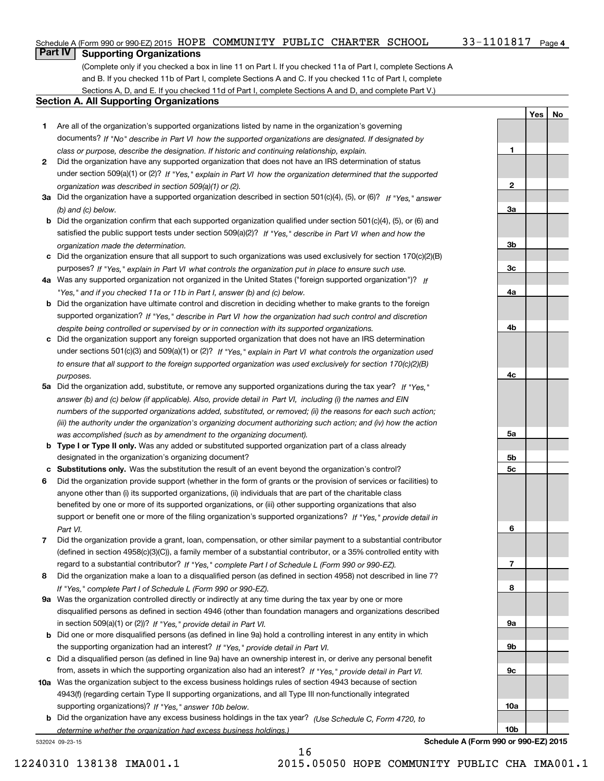**1**

**2**

**3a**

**3b**

**3c**

**4a**

**4b**

**4c**

**5a**

**5b5c**

**6**

**7**

**8**

**9a**

**9b**

**9c**

**10a**

**10b**

**YesNo**

## **Part IV Supporting Organizations**

(Complete only if you checked a box in line 11 on Part I. If you checked 11a of Part I, complete Sections A and B. If you checked 11b of Part I, complete Sections A and C. If you checked 11c of Part I, complete Sections A, D, and E. If you checked 11d of Part I, complete Sections A and D, and complete Part V.)

## **Section A. All Supporting Organizations**

- **1** Are all of the organization's supported organizations listed by name in the organization's governing *If "No" describe in how the supported organizations are designated. If designated by* documents? *Part VI class or purpose, describe the designation. If historic and continuing relationship, explain.*
- **2** Did the organization have any supported organization that does not have an IRS determination of status under section 509(a)(1) or (2)? If "Yes," explain in Part VI how the organization determined that the supported *organization was described in section 509(a)(1) or (2).*
- **3a** Did the organization have a supported organization described in section 501(c)(4), (5), or (6)? If "Yes," answer *(b) and (c) below.*
- **b** Did the organization confirm that each supported organization qualified under section 501(c)(4), (5), or (6) and satisfied the public support tests under section 509(a)(2)? If "Yes," describe in Part VI when and how the *organization made the determination.*
- **c**Did the organization ensure that all support to such organizations was used exclusively for section 170(c)(2)(B) purposes? If "Yes," explain in Part VI what controls the organization put in place to ensure such use.
- **4a***If* Was any supported organization not organized in the United States ("foreign supported organization")? *"Yes," and if you checked 11a or 11b in Part I, answer (b) and (c) below.*
- **b** Did the organization have ultimate control and discretion in deciding whether to make grants to the foreign supported organization? If "Yes," describe in Part VI how the organization had such control and discretion *despite being controlled or supervised by or in connection with its supported organizations.*
- **c** Did the organization support any foreign supported organization that does not have an IRS determination under sections 501(c)(3) and 509(a)(1) or (2)? If "Yes," explain in Part VI what controls the organization used *to ensure that all support to the foreign supported organization was used exclusively for section 170(c)(2)(B) purposes.*
- **5a** Did the organization add, substitute, or remove any supported organizations during the tax year? If "Yes," answer (b) and (c) below (if applicable). Also, provide detail in Part VI, including (i) the names and EIN *numbers of the supported organizations added, substituted, or removed; (ii) the reasons for each such action; (iii) the authority under the organization's organizing document authorizing such action; and (iv) how the action was accomplished (such as by amendment to the organizing document).*
- **b** Type I or Type II only. Was any added or substituted supported organization part of a class already designated in the organization's organizing document?
- **cSubstitutions only.**  Was the substitution the result of an event beyond the organization's control?
- **6** Did the organization provide support (whether in the form of grants or the provision of services or facilities) to *If "Yes," provide detail in* support or benefit one or more of the filing organization's supported organizations? anyone other than (i) its supported organizations, (ii) individuals that are part of the charitable class benefited by one or more of its supported organizations, or (iii) other supporting organizations that also *Part VI.*
- **7**Did the organization provide a grant, loan, compensation, or other similar payment to a substantial contributor *If "Yes," complete Part I of Schedule L (Form 990 or 990-EZ).* regard to a substantial contributor? (defined in section 4958(c)(3)(C)), a family member of a substantial contributor, or a 35% controlled entity with
- **8** Did the organization make a loan to a disqualified person (as defined in section 4958) not described in line 7? *If "Yes," complete Part I of Schedule L (Form 990 or 990-EZ).*
- **9a** Was the organization controlled directly or indirectly at any time during the tax year by one or more in section 509(a)(1) or (2))? If "Yes," *provide detail in Part VI.* disqualified persons as defined in section 4946 (other than foundation managers and organizations described
- **b** Did one or more disqualified persons (as defined in line 9a) hold a controlling interest in any entity in which the supporting organization had an interest? If "Yes," provide detail in Part VI.
- **c**Did a disqualified person (as defined in line 9a) have an ownership interest in, or derive any personal benefit from, assets in which the supporting organization also had an interest? If "Yes," provide detail in Part VI.
- **10a** Was the organization subject to the excess business holdings rules of section 4943 because of section supporting organizations)? If "Yes," answer 10b below. 4943(f) (regarding certain Type II supporting organizations, and all Type III non-functionally integrated
- **b** Did the organization have any excess business holdings in the tax year? (Use Schedule C, Form 4720, to *determine whether the organization had excess business holdings.)*

16

532024 09-23-15

**Schedule A (Form 990 or 990-EZ) 2015**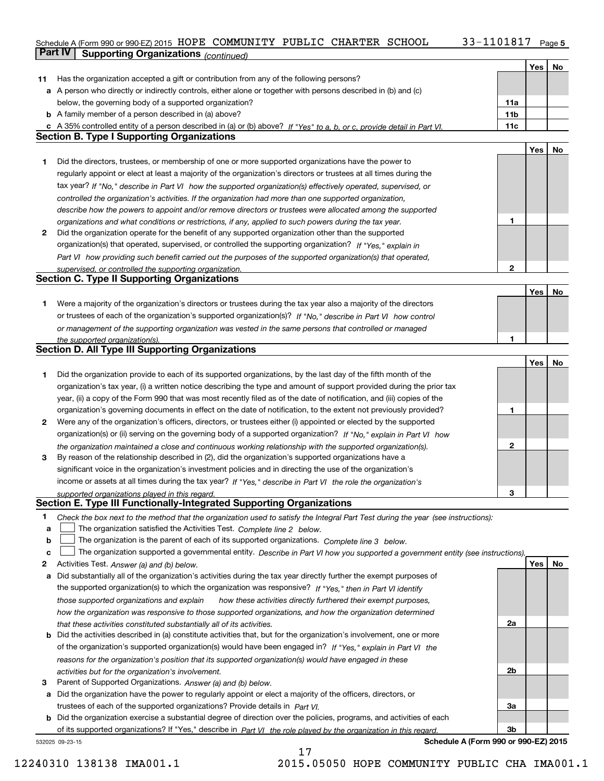## Schedule A (Form 990 or 990-EZ) 2015 Page HOPE COMMUNITY PUBLIC CHARTER SCHOOL 33-1101817 **Part IV Supporting Organizations** *(continued)*

|    |                                                                                                                                                                             |                 | Yes | No |
|----|-----------------------------------------------------------------------------------------------------------------------------------------------------------------------------|-----------------|-----|----|
| 11 | Has the organization accepted a gift or contribution from any of the following persons?                                                                                     |                 |     |    |
|    | a A person who directly or indirectly controls, either alone or together with persons described in (b) and (c)                                                              |                 |     |    |
|    | below, the governing body of a supported organization?                                                                                                                      | 11a             |     |    |
|    | <b>b</b> A family member of a person described in (a) above?                                                                                                                | 11 <sub>b</sub> |     |    |
| c  | A 35% controlled entity of a person described in (a) or (b) above? If "Yes" to a, b, or c, provide detail in Part VI.                                                       | 11c             |     |    |
|    | <b>Section B. Type I Supporting Organizations</b>                                                                                                                           |                 |     |    |
|    |                                                                                                                                                                             |                 | Yes | No |
| 1  | Did the directors, trustees, or membership of one or more supported organizations have the power to                                                                         |                 |     |    |
|    | regularly appoint or elect at least a majority of the organization's directors or trustees at all times during the                                                          |                 |     |    |
|    | tax year? If "No," describe in Part VI how the supported organization(s) effectively operated, supervised, or                                                               |                 |     |    |
|    | controlled the organization's activities. If the organization had more than one supported organization,                                                                     |                 |     |    |
|    | describe how the powers to appoint and/or remove directors or trustees were allocated among the supported                                                                   |                 |     |    |
|    | organizations and what conditions or restrictions, if any, applied to such powers during the tax year.                                                                      | 1               |     |    |
| 2  | Did the organization operate for the benefit of any supported organization other than the supported                                                                         |                 |     |    |
|    | organization(s) that operated, supervised, or controlled the supporting organization? If "Yes," explain in                                                                  |                 |     |    |
|    | Part VI how providing such benefit carried out the purposes of the supported organization(s) that operated,                                                                 |                 |     |    |
|    | supervised, or controlled the supporting organization.                                                                                                                      | $\overline{2}$  |     |    |
|    | <b>Section C. Type II Supporting Organizations</b>                                                                                                                          |                 |     |    |
|    |                                                                                                                                                                             |                 | Yes | No |
| 1. | Were a majority of the organization's directors or trustees during the tax year also a majority of the directors                                                            |                 |     |    |
|    | or trustees of each of the organization's supported organization(s)? If "No," describe in Part VI how control                                                               |                 |     |    |
|    | or management of the supporting organization was vested in the same persons that controlled or managed                                                                      |                 |     |    |
|    | the supported organization(s).                                                                                                                                              |                 |     |    |
|    | <b>Section D. All Type III Supporting Organizations</b>                                                                                                                     |                 |     |    |
|    |                                                                                                                                                                             |                 | Yes | No |
| 1  | Did the organization provide to each of its supported organizations, by the last day of the fifth month of the                                                              |                 |     |    |
|    | organization's tax year, (i) a written notice describing the type and amount of support provided during the prior tax                                                       |                 |     |    |
|    | year, (ii) a copy of the Form 990 that was most recently filed as of the date of notification, and (iii) copies of the                                                      |                 |     |    |
|    | organization's governing documents in effect on the date of notification, to the extent not previously provided?                                                            | 1               |     |    |
| 2  | Were any of the organization's officers, directors, or trustees either (i) appointed or elected by the supported                                                            |                 |     |    |
|    | organization(s) or (ii) serving on the governing body of a supported organization? If "No," explain in Part VI how                                                          |                 |     |    |
|    | the organization maintained a close and continuous working relationship with the supported organization(s).                                                                 | $\mathbf{2}$    |     |    |
| 3  | By reason of the relationship described in (2), did the organization's supported organizations have a                                                                       |                 |     |    |
|    | significant voice in the organization's investment policies and in directing the use of the organization's                                                                  |                 |     |    |
|    | income or assets at all times during the tax year? If "Yes," describe in Part VI the role the organization's                                                                |                 |     |    |
|    | supported organizations played in this regard.<br>Section E. Type III Functionally-Integrated Supporting Organizations                                                      | 3               |     |    |
|    |                                                                                                                                                                             |                 |     |    |
| 1  | Check the box next to the method that the organization used to satisfy the Integral Part Test during the year (see instructions):                                           |                 |     |    |
| a  | The organization satisfied the Activities Test. Complete line 2 below.                                                                                                      |                 |     |    |
| b  | The organization is the parent of each of its supported organizations. Complete line 3 below.                                                                               |                 |     |    |
| c  | The organization supported a governmental entity. Describe in Part VI how you supported a government entity (see instructions).                                             |                 |     |    |
| 2  | Activities Test. Answer (a) and (b) below.                                                                                                                                  |                 | Yes | No |
| а  | Did substantially all of the organization's activities during the tax year directly further the exempt purposes of                                                          |                 |     |    |
|    | the supported organization(s) to which the organization was responsive? If "Yes," then in Part VI identify                                                                  |                 |     |    |
|    | those supported organizations and explain<br>how these activities directly furthered their exempt purposes,                                                                 |                 |     |    |
|    | how the organization was responsive to those supported organizations, and how the organization determined                                                                   |                 |     |    |
|    | that these activities constituted substantially all of its activities.                                                                                                      | 2a              |     |    |
| b  | Did the activities described in (a) constitute activities that, but for the organization's involvement, one or more                                                         |                 |     |    |
|    | of the organization's supported organization(s) would have been engaged in? If "Yes," explain in Part VI the                                                                |                 |     |    |
|    | reasons for the organization's position that its supported organization(s) would have engaged in these                                                                      | 2b              |     |    |
| 3  | activities but for the organization's involvement.                                                                                                                          |                 |     |    |
| а  | Parent of Supported Organizations. Answer (a) and (b) below.<br>Did the organization have the power to regularly appoint or elect a majority of the officers, directors, or |                 |     |    |
|    | trustees of each of the supported organizations? Provide details in Part VI.                                                                                                | За              |     |    |
| b  | Did the organization exercise a substantial degree of direction over the policies, programs, and activities of each                                                         |                 |     |    |
|    | of its supported organizations? If "Yes," describe in Part VI the role played by the organization in this regard.                                                           | 3b              |     |    |
|    |                                                                                                                                                                             |                 |     |    |

17

532025 09-23-15

**Schedule A (Form 990 or 990-EZ) 2015**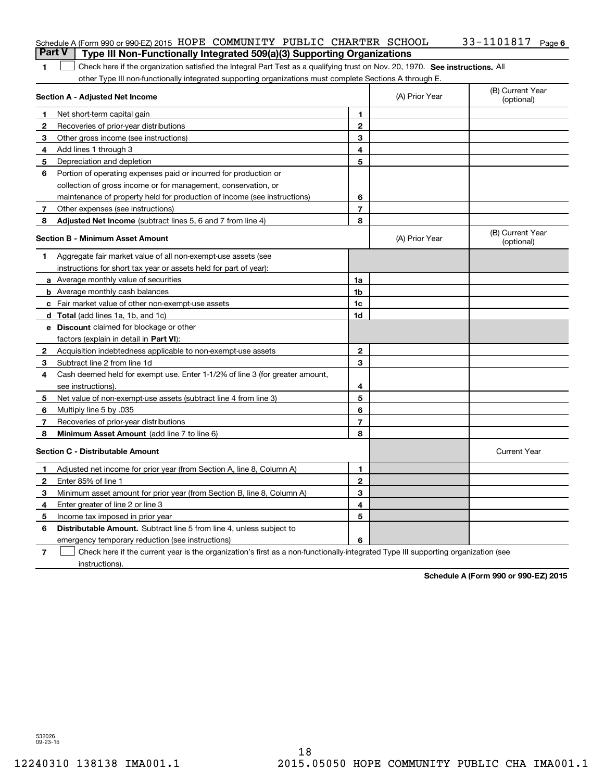| Schedule A (Form 990 or 990-EZ) 2015 HOPE COMMUNITY PUBLIC CHARTER SCHOOL             |  |  | $33 - 1101817$ Page 6 |  |
|---------------------------------------------------------------------------------------|--|--|-----------------------|--|
| <b>Part V</b> Type III Non-Functionally Integrated 509(a)(3) Supporting Organizations |  |  |                       |  |

1 Check here if the organization satisfied the Integral Part Test as a qualifying trust on Nov. 20, 1970. See instructions. All other Type III non-functionally integrated supporting organizations must complete Sections A through E.

|              | Section A - Adjusted Net Income                                                                                                   |                | (A) Prior Year | (B) Current Year<br>(optional) |
|--------------|-----------------------------------------------------------------------------------------------------------------------------------|----------------|----------------|--------------------------------|
| 1            | Net short-term capital gain                                                                                                       | 1              |                |                                |
| 2            | Recoveries of prior-year distributions                                                                                            | $\overline{2}$ |                |                                |
| 3            | Other gross income (see instructions)                                                                                             | 3              |                |                                |
| 4            | Add lines 1 through 3                                                                                                             | 4              |                |                                |
| 5            | Depreciation and depletion                                                                                                        | 5              |                |                                |
| 6            | Portion of operating expenses paid or incurred for production or                                                                  |                |                |                                |
|              | collection of gross income or for management, conservation, or                                                                    |                |                |                                |
|              | maintenance of property held for production of income (see instructions)                                                          | 6              |                |                                |
| 7            | Other expenses (see instructions)                                                                                                 | $\overline{7}$ |                |                                |
| 8            | Adjusted Net Income (subtract lines 5, 6 and 7 from line 4)                                                                       | 8              |                |                                |
|              | <b>Section B - Minimum Asset Amount</b>                                                                                           |                | (A) Prior Year | (B) Current Year<br>(optional) |
| 1            | Aggregate fair market value of all non-exempt-use assets (see                                                                     |                |                |                                |
|              | instructions for short tax year or assets held for part of year):                                                                 |                |                |                                |
|              | <b>a</b> Average monthly value of securities                                                                                      | 1a             |                |                                |
|              | <b>b</b> Average monthly cash balances                                                                                            | 1b             |                |                                |
|              | c Fair market value of other non-exempt-use assets                                                                                | 1c             |                |                                |
|              | d Total (add lines 1a, 1b, and 1c)                                                                                                | 1d             |                |                                |
|              | <b>e</b> Discount claimed for blockage or other                                                                                   |                |                |                                |
|              | factors (explain in detail in Part VI):                                                                                           |                |                |                                |
| 2            | Acquisition indebtedness applicable to non-exempt-use assets                                                                      | $\overline{2}$ |                |                                |
| 3            | Subtract line 2 from line 1d                                                                                                      | 3              |                |                                |
| 4            | Cash deemed held for exempt use. Enter 1-1/2% of line 3 (for greater amount,                                                      |                |                |                                |
|              | see instructions)                                                                                                                 | 4              |                |                                |
| 5            | Net value of non-exempt-use assets (subtract line 4 from line 3)                                                                  | 5              |                |                                |
| 6            | Multiply line 5 by .035                                                                                                           | 6              |                |                                |
| 7            | Recoveries of prior-year distributions                                                                                            | 7              |                |                                |
| 8            | <b>Minimum Asset Amount</b> (add line 7 to line 6)                                                                                | 8              |                |                                |
|              | <b>Section C - Distributable Amount</b>                                                                                           |                |                | <b>Current Year</b>            |
| 1            | Adjusted net income for prior year (from Section A, line 8, Column A)                                                             | 1              |                |                                |
| $\mathbf{2}$ | Enter 85% of line 1                                                                                                               | $\overline{2}$ |                |                                |
| 3            | Minimum asset amount for prior year (from Section B, line 8, Column A)                                                            | 3              |                |                                |
| 4            | Enter greater of line 2 or line 3                                                                                                 | 4              |                |                                |
| 5            | Income tax imposed in prior year                                                                                                  | 5              |                |                                |
| 6            | <b>Distributable Amount.</b> Subtract line 5 from line 4, unless subject to                                                       |                |                |                                |
|              | emergency temporary reduction (see instructions)                                                                                  | 6              |                |                                |
| 7            | Check here if the current year is the organization's first as a non-functionally-integrated Type III supporting organization (see |                |                |                                |

instructions).

**Schedule A (Form 990 or 990-EZ) 2015**

532026 09-23-15

**1**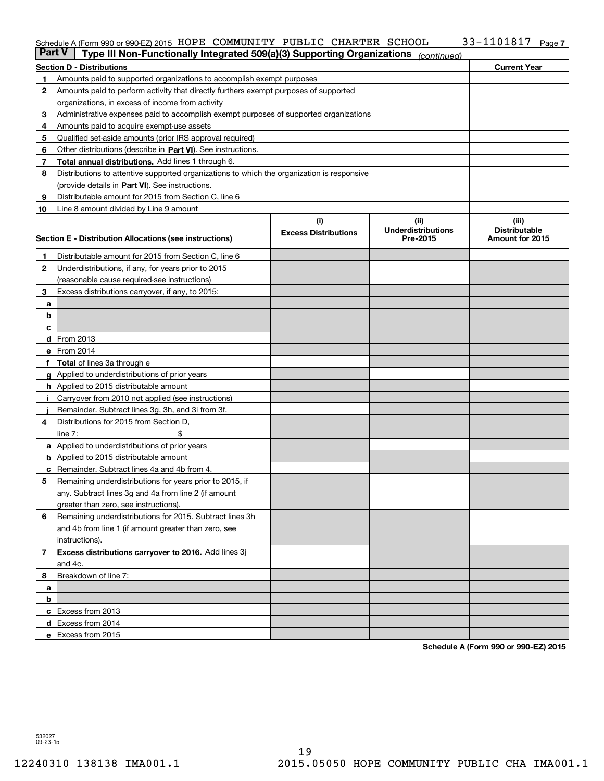#### Schedule A (Form 990 or 990-EZ) 2015 HOPE(COMMUNITY PUBLIC(CHARTER SCHOOL) 33-IIUI8I7(Page HOPE COMMUNITY PUBLIC CHARTER SCHOOL 33-1101817

| <b>Part V</b> | Type III Non-Functionally Integrated 509(a)(3) Supporting Organizations                    |                             | (continued)               |                      |  |
|---------------|--------------------------------------------------------------------------------------------|-----------------------------|---------------------------|----------------------|--|
|               | <b>Section D - Distributions</b>                                                           |                             |                           | <b>Current Year</b>  |  |
| 1             | Amounts paid to supported organizations to accomplish exempt purposes                      |                             |                           |                      |  |
| 2             | Amounts paid to perform activity that directly furthers exempt purposes of supported       |                             |                           |                      |  |
|               | organizations, in excess of income from activity                                           |                             |                           |                      |  |
| з             | Administrative expenses paid to accomplish exempt purposes of supported organizations      |                             |                           |                      |  |
| 4             | Amounts paid to acquire exempt-use assets                                                  |                             |                           |                      |  |
| 5             | Qualified set-aside amounts (prior IRS approval required)                                  |                             |                           |                      |  |
| 6             | Other distributions (describe in Part VI). See instructions.                               |                             |                           |                      |  |
| 7             | Total annual distributions. Add lines 1 through 6.                                         |                             |                           |                      |  |
| 8             | Distributions to attentive supported organizations to which the organization is responsive |                             |                           |                      |  |
|               | (provide details in Part VI). See instructions.                                            |                             |                           |                      |  |
| 9             | Distributable amount for 2015 from Section C, line 6                                       |                             |                           |                      |  |
| 10            | Line 8 amount divided by Line 9 amount                                                     |                             |                           |                      |  |
|               |                                                                                            | (i)                         | (ii)                      | (iii)                |  |
|               |                                                                                            | <b>Excess Distributions</b> | <b>Underdistributions</b> | <b>Distributable</b> |  |
|               | <b>Section E - Distribution Allocations (see instructions)</b>                             |                             | Pre-2015                  | Amount for 2015      |  |
| 1             | Distributable amount for 2015 from Section C, line 6                                       |                             |                           |                      |  |
| 2             | Underdistributions, if any, for years prior to 2015                                        |                             |                           |                      |  |
|               | (reasonable cause required-see instructions)                                               |                             |                           |                      |  |
| 3             | Excess distributions carryover, if any, to 2015:                                           |                             |                           |                      |  |
| а             |                                                                                            |                             |                           |                      |  |
| b             |                                                                                            |                             |                           |                      |  |
| c             |                                                                                            |                             |                           |                      |  |
|               | d From 2013                                                                                |                             |                           |                      |  |
|               | e From 2014                                                                                |                             |                           |                      |  |
|               | Total of lines 3a through e                                                                |                             |                           |                      |  |
|               | Applied to underdistributions of prior years                                               |                             |                           |                      |  |
|               | <b>h</b> Applied to 2015 distributable amount                                              |                             |                           |                      |  |
|               | Carryover from 2010 not applied (see instructions)                                         |                             |                           |                      |  |
|               | Remainder. Subtract lines 3g, 3h, and 3i from 3f.                                          |                             |                           |                      |  |
| 4             | Distributions for 2015 from Section D,                                                     |                             |                           |                      |  |
|               | line $7:$                                                                                  |                             |                           |                      |  |
|               | <b>a</b> Applied to underdistributions of prior years                                      |                             |                           |                      |  |
|               | <b>b</b> Applied to 2015 distributable amount                                              |                             |                           |                      |  |
| c             | Remainder. Subtract lines 4a and 4b from 4.                                                |                             |                           |                      |  |
| 5             | Remaining underdistributions for years prior to 2015, if                                   |                             |                           |                      |  |
|               | any. Subtract lines 3g and 4a from line 2 (if amount                                       |                             |                           |                      |  |
|               | greater than zero, see instructions).                                                      |                             |                           |                      |  |
| 6             | Remaining underdistributions for 2015. Subtract lines 3h                                   |                             |                           |                      |  |
|               | and 4b from line 1 (if amount greater than zero, see                                       |                             |                           |                      |  |
|               | instructions).                                                                             |                             |                           |                      |  |
| 7             | Excess distributions carryover to 2016. Add lines 3j                                       |                             |                           |                      |  |
|               | and 4c.                                                                                    |                             |                           |                      |  |
| 8             | Breakdown of line 7:                                                                       |                             |                           |                      |  |
|               |                                                                                            |                             |                           |                      |  |
| a<br>b        |                                                                                            |                             |                           |                      |  |
|               | c Excess from 2013                                                                         |                             |                           |                      |  |
|               |                                                                                            |                             |                           |                      |  |
|               | d Excess from 2014                                                                         |                             |                           |                      |  |
|               | e Excess from 2015                                                                         |                             |                           |                      |  |

**Schedule A (Form 990 or 990-EZ) 2015**

532027 09-23-15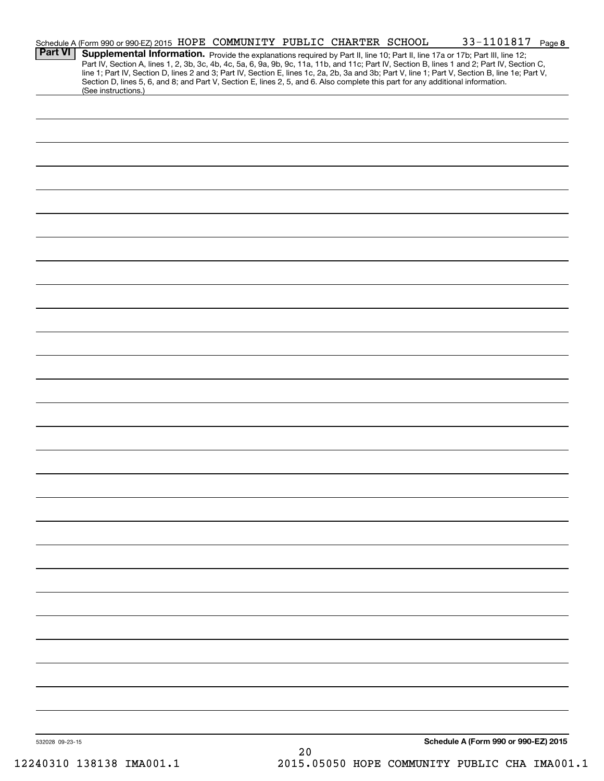| <b>Part VI</b>  | Schedule A (Form 990 or 990-EZ) 2015 HOPE COMMUNITY PUBLIC CHARTER SCHOOL<br>Supplemental Information. Provide the explanations required by Part II, line 10; Part II, line 17a or 17b; Part III, line 12;<br>Part IV, Section A, lines 1, 2, 3b, 3c, 4b, 4c, 5a, 6, 9a, 9b, 9c, 11a, 11b, and 11c; Part IV, Section B, lines 1 and 2; Part IV, Section C, |  |    |  | 33-1101817 Page 8                    |  |
|-----------------|------------------------------------------------------------------------------------------------------------------------------------------------------------------------------------------------------------------------------------------------------------------------------------------------------------------------------------------------------------|--|----|--|--------------------------------------|--|
|                 | line 1; Part IV, Section D, lines 2 and 3; Part IV, Section E, lines 1c, 2a, 2b, 3a and 3b; Part V, line 1; Part V, Section B, line 1e; Part V,<br>Section D, lines 5, 6, and 8; and Part V, Section E, lines 2, 5, and 6. Also complete this part for any additional information.<br>(See instructions.)                                                  |  |    |  |                                      |  |
|                 |                                                                                                                                                                                                                                                                                                                                                            |  |    |  |                                      |  |
|                 |                                                                                                                                                                                                                                                                                                                                                            |  |    |  |                                      |  |
|                 |                                                                                                                                                                                                                                                                                                                                                            |  |    |  |                                      |  |
|                 |                                                                                                                                                                                                                                                                                                                                                            |  |    |  |                                      |  |
|                 |                                                                                                                                                                                                                                                                                                                                                            |  |    |  |                                      |  |
|                 |                                                                                                                                                                                                                                                                                                                                                            |  |    |  |                                      |  |
|                 |                                                                                                                                                                                                                                                                                                                                                            |  |    |  |                                      |  |
|                 |                                                                                                                                                                                                                                                                                                                                                            |  |    |  |                                      |  |
|                 |                                                                                                                                                                                                                                                                                                                                                            |  |    |  |                                      |  |
|                 |                                                                                                                                                                                                                                                                                                                                                            |  |    |  |                                      |  |
|                 |                                                                                                                                                                                                                                                                                                                                                            |  |    |  |                                      |  |
|                 |                                                                                                                                                                                                                                                                                                                                                            |  |    |  |                                      |  |
|                 |                                                                                                                                                                                                                                                                                                                                                            |  |    |  |                                      |  |
|                 |                                                                                                                                                                                                                                                                                                                                                            |  |    |  |                                      |  |
|                 |                                                                                                                                                                                                                                                                                                                                                            |  |    |  |                                      |  |
|                 |                                                                                                                                                                                                                                                                                                                                                            |  |    |  |                                      |  |
|                 |                                                                                                                                                                                                                                                                                                                                                            |  |    |  |                                      |  |
|                 |                                                                                                                                                                                                                                                                                                                                                            |  |    |  |                                      |  |
|                 |                                                                                                                                                                                                                                                                                                                                                            |  |    |  |                                      |  |
|                 |                                                                                                                                                                                                                                                                                                                                                            |  |    |  |                                      |  |
|                 |                                                                                                                                                                                                                                                                                                                                                            |  |    |  |                                      |  |
|                 |                                                                                                                                                                                                                                                                                                                                                            |  |    |  |                                      |  |
|                 |                                                                                                                                                                                                                                                                                                                                                            |  |    |  |                                      |  |
|                 |                                                                                                                                                                                                                                                                                                                                                            |  |    |  |                                      |  |
| 532028 09-23-15 |                                                                                                                                                                                                                                                                                                                                                            |  | 20 |  | Schedule A (Form 990 or 990-EZ) 2015 |  |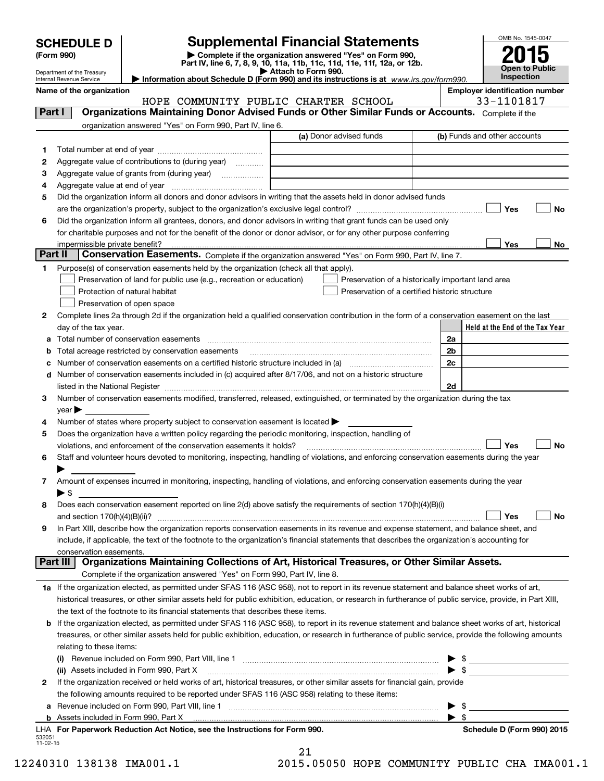| <b>SCHEDULE D</b> |  |
|-------------------|--|
|-------------------|--|

# **SCHEDULE D Supplemental Financial Statements**<br> **Complete if the organization answered "Yes" on Form 990,**

(Form 990)<br>
Pepartment of the Treasury<br>
Department of the Treasury<br> **Exerce Pepartment of the Treasury**<br> **Exerce Pepartment Of the Treasury**<br> **Exerce Pepartment Of the Treasury**<br> **Exerce Pepartment Of the Treasury**<br> **Exer** 



|                 | Department of the Treasury<br>Internal Revenue Service                                                                                                     | Attach to Form 990.<br>Information about Schedule D (Form 990) and its instructions is at $www.irs.gov/form990$ . |                          | Open to Public<br>Inspection          |
|-----------------|------------------------------------------------------------------------------------------------------------------------------------------------------------|-------------------------------------------------------------------------------------------------------------------|--------------------------|---------------------------------------|
|                 | Name of the organization                                                                                                                                   |                                                                                                                   |                          | <b>Employer identification number</b> |
|                 |                                                                                                                                                            | HOPE COMMUNITY PUBLIC CHARTER SCHOOL                                                                              |                          | 33-1101817                            |
| Part I          | Organizations Maintaining Donor Advised Funds or Other Similar Funds or Accounts. Complete if the                                                          |                                                                                                                   |                          |                                       |
|                 | organization answered "Yes" on Form 990, Part IV, line 6.                                                                                                  |                                                                                                                   |                          |                                       |
|                 |                                                                                                                                                            | (a) Donor advised funds                                                                                           |                          | (b) Funds and other accounts          |
| 1               |                                                                                                                                                            |                                                                                                                   |                          |                                       |
| 2               | Aggregate value of contributions to (during year)                                                                                                          |                                                                                                                   |                          |                                       |
| з               | Aggregate value of grants from (during year)                                                                                                               |                                                                                                                   |                          |                                       |
| 4               |                                                                                                                                                            |                                                                                                                   |                          |                                       |
| 5               | Did the organization inform all donors and donor advisors in writing that the assets held in donor advised funds                                           |                                                                                                                   |                          |                                       |
|                 |                                                                                                                                                            |                                                                                                                   |                          | Yes<br>No                             |
| 6               | Did the organization inform all grantees, donors, and donor advisors in writing that grant funds can be used only                                          |                                                                                                                   |                          |                                       |
|                 | for charitable purposes and not for the benefit of the donor or donor advisor, or for any other purpose conferring                                         |                                                                                                                   |                          |                                       |
|                 | impermissible private benefit?                                                                                                                             |                                                                                                                   |                          | Yes<br>No                             |
| Part II         | Conservation Easements. Complete if the organization answered "Yes" on Form 990, Part IV, line 7.                                                          |                                                                                                                   |                          |                                       |
| 1               | Purpose(s) of conservation easements held by the organization (check all that apply).                                                                      |                                                                                                                   |                          |                                       |
|                 | Preservation of land for public use (e.g., recreation or education)                                                                                        | Preservation of a historically important land area                                                                |                          |                                       |
|                 | Protection of natural habitat                                                                                                                              | Preservation of a certified historic structure                                                                    |                          |                                       |
|                 | Preservation of open space                                                                                                                                 |                                                                                                                   |                          |                                       |
| 2               | Complete lines 2a through 2d if the organization held a qualified conservation contribution in the form of a conservation easement on the last             |                                                                                                                   |                          |                                       |
|                 | day of the tax year.                                                                                                                                       |                                                                                                                   |                          | Held at the End of the Tax Year       |
| a               | Total number of conservation easements                                                                                                                     |                                                                                                                   | 2a                       |                                       |
| b               | Total acreage restricted by conservation easements                                                                                                         |                                                                                                                   | 2b                       |                                       |
| c               | Number of conservation easements on a certified historic structure included in (a) manufacture included in (a)                                             |                                                                                                                   | 2c                       |                                       |
| d               | Number of conservation easements included in (c) acquired after 8/17/06, and not on a historic structure                                                   |                                                                                                                   |                          |                                       |
|                 |                                                                                                                                                            |                                                                                                                   | 2d                       |                                       |
| 3               | Number of conservation easements modified, transferred, released, extinguished, or terminated by the organization during the tax                           |                                                                                                                   |                          |                                       |
|                 | year $\blacktriangleright$                                                                                                                                 |                                                                                                                   |                          |                                       |
| 4               | Number of states where property subject to conservation easement is located                                                                                |                                                                                                                   |                          |                                       |
| 5               | Does the organization have a written policy regarding the periodic monitoring, inspection, handling of                                                     |                                                                                                                   |                          |                                       |
|                 | violations, and enforcement of the conservation easements it holds?                                                                                        |                                                                                                                   |                          | No<br>Yes                             |
| 6               | Staff and volunteer hours devoted to monitoring, inspecting, handling of violations, and enforcing conservation easements during the year                  |                                                                                                                   |                          |                                       |
|                 |                                                                                                                                                            |                                                                                                                   |                          |                                       |
| 7               | Amount of expenses incurred in monitoring, inspecting, handling of violations, and enforcing conservation easements during the year                        |                                                                                                                   |                          |                                       |
|                 | ▶ \$                                                                                                                                                       |                                                                                                                   |                          |                                       |
| 8               | Does each conservation easement reported on line 2(d) above satisfy the requirements of section 170(h)(4)(B)(i)                                            |                                                                                                                   |                          |                                       |
|                 | and section $170(h)(4)(B)(ii)?$                                                                                                                            |                                                                                                                   |                          | No<br>Yes                             |
| 9               | In Part XIII, describe how the organization reports conservation easements in its revenue and expense statement, and balance sheet, and                    |                                                                                                                   |                          |                                       |
|                 | include, if applicable, the text of the footnote to the organization's financial statements that describes the organization's accounting for               |                                                                                                                   |                          |                                       |
|                 | conservation easements.<br>Organizations Maintaining Collections of Art, Historical Treasures, or Other Similar Assets.                                    |                                                                                                                   |                          |                                       |
| <b>Part III</b> |                                                                                                                                                            |                                                                                                                   |                          |                                       |
|                 | Complete if the organization answered "Yes" on Form 990, Part IV, line 8.                                                                                  |                                                                                                                   |                          |                                       |
|                 | 1a If the organization elected, as permitted under SFAS 116 (ASC 958), not to report in its revenue statement and balance sheet works of art,              |                                                                                                                   |                          |                                       |
|                 | historical treasures, or other similar assets held for public exhibition, education, or research in furtherance of public service, provide, in Part XIII,  |                                                                                                                   |                          |                                       |
|                 | the text of the footnote to its financial statements that describes these items.                                                                           |                                                                                                                   |                          |                                       |
|                 | <b>b</b> If the organization elected, as permitted under SFAS 116 (ASC 958), to report in its revenue statement and balance sheet works of art, historical |                                                                                                                   |                          |                                       |
|                 | treasures, or other similar assets held for public exhibition, education, or research in furtherance of public service, provide the following amounts      |                                                                                                                   |                          |                                       |
|                 | relating to these items:                                                                                                                                   |                                                                                                                   |                          |                                       |
|                 | $\mathbf{u}$                                                                                                                                               |                                                                                                                   | \$                       |                                       |
|                 | (ii) Assets included in Form 990, Part X                                                                                                                   |                                                                                                                   | -\$                      |                                       |
| 2               | If the organization received or held works of art, historical treasures, or other similar assets for financial gain, provide                               |                                                                                                                   |                          |                                       |
|                 | the following amounts required to be reported under SFAS 116 (ASC 958) relating to these items:                                                            |                                                                                                                   | $\blacktriangleright$ \$ |                                       |
| a               | Revenue included on Form 990, Part VIII, line 1                                                                                                            |                                                                                                                   |                          |                                       |

|                          | LHA For Paperwork Reduction Act Notice, see the Instructions for Form 990. |
|--------------------------|----------------------------------------------------------------------------|
| 532051<br>$11 - 02 - 15$ |                                                                            |

 $\blacktriangleright$  \$

21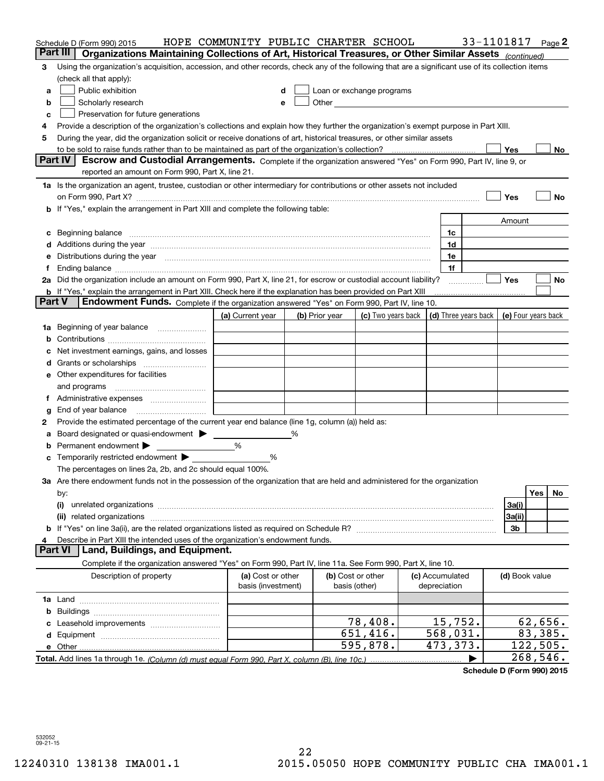|               | Schedule D (Form 990) 2015                                                                                                                                                                                                     | HOPE COMMUNITY PUBLIC CHARTER SCHOOL    |                                                                                                                                                                                                                                |                                                         |                                 | 33-1101817 |                     |            | Page 2 |
|---------------|--------------------------------------------------------------------------------------------------------------------------------------------------------------------------------------------------------------------------------|-----------------------------------------|--------------------------------------------------------------------------------------------------------------------------------------------------------------------------------------------------------------------------------|---------------------------------------------------------|---------------------------------|------------|---------------------|------------|--------|
|               | Part III<br>Organizations Maintaining Collections of Art, Historical Treasures, or Other Similar Assets (continued)                                                                                                            |                                         |                                                                                                                                                                                                                                |                                                         |                                 |            |                     |            |        |
| 3             | Using the organization's acquisition, accession, and other records, check any of the following that are a significant use of its collection items                                                                              |                                         |                                                                                                                                                                                                                                |                                                         |                                 |            |                     |            |        |
|               | (check all that apply):                                                                                                                                                                                                        |                                         |                                                                                                                                                                                                                                |                                                         |                                 |            |                     |            |        |
| a             | Public exhibition                                                                                                                                                                                                              | d                                       | Loan or exchange programs                                                                                                                                                                                                      |                                                         |                                 |            |                     |            |        |
| b             | Scholarly research                                                                                                                                                                                                             | e                                       | Other the contract of the contract of the contract of the contract of the contract of the contract of the contract of the contract of the contract of the contract of the contract of the contract of the contract of the cont |                                                         |                                 |            |                     |            |        |
| с             | Preservation for future generations                                                                                                                                                                                            |                                         |                                                                                                                                                                                                                                |                                                         |                                 |            |                     |            |        |
| 4             | Provide a description of the organization's collections and explain how they further the organization's exempt purpose in Part XIII.                                                                                           |                                         |                                                                                                                                                                                                                                |                                                         |                                 |            |                     |            |        |
| 5             | During the year, did the organization solicit or receive donations of art, historical treasures, or other similar assets                                                                                                       |                                         |                                                                                                                                                                                                                                |                                                         |                                 |            |                     |            |        |
|               |                                                                                                                                                                                                                                |                                         |                                                                                                                                                                                                                                |                                                         |                                 |            | Yes                 |            | No     |
|               | <b>Part IV</b><br>Escrow and Custodial Arrangements. Complete if the organization answered "Yes" on Form 990, Part IV, line 9, or                                                                                              |                                         |                                                                                                                                                                                                                                |                                                         |                                 |            |                     |            |        |
|               | reported an amount on Form 990, Part X, line 21.                                                                                                                                                                               |                                         |                                                                                                                                                                                                                                |                                                         |                                 |            |                     |            |        |
|               | 1a Is the organization an agent, trustee, custodian or other intermediary for contributions or other assets not included                                                                                                       |                                         |                                                                                                                                                                                                                                |                                                         |                                 |            |                     |            |        |
|               |                                                                                                                                                                                                                                |                                         |                                                                                                                                                                                                                                |                                                         |                                 |            | Yes                 |            | No     |
| b             | If "Yes," explain the arrangement in Part XIII and complete the following table:                                                                                                                                               |                                         |                                                                                                                                                                                                                                |                                                         |                                 |            |                     |            |        |
|               |                                                                                                                                                                                                                                |                                         |                                                                                                                                                                                                                                |                                                         |                                 |            | Amount              |            |        |
| с             | Beginning balance material continuum contracts and a series of the contracts of the contracts of the contracts of the contracts of the contracts of the contracts of the contracts of the contracts of the contracts of the co |                                         |                                                                                                                                                                                                                                |                                                         | 1c                              |            |                     |            |        |
| d             | Additions during the year manufactured and an account of the year manufactured and account of the year manufactured and account of the state of the state of the state of the state of the state of the state of the state of  |                                         |                                                                                                                                                                                                                                |                                                         | 1d                              |            |                     |            |        |
| е             | Distributions during the year manufactured and continuum and contact the year manufactured and contact the year                                                                                                                |                                         |                                                                                                                                                                                                                                |                                                         | 1e                              |            |                     |            |        |
| f             |                                                                                                                                                                                                                                |                                         |                                                                                                                                                                                                                                |                                                         | 1f                              |            |                     |            |        |
|               | 2a Did the organization include an amount on Form 990, Part X, line 21, for escrow or custodial account liability?                                                                                                             |                                         |                                                                                                                                                                                                                                |                                                         |                                 |            | Yes                 |            | No     |
| <b>Part V</b> | <b>b</b> If "Yes," explain the arrangement in Part XIII. Check here if the explanation has been provided on Part XIII<br>Endowment Funds. Complete if the organization answered "Yes" on Form 990, Part IV, line 10.           |                                         |                                                                                                                                                                                                                                |                                                         |                                 |            |                     |            |        |
|               |                                                                                                                                                                                                                                | (a) Current year                        | (b) Prior year                                                                                                                                                                                                                 | (c) Two years back $\vert$ (d) Three years back $\vert$ |                                 |            | (e) Four years back |            |        |
| 1a            | Beginning of year balance                                                                                                                                                                                                      |                                         |                                                                                                                                                                                                                                |                                                         |                                 |            |                     |            |        |
| b             |                                                                                                                                                                                                                                |                                         |                                                                                                                                                                                                                                |                                                         |                                 |            |                     |            |        |
|               | Net investment earnings, gains, and losses                                                                                                                                                                                     |                                         |                                                                                                                                                                                                                                |                                                         |                                 |            |                     |            |        |
| d             |                                                                                                                                                                                                                                |                                         |                                                                                                                                                                                                                                |                                                         |                                 |            |                     |            |        |
|               | e Other expenditures for facilities                                                                                                                                                                                            |                                         |                                                                                                                                                                                                                                |                                                         |                                 |            |                     |            |        |
|               | and programs                                                                                                                                                                                                                   |                                         |                                                                                                                                                                                                                                |                                                         |                                 |            |                     |            |        |
| 1.            | Administrative expenses <i>manually communication</i>                                                                                                                                                                          |                                         |                                                                                                                                                                                                                                |                                                         |                                 |            |                     |            |        |
| g             | End of year balance                                                                                                                                                                                                            |                                         |                                                                                                                                                                                                                                |                                                         |                                 |            |                     |            |        |
| 2             | Provide the estimated percentage of the current year end balance (line 1g, column (a)) held as:                                                                                                                                |                                         |                                                                                                                                                                                                                                |                                                         |                                 |            |                     |            |        |
| а             | Board designated or quasi-endowment > _____                                                                                                                                                                                    |                                         |                                                                                                                                                                                                                                |                                                         |                                 |            |                     |            |        |
| b             | Permanent endowment                                                                                                                                                                                                            | %                                       |                                                                                                                                                                                                                                |                                                         |                                 |            |                     |            |        |
| c             | Temporarily restricted endowment > _______                                                                                                                                                                                     | %                                       |                                                                                                                                                                                                                                |                                                         |                                 |            |                     |            |        |
|               | The percentages on lines 2a, 2b, and 2c should equal 100%.                                                                                                                                                                     |                                         |                                                                                                                                                                                                                                |                                                         |                                 |            |                     |            |        |
|               | 3a Are there endowment funds not in the possession of the organization that are held and administered for the organization                                                                                                     |                                         |                                                                                                                                                                                                                                |                                                         |                                 |            |                     |            |        |
|               | by:                                                                                                                                                                                                                            |                                         |                                                                                                                                                                                                                                |                                                         |                                 |            |                     | <b>Yes</b> | No     |
|               | (i)                                                                                                                                                                                                                            |                                         |                                                                                                                                                                                                                                |                                                         |                                 |            | 3a(i)               |            |        |
|               | (ii) related organizations                                                                                                                                                                                                     |                                         |                                                                                                                                                                                                                                |                                                         |                                 |            | 3a(ii)              |            |        |
|               |                                                                                                                                                                                                                                |                                         |                                                                                                                                                                                                                                |                                                         |                                 |            | 3b                  |            |        |
|               | Describe in Part XIII the intended uses of the organization's endowment funds.                                                                                                                                                 |                                         |                                                                                                                                                                                                                                |                                                         |                                 |            |                     |            |        |
|               | <b>Part VI</b><br>Land, Buildings, and Equipment.                                                                                                                                                                              |                                         |                                                                                                                                                                                                                                |                                                         |                                 |            |                     |            |        |
|               | Complete if the organization answered "Yes" on Form 990, Part IV, line 11a. See Form 990, Part X, line 10.                                                                                                                     |                                         |                                                                                                                                                                                                                                |                                                         |                                 |            |                     |            |        |
|               | Description of property                                                                                                                                                                                                        | (a) Cost or other<br>basis (investment) | (b) Cost or other<br>basis (other)                                                                                                                                                                                             |                                                         | (c) Accumulated<br>depreciation |            | (d) Book value      |            |        |
|               |                                                                                                                                                                                                                                |                                         |                                                                                                                                                                                                                                |                                                         |                                 |            |                     |            |        |
| b             |                                                                                                                                                                                                                                |                                         |                                                                                                                                                                                                                                |                                                         |                                 |            |                     |            |        |
|               |                                                                                                                                                                                                                                |                                         |                                                                                                                                                                                                                                | 78,408.                                                 | 15,752.                         |            |                     | 62,656.    |        |
|               |                                                                                                                                                                                                                                |                                         |                                                                                                                                                                                                                                | 651,416.                                                | 568,031.                        |            |                     | 83,385.    |        |
|               |                                                                                                                                                                                                                                |                                         |                                                                                                                                                                                                                                | $\overline{595,878}$ .                                  | 473,373.                        |            |                     | 122,505.   |        |
|               |                                                                                                                                                                                                                                |                                         |                                                                                                                                                                                                                                |                                                         |                                 |            |                     | 268,546.   |        |

**Schedule D (Form 990) 2015**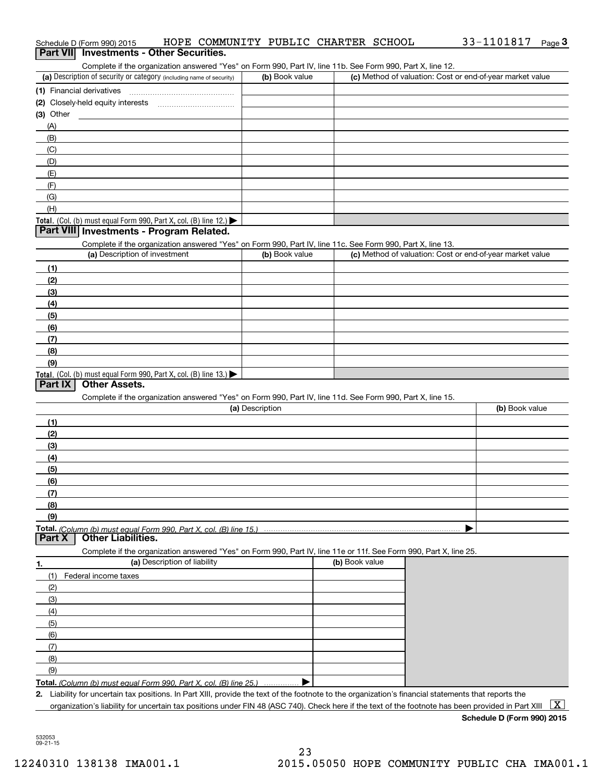| Complete if the organization answered "Yes" on Form 990, Part IV, line 11b. See Form 990, Part X, line 12.                                           |                 |                |                                                           |
|------------------------------------------------------------------------------------------------------------------------------------------------------|-----------------|----------------|-----------------------------------------------------------|
| (a) Description of security or category (including name of security)                                                                                 | (b) Book value  |                | (c) Method of valuation: Cost or end-of-year market value |
| (1) Financial derivatives                                                                                                                            |                 |                |                                                           |
|                                                                                                                                                      |                 |                |                                                           |
| (3) Other                                                                                                                                            |                 |                |                                                           |
| (A)                                                                                                                                                  |                 |                |                                                           |
| (B)                                                                                                                                                  |                 |                |                                                           |
| (C)                                                                                                                                                  |                 |                |                                                           |
| (D)                                                                                                                                                  |                 |                |                                                           |
| (E)                                                                                                                                                  |                 |                |                                                           |
|                                                                                                                                                      |                 |                |                                                           |
| (F)                                                                                                                                                  |                 |                |                                                           |
| (G)                                                                                                                                                  |                 |                |                                                           |
| (H)                                                                                                                                                  |                 |                |                                                           |
| Total. (Col. (b) must equal Form 990, Part X, col. (B) line 12.) $\blacktriangleright$                                                               |                 |                |                                                           |
| Part VIII Investments - Program Related.                                                                                                             |                 |                |                                                           |
| Complete if the organization answered "Yes" on Form 990, Part IV, line 11c. See Form 990, Part X, line 13.                                           |                 |                |                                                           |
| (a) Description of investment                                                                                                                        | (b) Book value  |                | (c) Method of valuation: Cost or end-of-year market value |
| (1)                                                                                                                                                  |                 |                |                                                           |
| (2)                                                                                                                                                  |                 |                |                                                           |
| (3)                                                                                                                                                  |                 |                |                                                           |
| (4)                                                                                                                                                  |                 |                |                                                           |
| (5)                                                                                                                                                  |                 |                |                                                           |
|                                                                                                                                                      |                 |                |                                                           |
| (6)                                                                                                                                                  |                 |                |                                                           |
| (7)                                                                                                                                                  |                 |                |                                                           |
| (8)                                                                                                                                                  |                 |                |                                                           |
| (9)                                                                                                                                                  |                 |                |                                                           |
| Total. (Col. (b) must equal Form 990, Part X, col. (B) line 13.)                                                                                     |                 |                |                                                           |
| <b>Other Assets.</b><br>Part IX                                                                                                                      |                 |                |                                                           |
| Complete if the organization answered "Yes" on Form 990, Part IV, line 11d. See Form 990, Part X, line 15.                                           |                 |                |                                                           |
|                                                                                                                                                      | (a) Description |                | (b) Book value                                            |
| (1)                                                                                                                                                  |                 |                |                                                           |
| (2)                                                                                                                                                  |                 |                |                                                           |
| (3)                                                                                                                                                  |                 |                |                                                           |
| (4)                                                                                                                                                  |                 |                |                                                           |
| (5)                                                                                                                                                  |                 |                |                                                           |
| (6)                                                                                                                                                  |                 |                |                                                           |
| (7)                                                                                                                                                  |                 |                |                                                           |
|                                                                                                                                                      |                 |                |                                                           |
| (8)                                                                                                                                                  |                 |                |                                                           |
| (9)                                                                                                                                                  |                 |                |                                                           |
| Total. (Column (b) must equal Form 990. Part X, col. (B) line 15.)<br><b>Other Liabilities.</b><br>Part X                                            |                 |                |                                                           |
|                                                                                                                                                      |                 |                |                                                           |
| Complete if the organization answered "Yes" on Form 990, Part IV, line 11e or 11f. See Form 990, Part X, line 25.                                    |                 |                |                                                           |
| (a) Description of liability<br>1.                                                                                                                   |                 | (b) Book value |                                                           |
| (1)<br>Federal income taxes                                                                                                                          |                 |                |                                                           |
| (2)                                                                                                                                                  |                 |                |                                                           |
| (3)                                                                                                                                                  |                 |                |                                                           |
| (4)                                                                                                                                                  |                 |                |                                                           |
| (5)                                                                                                                                                  |                 |                |                                                           |
| (6)                                                                                                                                                  |                 |                |                                                           |
| (7)                                                                                                                                                  |                 |                |                                                           |
|                                                                                                                                                      |                 |                |                                                           |
| (8)                                                                                                                                                  |                 |                |                                                           |
| (9)                                                                                                                                                  |                 |                |                                                           |
| Total. (Column (b) must equal Form 990, Part X, col. (B) line 25.)                                                                                   |                 |                |                                                           |
| 2. Liability for uncertain tax positions. In Part XIII, provide the text of the footnote to the organization's financial statements that reports the |                 |                |                                                           |
| organization's liability for uncertain tax positions under FIN 48 (ASC 740). Check here if the text of the footnote has been provided in Part XIII   |                 |                | $\overline{\mathbf{X}}$                                   |

532053 09-21-15

**Schedule D (Form 990) 2015**

## Schedule D (Form 990) 2015 HOPE COMMUNITY PUBLIC CHARTER SCHOOL 33-1101817 Page Schedule D (Form 990) 2015 **HOPE COMMUNITY PUBLIC CHARTER SCHOOL** 33-1101817 Page 3<br>**Part VII Investments - Other Securities.**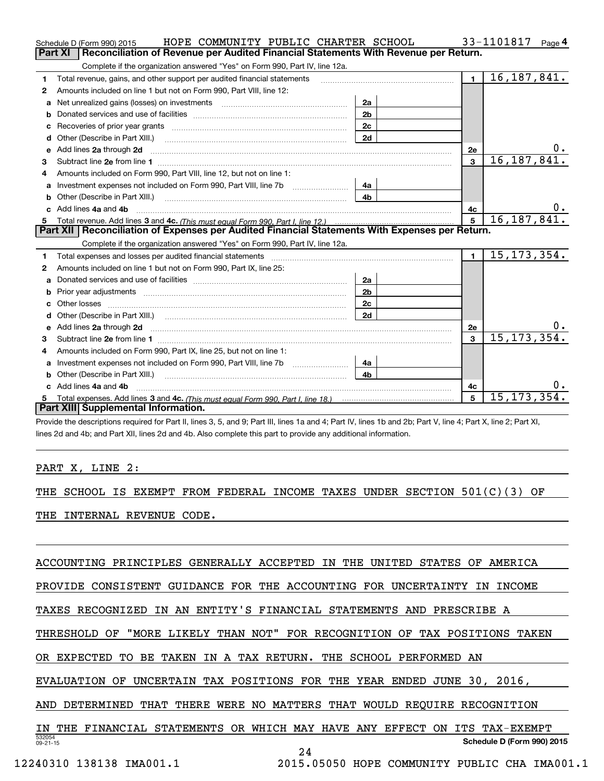|   | HOPE COMMUNITY PUBLIC CHARTER SCHOOL<br>Schedule D (Form 990) 2015                                                                                                                                                             |                |                | 33-1101817<br>Page 4 |
|---|--------------------------------------------------------------------------------------------------------------------------------------------------------------------------------------------------------------------------------|----------------|----------------|----------------------|
|   | Reconciliation of Revenue per Audited Financial Statements With Revenue per Return.<br>Part XI                                                                                                                                 |                |                |                      |
|   | Complete if the organization answered "Yes" on Form 990, Part IV, line 12a.                                                                                                                                                    |                |                |                      |
| 1 | Total revenue, gains, and other support per audited financial statements                                                                                                                                                       |                | $\blacksquare$ | 16, 187, 841.        |
| 2 | Amounts included on line 1 but not on Form 990, Part VIII, line 12:                                                                                                                                                            |                |                |                      |
| a | Net unrealized gains (losses) on investments [11] matter contracts and the unrealized gains (losses) on investments                                                                                                            | 2a             |                |                      |
| b |                                                                                                                                                                                                                                | 2 <sub>b</sub> |                |                      |
|   |                                                                                                                                                                                                                                | 2c             |                |                      |
| d | Other (Describe in Part XIII.) <b>Construction Construction</b> Chern Construction Chern Chern Chern Chern Chern Chern                                                                                                         | 2d             |                |                      |
| е | Add lines 2a through 2d                                                                                                                                                                                                        |                | 2е             | υ.                   |
| 3 |                                                                                                                                                                                                                                |                | $\mathbf{3}$   | 16, 187, 841.        |
| 4 | Amounts included on Form 990, Part VIII, line 12, but not on line 1:                                                                                                                                                           |                |                |                      |
|   |                                                                                                                                                                                                                                | 4a             |                |                      |
| b |                                                                                                                                                                                                                                | 4 <sub>b</sub> |                |                      |
|   | c Add lines 4a and 4b                                                                                                                                                                                                          |                | 4c             | υ.                   |
|   |                                                                                                                                                                                                                                |                | 5              | 16, 187, 841.        |
|   |                                                                                                                                                                                                                                |                |                |                      |
|   | Part XII   Reconciliation of Expenses per Audited Financial Statements With Expenses per Return.                                                                                                                               |                |                |                      |
|   | Complete if the organization answered "Yes" on Form 990, Part IV, line 12a.                                                                                                                                                    |                |                |                      |
| 1 | Total expenses and losses per audited financial statements [111] [12] manuscription and statements [13] Total expenses and losses per audited financial statements [13] manuscription and the statements [13] manuscription an |                | $\blacksquare$ | 15, 173, 354.        |
| 2 | Amounts included on line 1 but not on Form 990, Part IX, line 25:                                                                                                                                                              |                |                |                      |
| a |                                                                                                                                                                                                                                | 2a             |                |                      |
| b |                                                                                                                                                                                                                                | 2 <sub>b</sub> |                |                      |
|   |                                                                                                                                                                                                                                | 2c             |                |                      |
| d | Other (Describe in Part XIII.) (COLORGIAL CONSERVISTION) (CONSERVISTION)                                                                                                                                                       | 2d             |                |                      |
|   |                                                                                                                                                                                                                                |                | 2e             | О.                   |
| 3 | Subtract line 2e from line 1 <b>manufacture in the contract of the 2e</b> from line 1                                                                                                                                          |                | 3              | 15, 173, 354.        |
| 4 | Amounts included on Form 990, Part IX, line 25, but not on line 1:                                                                                                                                                             |                |                |                      |
| a |                                                                                                                                                                                                                                | 4a             |                |                      |
| b | Other (Describe in Part XIII.) <b>Construction Contract Construction</b> Chemistry Chemistry Chemistry Chemistry Chemistry                                                                                                     | 4 <sub>b</sub> |                |                      |
|   | c Add lines 4a and 4b                                                                                                                                                                                                          |                | 4c             |                      |
|   | Part XIII Supplemental Information.                                                                                                                                                                                            |                | 5              | 15, 173, 354.        |

Provide the descriptions required for Part II, lines 3, 5, and 9; Part III, lines 1a and 4; Part IV, lines 1b and 2b; Part V, line 4; Part X, line 2; Part XI, lines 2d and 4b; and Part XII, lines 2d and 4b. Also complete this part to provide any additional information.

## PART X, LINE 2:

THE SCHOOL IS EXEMPT FROM FEDERAL INCOME TAXES UNDER SECTION 501(C)(3) OF

THE INTERNAL REVENUE CODE.

ACCOUNTING PRINCIPLES GENERALLY ACCEPTED IN THE UNITED STATES OF AMERICA

PROVIDE CONSISTENT GUIDANCE FOR THE ACCOUNTING FOR UNCERTAINTY IN INCOME

TAXES RECOGNIZED IN AN ENTITY'S FINANCIAL STATEMENTS AND PRESCRIBE A

THRESHOLD OF "MORE LIKELY THAN NOT" FOR RECOGNITION OF TAX POSITIONS TAKEN

OR EXPECTED TO BE TAKEN IN A TAX RETURN. THE SCHOOL PERFORMED AN

EVALUATION OF UNCERTAIN TAX POSITIONS FOR THE YEAR ENDED JUNE 30, 2016,

AND DETERMINED THAT THERE WERE NO MATTERS THAT WOULD REQUIRE RECOGNITION

532054 09-21-15**Schedule D (Form 990) 2015** IN THE FINANCIAL STATEMENTS OR WHICH MAY HAVE ANY EFFECT ON ITS TAX-EXEMPT

24

12240310 138138 IMA001.1 2015.05050 HOPE COMMUNITY PUBLIC CHA IMA001.1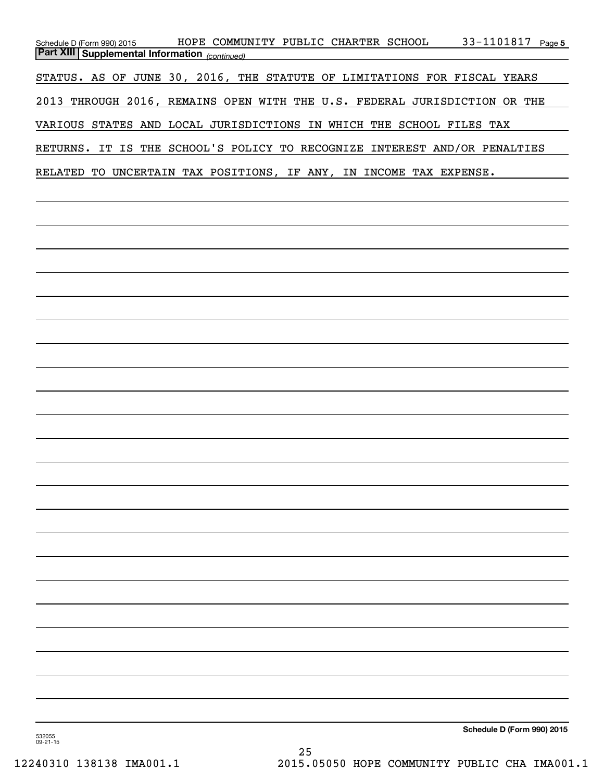| Schedule D (Form 990) 2015<br><b>Part XIII Supplemental Information</b> (continued) | 33-1101817 Page 5<br>HOPE COMMUNITY PUBLIC CHARTER SCHOOL                 |
|-------------------------------------------------------------------------------------|---------------------------------------------------------------------------|
|                                                                                     | STATUS. AS OF JUNE 30, 2016, THE STATUTE OF LIMITATIONS FOR FISCAL YEARS  |
|                                                                                     | 2013 THROUGH 2016, REMAINS OPEN WITH THE U.S. FEDERAL JURISDICTION OR THE |
|                                                                                     | VARIOUS STATES AND LOCAL JURISDICTIONS IN WHICH THE SCHOOL FILES TAX      |
|                                                                                     | RETURNS. IT IS THE SCHOOL'S POLICY TO RECOGNIZE INTEREST AND/OR PENALTIES |
|                                                                                     |                                                                           |
|                                                                                     | RELATED TO UNCERTAIN TAX POSITIONS, IF ANY, IN INCOME TAX EXPENSE.        |
|                                                                                     |                                                                           |
|                                                                                     |                                                                           |
|                                                                                     |                                                                           |
|                                                                                     |                                                                           |
|                                                                                     |                                                                           |
|                                                                                     |                                                                           |
|                                                                                     |                                                                           |
|                                                                                     |                                                                           |
|                                                                                     |                                                                           |
|                                                                                     |                                                                           |
|                                                                                     |                                                                           |
|                                                                                     |                                                                           |
|                                                                                     |                                                                           |
|                                                                                     |                                                                           |
|                                                                                     |                                                                           |
|                                                                                     |                                                                           |
|                                                                                     |                                                                           |
|                                                                                     |                                                                           |
|                                                                                     |                                                                           |
|                                                                                     |                                                                           |
|                                                                                     |                                                                           |
|                                                                                     |                                                                           |
|                                                                                     | Schedule D (Form 990) 2015                                                |
| 532055<br>$09 - 21 - 15$                                                            |                                                                           |

25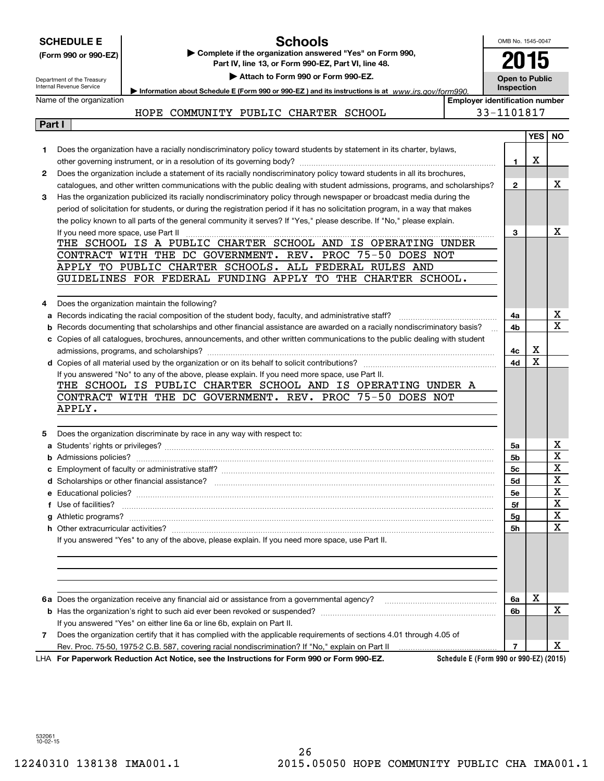|        | <b>Schools</b><br><b>SCHEDULE E</b>                                                                                                 |                                                     | OMB No. 1545-0047     |            |                         |  |  |
|--------|-------------------------------------------------------------------------------------------------------------------------------------|-----------------------------------------------------|-----------------------|------------|-------------------------|--|--|
|        | Complete if the organization answered "Yes" on Form 990,<br>(Form 990 or 990-EZ)                                                    |                                                     | 2015                  |            |                         |  |  |
|        |                                                                                                                                     | Part IV, line 13, or Form 990-EZ, Part VI, line 48. |                       |            |                         |  |  |
|        | Attach to Form 990 or Form 990-EZ.<br>Department of the Treasury                                                                    |                                                     | <b>Open to Public</b> |            |                         |  |  |
|        | Internal Revenue Service<br>Information about Schedule E (Form 990 or 990-EZ) and its instructions is at www.irs.gov/form990.       |                                                     | Inspection            |            |                         |  |  |
|        | Name of the organization                                                                                                            | <b>Employer identification number</b>               | 33-1101817            |            |                         |  |  |
| Part I | HOPE COMMUNITY PUBLIC CHARTER SCHOOL                                                                                                |                                                     |                       |            |                         |  |  |
|        |                                                                                                                                     |                                                     |                       | <b>YES</b> | NO.                     |  |  |
| 1      | Does the organization have a racially nondiscriminatory policy toward students by statement in its charter, bylaws,                 |                                                     |                       |            |                         |  |  |
|        |                                                                                                                                     |                                                     | 1.                    | х          |                         |  |  |
| 2      | Does the organization include a statement of its racially nondiscriminatory policy toward students in all its brochures,            |                                                     |                       |            |                         |  |  |
|        | catalogues, and other written communications with the public dealing with student admissions, programs, and scholarships?           |                                                     | $\mathbf{2}$          |            | x                       |  |  |
| З      | Has the organization publicized its racially nondiscriminatory policy through newspaper or broadcast media during the               |                                                     |                       |            |                         |  |  |
|        | period of solicitation for students, or during the registration period if it has no solicitation program, in a way that makes       |                                                     |                       |            |                         |  |  |
|        | the policy known to all parts of the general community it serves? If "Yes," please describe. If "No," please explain.               |                                                     |                       |            |                         |  |  |
|        | If you need more space, use Part II                                                                                                 |                                                     | 3                     |            | x                       |  |  |
|        | THE SCHOOL IS A PUBLIC CHARTER SCHOOL AND IS OPERATING UNDER<br>CONTRACT WITH THE DC GOVERNMENT. REV. PROC 75-50 DOES NOT           |                                                     |                       |            |                         |  |  |
|        | APPLY TO PUBLIC CHARTER SCHOOLS. ALL FEDERAL RULES AND                                                                              |                                                     |                       |            |                         |  |  |
|        | GUIDELINES FOR FEDERAL FUNDING APPLY TO THE CHARTER SCHOOL.                                                                         |                                                     |                       |            |                         |  |  |
|        |                                                                                                                                     |                                                     |                       |            |                         |  |  |
| 4      | Does the organization maintain the following?                                                                                       |                                                     |                       |            |                         |  |  |
|        | a Records indicating the racial composition of the student body, faculty, and administrative staff?                                 |                                                     | 4a                    |            | X                       |  |  |
| b      | Records documenting that scholarships and other financial assistance are awarded on a racially nondiscriminatory basis?             |                                                     | 4b                    |            | $\overline{\mathbf{x}}$ |  |  |
|        | c Copies of all catalogues, brochures, announcements, and other written communications to the public dealing with student           |                                                     |                       |            |                         |  |  |
|        |                                                                                                                                     |                                                     | 4с                    | х          |                         |  |  |
|        |                                                                                                                                     |                                                     | 4d                    | X          |                         |  |  |
|        | If you answered "No" to any of the above, please explain. If you need more space, use Part II.                                      |                                                     |                       |            |                         |  |  |
|        | THE SCHOOL IS PUBLIC CHARTER SCHOOL AND IS OPERATING UNDER A<br>CONTRACT WITH THE DC GOVERNMENT. REV. PROC 75-50 DOES NOT           |                                                     |                       |            |                         |  |  |
|        | APPLY.                                                                                                                              |                                                     |                       |            |                         |  |  |
|        |                                                                                                                                     |                                                     |                       |            |                         |  |  |
| 5      | Does the organization discriminate by race in any way with respect to:                                                              |                                                     |                       |            |                         |  |  |
|        |                                                                                                                                     |                                                     | 5a                    |            | x                       |  |  |
|        |                                                                                                                                     |                                                     | 5b                    |            | X                       |  |  |
|        |                                                                                                                                     |                                                     | 5c                    |            | $\mathbf x$             |  |  |
|        |                                                                                                                                     |                                                     | 5d                    |            | X                       |  |  |
|        |                                                                                                                                     |                                                     | 5е                    |            | x                       |  |  |
|        | f Use of facilities?                                                                                                                |                                                     | 5f                    |            | x                       |  |  |
|        |                                                                                                                                     |                                                     | 5g                    |            | X                       |  |  |
|        |                                                                                                                                     |                                                     | <b>5h</b>             |            | x                       |  |  |
|        | If you answered "Yes" to any of the above, please explain. If you need more space, use Part II.                                     |                                                     |                       |            |                         |  |  |
|        |                                                                                                                                     |                                                     |                       |            |                         |  |  |
|        |                                                                                                                                     |                                                     |                       |            |                         |  |  |
|        |                                                                                                                                     |                                                     |                       |            |                         |  |  |
|        |                                                                                                                                     |                                                     | 6a                    | x          |                         |  |  |
|        |                                                                                                                                     |                                                     | 6b                    |            | X                       |  |  |
|        | If you answered "Yes" on either line 6a or line 6b, explain on Part II.                                                             |                                                     |                       |            |                         |  |  |
| 7      | Does the organization certify that it has complied with the applicable requirements of sections 4.01 through 4.05 of                |                                                     |                       |            |                         |  |  |
|        |                                                                                                                                     |                                                     | $\overline{7}$        |            | х                       |  |  |
|        | Schedule E (Form 990 or 990-EZ) (2015)<br>LHA For Paperwork Reduction Act Notice, see the Instructions for Form 990 or Form 990-EZ. |                                                     |                       |            |                         |  |  |

532061 10-02-15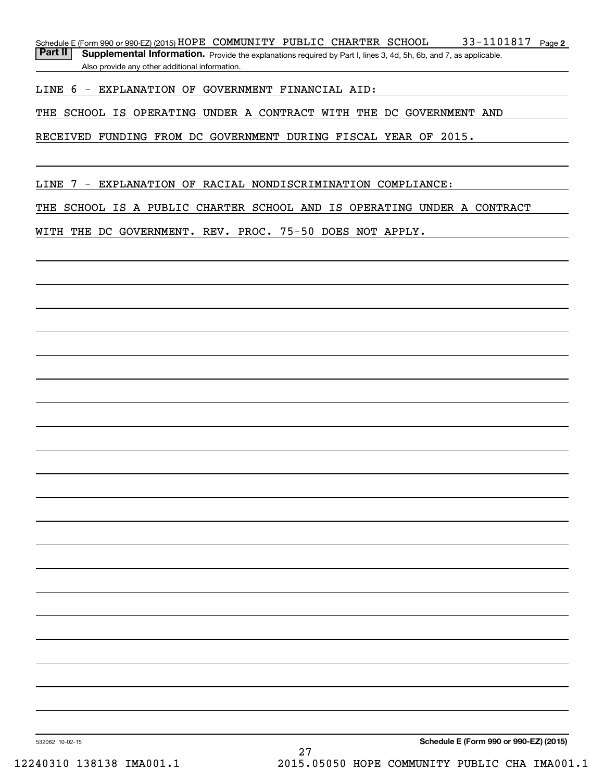33-1101817 Page 2 Schedule E (Form 990 or 990-EZ) (2015)  ${\tt HOPE\_COMMUNIT}$   ${\tt PUBLIC\_CHAPTER\_SCHOOL} \hspace{1cm} 33\!-\!1101817$   ${\tt Page}$ 

Part II | Supplemental Information. Provide the explanations required by Part I, lines 3, 4d, 5h, 6b, and 7, as applicable. Also provide any other additional information.

LINE 6 - EXPLANATION OF GOVERNMENT FINANCIAL AID:

THE SCHOOL IS OPERATING UNDER A CONTRACT WITH THE DC GOVERNMENT AND

RECEIVED FUNDING FROM DC GOVERNMENT DURING FISCAL YEAR OF 2015.

LINE 7 - EXPLANATION OF RACIAL NONDISCRIMINATION COMPLIANCE:

THE SCHOOL IS A PUBLIC CHARTER SCHOOL AND IS OPERATING UNDER A CONTRACT

WITH THE DC GOVERNMENT. REV. PROC. 75-50 DOES NOT APPLY.

532062 10-02-15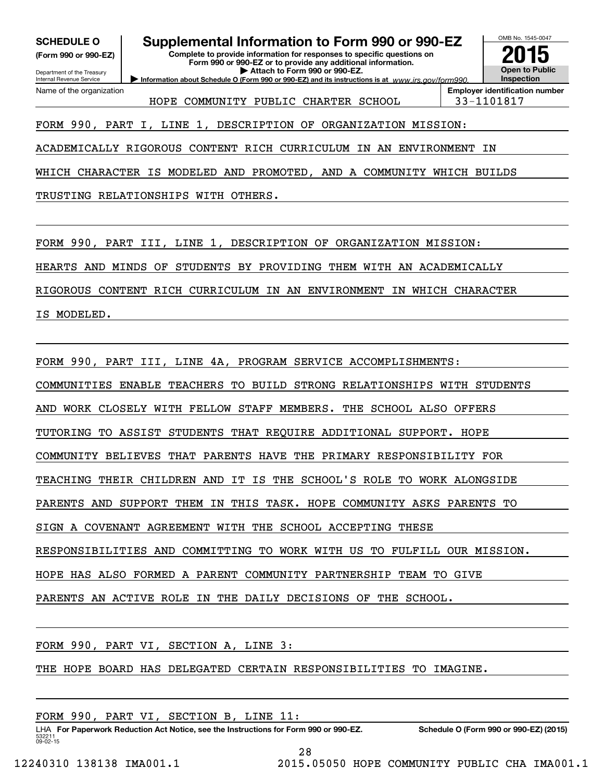**(Form 990 or 990-EZ)**

### Department of the Treasury Internal Revenue Service Name of the organization

**SCHEDULE O Supplemental Information to Form 990 or 990-EZ**

**Complete to provide information for responses to specific questions on Form 990 or 990-EZ or to provide any additional information. | Attach to Form 990 or 990-EZ.**

**Information about Schedule O (Form 990 or 990-EZ) and its instructions is at**  $www.irs.gov/form990.$ 

**Open to Public InspectionEmployer identification number 2015**

OMB No. 1545-0047

HOPE COMMUNITY PUBLIC CHARTER SCHOOL 33-1101817

FORM 990, PART I, LINE 1, DESCRIPTION OF ORGANIZATION MISSION:

ACADEMICALLY RIGOROUS CONTENT RICH CURRICULUM IN AN ENVIRONMENT IN

WHICH CHARACTER IS MODELED AND PROMOTED, AND A COMMUNITY WHICH BUILDS

TRUSTING RELATIONSHIPS WITH OTHERS.

FORM 990, PART III, LINE 1, DESCRIPTION OF ORGANIZATION MISSION:

HEARTS AND MINDS OF STUDENTS BY PROVIDING THEM WITH AN ACADEMICALLY

RIGOROUS CONTENT RICH CURRICULUM IN AN ENVIRONMENT IN WHICH CHARACTER

IS MODELED.

FORM 990, PART III, LINE 4A, PROGRAM SERVICE ACCOMPLISHMENTS:

COMMUNITIES ENABLE TEACHERS TO BUILD STRONG RELATIONSHIPS WITH STUDENTS

AND WORK CLOSELY WITH FELLOW STAFF MEMBERS. THE SCHOOL ALSO OFFERS

TUTORING TO ASSIST STUDENTS THAT REQUIRE ADDITIONAL SUPPORT. HOPE

COMMUNITY BELIEVES THAT PARENTS HAVE THE PRIMARY RESPONSIBILITY FOR

TEACHING THEIR CHILDREN AND IT IS THE SCHOOL'S ROLE TO WORK ALONGSIDE

PARENTS AND SUPPORT THEM IN THIS TASK. HOPE COMMUNITY ASKS PARENTS TO

SIGN A COVENANT AGREEMENT WITH THE SCHOOL ACCEPTING THESE

RESPONSIBILITIES AND COMMITTING TO WORK WITH US TO FULFILL OUR MISSION.

HOPE HAS ALSO FORMED A PARENT COMMUNITY PARTNERSHIP TEAM TO GIVE

PARENTS AN ACTIVE ROLE IN THE DAILY DECISIONS OF THE SCHOOL.

FORM 990, PART VI, SECTION A, LINE 3:

THE HOPE BOARD HAS DELEGATED CERTAIN RESPONSIBILITIES TO IMAGINE.

FORM 990, PART VI, SECTION B, LINE 11:

532211 09-02-15 LHA For Paperwork Reduction Act Notice, see the Instructions for Form 990 or 990-EZ. Schedule O (Form 990 or 990-EZ) (2015)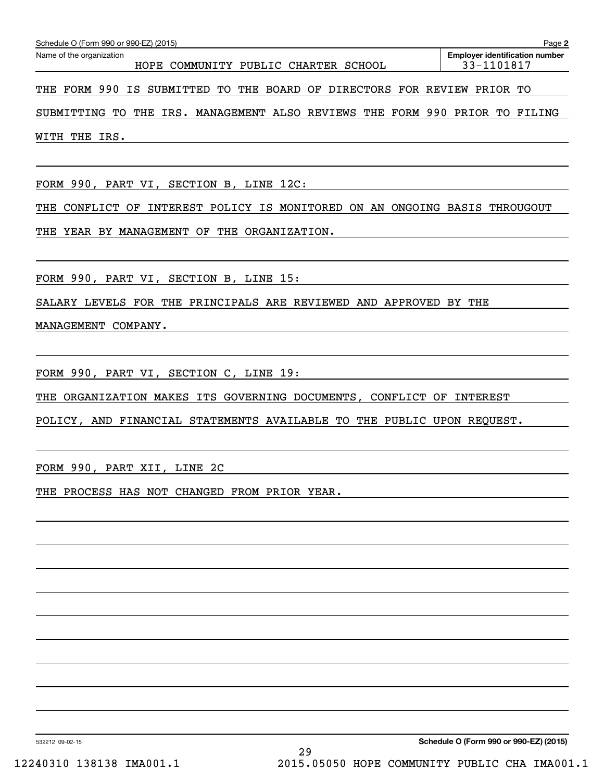| Schedule O (Form 990 or 990-EZ) (2015)<br>Page 2 |  |                                      |  |  |  |                                       |  |  |
|--------------------------------------------------|--|--------------------------------------|--|--|--|---------------------------------------|--|--|
| Name of the organization                         |  |                                      |  |  |  | <b>Employer identification number</b> |  |  |
|                                                  |  | HOPE COMMUNITY PUBLIC CHARTER SCHOOL |  |  |  | 33-1101817                            |  |  |
|                                                  |  |                                      |  |  |  |                                       |  |  |

THE FORM 990 IS SUBMITTED TO THE BOARD OF DIRECTORS FOR REVIEW PRIOR TO

SUBMITTING TO THE IRS. MANAGEMENT ALSO REVIEWS THE FORM 990 PRIOR TO FILING WITH THE IRS.

FORM 990, PART VI, SECTION B, LINE 12C:

THE CONFLICT OF INTEREST POLICY IS MONITORED ON AN ONGOING BASIS THROUGOUT

THE YEAR BY MANAGEMENT OF THE ORGANIZATION.

FORM 990, PART VI, SECTION B, LINE 15:

SALARY LEVELS FOR THE PRINCIPALS ARE REVIEWED AND APPROVED BY THE

MANAGEMENT COMPANY.

FORM 990, PART VI, SECTION C, LINE 19:

THE ORGANIZATION MAKES ITS GOVERNING DOCUMENTS, CONFLICT OF INTEREST

POLICY, AND FINANCIAL STATEMENTS AVAILABLE TO THE PUBLIC UPON REQUEST.

FORM 990, PART XII, LINE 2C

THE PROCESS HAS NOT CHANGED FROM PRIOR YEAR.

532212 09-02-15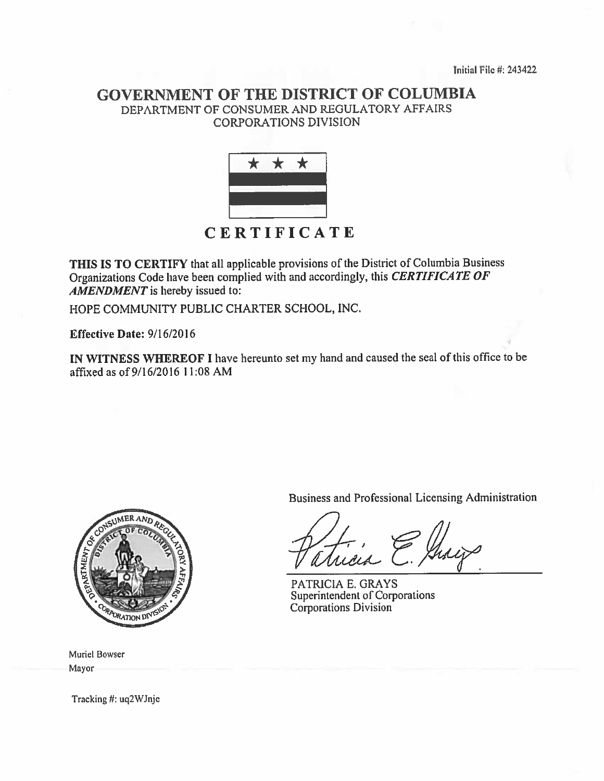Initial File #: 243422

# **GOVERNMENT OF THE DISTRICT OF COLUMBIA** DEPARTMENT OF CONSUMER AND REGULATORY AFFAIRS **CORPORATIONS DIVISION**



THIS IS TO CERTIFY that all applicable provisions of the District of Columbia Business Organizations Code have been complied with and accordingly, this CERTIFICATE OF AMENDMENT is hereby issued to:

HOPE COMMUNITY PUBLIC CHARTER SCHOOL, INC.

Effective Date:  $9/16/2016$ 

IN WITNESS WHEREOF I have hereunto set my hand and caused the seal of this office to be affixed as of 9/16/2016 11:08 AM



**Muriel Bowser** Mayor

Tracking #: uq2WJnje

Business and Professional Licensing Administration

PATRICIA E. GRAYS Superintendent of Corporations **Corporations Division**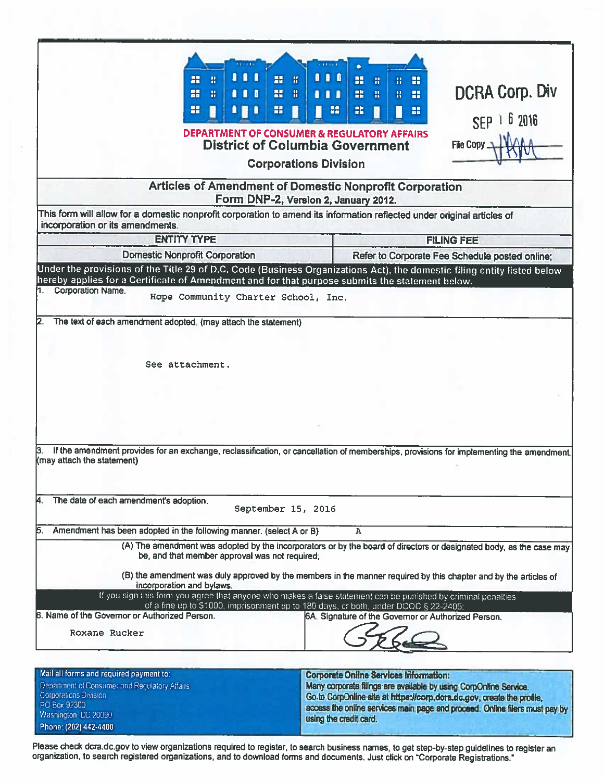|                                                                                                                                                           | 111<br>85<br>m<br>H<br><b>RE</b><br>an <sub>1</sub><br>昔<br>$\blacksquare$<br>89<br>鸓<br><b>DEPARTMENT OF CONSUMER &amp; REGULATORY AFFAIRS</b><br><b>District of Columbia Government</b>                                                                                                                                                                                                                                                                                                                                                   | $\blacksquare$<br>Ŧ.<br>推<br>推<br>n<br>. .<br><b>Corporations Division</b> | 88<br>出<br>昔<br>噐<br>盐<br>$\mathbf{H}$<br>H<br>噐                        | H<br>H<br>æ<br>File Copy _                                                                                                                                                                                                 | <b>DCRA Corp. Div</b><br>SEP 1 6 2016 |
|-----------------------------------------------------------------------------------------------------------------------------------------------------------|---------------------------------------------------------------------------------------------------------------------------------------------------------------------------------------------------------------------------------------------------------------------------------------------------------------------------------------------------------------------------------------------------------------------------------------------------------------------------------------------------------------------------------------------|----------------------------------------------------------------------------|-------------------------------------------------------------------------|----------------------------------------------------------------------------------------------------------------------------------------------------------------------------------------------------------------------------|---------------------------------------|
|                                                                                                                                                           | Articles of Amendment of Domestic Nonprofit Corporation<br>Form DNP-2, Version 2, January 2012.                                                                                                                                                                                                                                                                                                                                                                                                                                             |                                                                            |                                                                         |                                                                                                                                                                                                                            |                                       |
|                                                                                                                                                           | This form will allow for a domestic nonprofit corporation to amend its information reflected under original articles of                                                                                                                                                                                                                                                                                                                                                                                                                     |                                                                            |                                                                         |                                                                                                                                                                                                                            |                                       |
| incorporation or its amendments.                                                                                                                          | <b>ENTITY TYPE</b>                                                                                                                                                                                                                                                                                                                                                                                                                                                                                                                          |                                                                            |                                                                         |                                                                                                                                                                                                                            |                                       |
|                                                                                                                                                           | <b>Domestic Nonprofit Corporation</b>                                                                                                                                                                                                                                                                                                                                                                                                                                                                                                       |                                                                            |                                                                         | <b>FILING FEE</b>                                                                                                                                                                                                          |                                       |
|                                                                                                                                                           | Under the provisions of the Title 29 of D.C. Code (Business Organizations Act), the domestic filing entity listed below<br>hereby applies for a Certificate of Amendment and for that purpose submits the statement below.                                                                                                                                                                                                                                                                                                                  |                                                                            |                                                                         | Refer to Corporate Fee Schedule posted online;                                                                                                                                                                             |                                       |
| <b>Corporation Name.</b>                                                                                                                                  | Hope Community Charter School, Inc.                                                                                                                                                                                                                                                                                                                                                                                                                                                                                                         |                                                                            |                                                                         |                                                                                                                                                                                                                            |                                       |
| 12.                                                                                                                                                       | The text of each amendment adopted. (may attach the statement)<br>See attachment.<br>If the amendment provides for an exchange, reclassification, or cancellation of memberships, provisions for implementing the amendment.                                                                                                                                                                                                                                                                                                                |                                                                            |                                                                         |                                                                                                                                                                                                                            |                                       |
| (may attach the statement)                                                                                                                                |                                                                                                                                                                                                                                                                                                                                                                                                                                                                                                                                             |                                                                            |                                                                         |                                                                                                                                                                                                                            |                                       |
| The date of each amendment's adoption.<br>И.                                                                                                              | September 15, 2016                                                                                                                                                                                                                                                                                                                                                                                                                                                                                                                          |                                                                            |                                                                         |                                                                                                                                                                                                                            |                                       |
| 15.                                                                                                                                                       | Amendment has been adopted in the following manner. (select A or B)                                                                                                                                                                                                                                                                                                                                                                                                                                                                         |                                                                            | A                                                                       |                                                                                                                                                                                                                            |                                       |
| 6. Name of the Governor or Authorized Person.<br>Roxane Rucker                                                                                            | (A) The amendment was adopted by the incorporators or by the board of directors or designated body, as the case may<br>be, and that member approval was not required;<br>(B) the amendment was duly approved by the members in the manner required by this chapter and by the articles of<br>incorporation and bylaws.<br>If you sign this form you agree that anyone who makes a false statement can be punished by criminal penalties<br>of a fine up to \$1000, imprisonment up to 180 days, or both, under DCOC $\overline{8}$ 22-2405; |                                                                            |                                                                         | 6A. Signature of the Governor or Authorized Person.                                                                                                                                                                        |                                       |
| Mail all forms and required payment to:<br>Department of Consumer and Regulatory Affairs<br>Corporations Division<br>PO Box 92300<br>Washington, DC 20090 |                                                                                                                                                                                                                                                                                                                                                                                                                                                                                                                                             |                                                                            | <b>Corporate Online Services Information:</b><br>tiging the credit card | Many corporate filings are available by using CorpOnline Service.<br>Go to CorpOnline site at https://corp.dcra.dc.gov, create the profile,<br>access the online services main page and proceed. Online filers must pay by |                                       |

Please check dcra.dc.gov to view organizations required to register, to search business names, to get step-by-step guidelines to register an<br>organization, to search registered organizations, and to download forms and docum

Phone: (202) 442-4400

using the credit card.